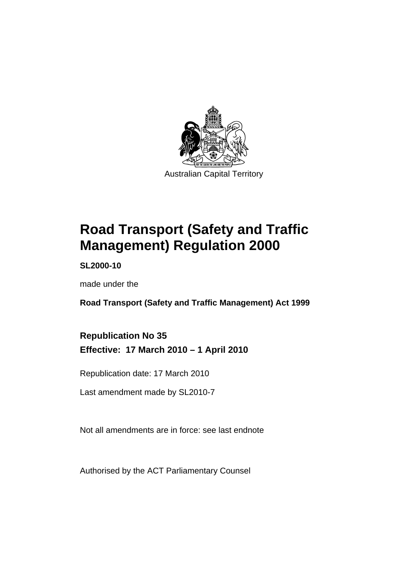

# **[Road Transport \(Safety and Traffic](#page-10-0)  [Management\) Regulation 2000](#page-10-0)**

**SL2000-10** 

made under the

**[Road Transport \(Safety and Traffic Management\) Act 1999](#page-10-0)** 

## **Republication No 35 Effective: 17 March 2010 – 1 April 2010**

Republication date: 17 March 2010

Last amendment made by SL2010-7

Not all amendments are in force: see last endnote

Authorised by the ACT Parliamentary Counsel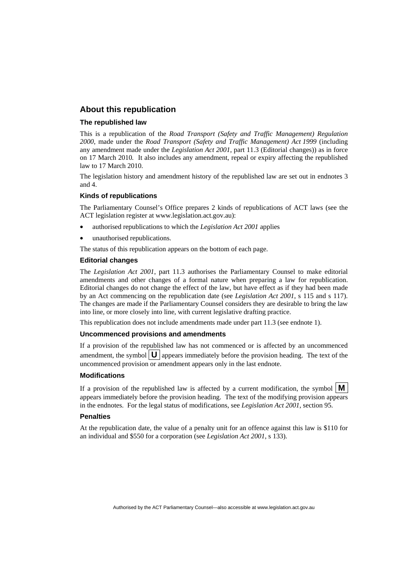#### **About this republication**

#### **The republished law**

This is a republication of the *Road Transport (Safety and Traffic Management) Regulation 2000*, made under the *[Road Transport \(Safety and Traffic Management\) Act 1999](#page-10-0)* (including any amendment made under the *Legislation Act 2001*, part 11.3 (Editorial changes)) as in force on 17 March 2010*.* It also includes any amendment, repeal or expiry affecting the republished law to 17 March 2010.

The legislation history and amendment history of the republished law are set out in endnotes 3 and 4.

#### **Kinds of republications**

The Parliamentary Counsel's Office prepares 2 kinds of republications of ACT laws (see the ACT legislation register at www.legislation.act.gov.au):

- authorised republications to which the *Legislation Act 2001* applies
- unauthorised republications.

The status of this republication appears on the bottom of each page.

#### **Editorial changes**

The *Legislation Act 2001*, part 11.3 authorises the Parliamentary Counsel to make editorial amendments and other changes of a formal nature when preparing a law for republication. Editorial changes do not change the effect of the law, but have effect as if they had been made by an Act commencing on the republication date (see *Legislation Act 2001*, s 115 and s 117). The changes are made if the Parliamentary Counsel considers they are desirable to bring the law into line, or more closely into line, with current legislative drafting practice.

This republication does not include amendments made under part 11.3 (see endnote 1).

#### **Uncommenced provisions and amendments**

If a provision of the republished law has not commenced or is affected by an uncommenced amendment, the symbol  $\mathbf{U}$  appears immediately before the provision heading. The text of the uncommenced provision or amendment appears only in the last endnote.

#### **Modifications**

If a provision of the republished law is affected by a current modification, the symbol  $\vert \mathbf{M} \vert$ appears immediately before the provision heading. The text of the modifying provision appears in the endnotes. For the legal status of modifications, see *Legislation Act 2001*, section 95.

#### **Penalties**

At the republication date, the value of a penalty unit for an offence against this law is \$110 for an individual and \$550 for a corporation (see *Legislation Act 2001*, s 133).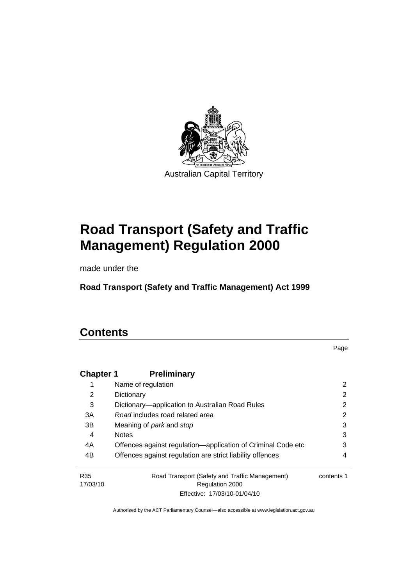

# **[Road Transport \(Safety and Traffic](#page-10-0)  [Management\) Regulation 2000](#page-10-0)**

made under the

**[Road Transport \(Safety and Traffic Management\) Act 1999](#page-10-0)** 

# **Contents**

Page

| <b>Chapter 1</b>            | <b>Preliminary</b>                                                |            |
|-----------------------------|-------------------------------------------------------------------|------------|
| 1                           | Name of regulation                                                | 2          |
| 2                           | Dictionary                                                        | 2          |
| 3                           | Dictionary—application to Australian Road Rules                   | 2          |
| 3A                          | Road includes road related area                                   | 2          |
| 3B                          | Meaning of <i>park</i> and <i>stop</i>                            | 3          |
| 4                           | <b>Notes</b>                                                      | 3          |
| 4A                          | Offences against regulation—application of Criminal Code etc      | 3          |
| 4B                          | Offences against regulation are strict liability offences         | 4          |
| R <sub>35</sub><br>17/03/10 | Road Transport (Safety and Traffic Management)<br>Regulation 2000 | contents 1 |
|                             | Effective: 17/03/10-01/04/10                                      |            |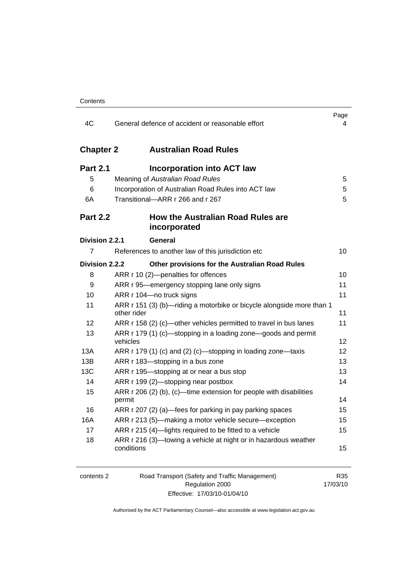| 4C               | General defence of accident or reasonable effort                                     | Page<br>4       |
|------------------|--------------------------------------------------------------------------------------|-----------------|
| <b>Chapter 2</b> | <b>Australian Road Rules</b>                                                         |                 |
| <b>Part 2.1</b>  | <b>Incorporation into ACT law</b>                                                    |                 |
| 5                | Meaning of Australian Road Rules                                                     | 5               |
| 6                | Incorporation of Australian Road Rules into ACT law                                  | 5               |
| 6A               | Transitional-ARR r 266 and r 267                                                     | 5               |
| <b>Part 2.2</b>  | How the Australian Road Rules are<br>incorporated                                    |                 |
| Division 2.2.1   | General                                                                              |                 |
| 7                | References to another law of this jurisdiction etc                                   | 10              |
| Division 2.2.2   | Other provisions for the Australian Road Rules                                       |                 |
| 8                | ARR r 10 (2)-penalties for offences                                                  | 10 <sup>1</sup> |
| 9                | ARR r 95-emergency stopping lane only signs                                          | 11              |
| 10               | ARR r 104-no truck signs                                                             | 11              |
| 11               | ARR r 151 (3) (b)-riding a motorbike or bicycle alongside more than 1<br>other rider | 11              |
| 12               | ARR r 158 (2) (c)-other vehicles permitted to travel in bus lanes                    | 11              |
| 13               | ARR r 179 (1) (c)—stopping in a loading zone—goods and permit<br>vehicles            | 12              |
| 13A              | ARR r 179 (1) (c) and (2) (c)—stopping in loading zone—taxis                         | 12              |
| 13B              | ARR r 183-stopping in a bus zone                                                     | 13              |
| 13C              | ARR r 195-stopping at or near a bus stop                                             | 13              |
| 14               | ARR r 199 (2)-stopping near postbox                                                  | 14              |
| 15               | ARR r 206 (2) (b), (c)—time extension for people with disabilities<br>permit         | 14              |
| 16               | ARR r 207 (2) (a)—fees for parking in pay parking spaces                             | 15              |
| 16A              | ARR r 213 (5)—making a motor vehicle secure—exception                                | 15              |
| 17               | ARR r 215 (4)-lights required to be fitted to a vehicle                              | 15              |
| 18               | ARR r 216 (3)—towing a vehicle at night or in hazardous weather<br>conditions        | 15              |

| contents 2 | Road Transport (Safety and Traffic Management) | R35      |
|------------|------------------------------------------------|----------|
|            | Regulation 2000                                | 17/03/10 |
|            | Effective: 17/03/10-01/04/10                   |          |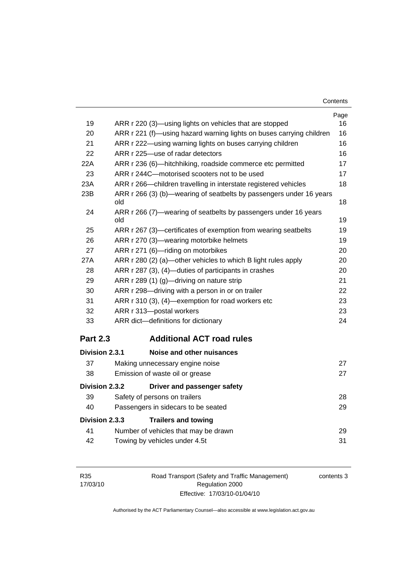| Contents |
|----------|
|----------|

| 19              | ARR r 220 (3)—using lights on vehicles that are stopped              | Page<br>16 |
|-----------------|----------------------------------------------------------------------|------------|
| 20              | ARR r 221 (f)—using hazard warning lights on buses carrying children | 16         |
| 21              | ARR r 222—using warning lights on buses carrying children            | 16         |
| 22              | ARR r 225-use of radar detectors                                     | 16         |
| 22A             | ARR r 236 (6)-hitchhiking, roadside commerce etc permitted           | 17         |
| 23              | ARR r 244C-motorised scooters not to be used                         | 17         |
| 23A             | ARR r 266-children travelling in interstate registered vehicles      | 18         |
| 23B             | ARR r 266 (3) (b)-wearing of seatbelts by passengers under 16 years  |            |
|                 | old                                                                  | 18         |
| 24              | ARR r 266 (7)—wearing of seatbelts by passengers under 16 years      |            |
|                 | old                                                                  | 19         |
| 25              | ARR r 267 (3)—certificates of exemption from wearing seatbelts       | 19         |
| 26              | ARR r 270 (3)—wearing motorbike helmets                              | 19         |
| 27              | ARR r 271 (6)-riding on motorbikes                                   | 20         |
| 27A             | ARR r 280 (2) (a)—other vehicles to which B light rules apply        | 20         |
| 28              | ARR r 287 (3), (4)—duties of participants in crashes                 | 20         |
| 29              | ARR r 289 (1) (g)-driving on nature strip                            | 21         |
| 30              | ARR r 298-driving with a person in or on trailer                     | 22         |
| 31              | ARR r 310 (3), (4)-exemption for road workers etc                    | 23         |
| 32              | ARR r 313-postal workers                                             | 23         |
| 33              | ARR dict-definitions for dictionary                                  | 24         |
| <b>Part 2.3</b> | <b>Additional ACT road rules</b>                                     |            |
| Division 2.3.1  | Noise and other nuisances                                            |            |
| 37              | Making unnecessary engine noise                                      | 27         |
| 38              | Emission of waste oil or grease                                      | 27         |
| Division 2.3.2  | Driver and passenger safety                                          |            |
| 39              | Safety of persons on trailers                                        | 28         |
| 40              | Passengers in sidecars to be seated                                  | 29         |
| Division 2.3.3  | <b>Trailers and towing</b>                                           |            |
| 41              | Number of vehicles that may be drawn                                 | 29         |
|                 |                                                                      |            |

|    | Number of vehicles that may be drawn |  |
|----|--------------------------------------|--|
| 42 | Towing by vehicles under 4.5t        |  |

| R35      |
|----------|
| 17/03/10 |

Road Transport (Safety and Traffic Management) Regulation 2000 Effective: 17/03/10-01/04/10

contents 3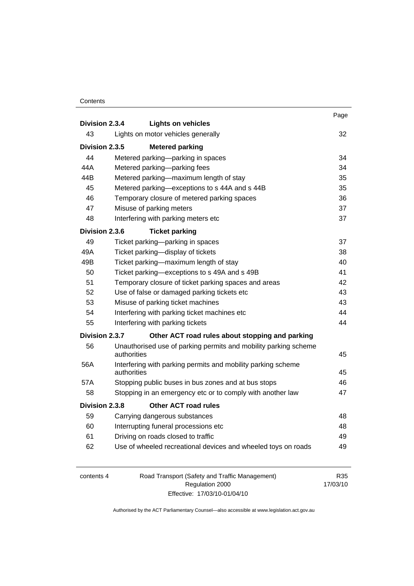#### **Contents**

|                |             |                                                                 | Page |  |
|----------------|-------------|-----------------------------------------------------------------|------|--|
| Division 2.3.4 |             | <b>Lights on vehicles</b>                                       |      |  |
| 43             |             | Lights on motor vehicles generally                              | 32   |  |
| Division 2.3.5 |             | <b>Metered parking</b>                                          |      |  |
| 44             |             | Metered parking-parking in spaces                               | 34   |  |
| 44A            |             | Metered parking-parking fees                                    | 34   |  |
| 44B            |             | Metered parking-maximum length of stay                          | 35   |  |
| 45             |             | Metered parking-exceptions to s 44A and s 44B                   | 35   |  |
| 46             |             | Temporary closure of metered parking spaces                     | 36   |  |
| 47             |             | Misuse of parking meters                                        | 37   |  |
| 48             |             | Interfering with parking meters etc                             | 37   |  |
| Division 2.3.6 |             | <b>Ticket parking</b>                                           |      |  |
| 49             |             | Ticket parking—parking in spaces                                | 37   |  |
| 49A            |             | Ticket parking-display of tickets                               | 38   |  |
| 49B            |             | Ticket parking-maximum length of stay                           | 40   |  |
| 50             |             | Ticket parking-exceptions to s 49A and s 49B                    |      |  |
| 51             |             | Temporary closure of ticket parking spaces and areas            |      |  |
| 52             |             | Use of false or damaged parking tickets etc                     | 43   |  |
| 53             |             | Misuse of parking ticket machines                               | 43   |  |
| 54             |             | Interfering with parking ticket machines etc                    | 44   |  |
| 55             |             | Interfering with parking tickets                                | 44   |  |
| Division 2.3.7 |             | Other ACT road rules about stopping and parking                 |      |  |
| 56             |             | Unauthorised use of parking permits and mobility parking scheme |      |  |
|                | authorities |                                                                 | 45   |  |
| 56A            | authorities | Interfering with parking permits and mobility parking scheme    | 45   |  |
| 57A            |             | Stopping public buses in bus zones and at bus stops             | 46   |  |
| 58             |             | Stopping in an emergency etc or to comply with another law      | 47   |  |
| Division 2.3.8 |             | <b>Other ACT road rules</b>                                     |      |  |
| 59             |             | Carrying dangerous substances                                   | 48   |  |
| 60             |             | Interrupting funeral processions etc                            | 48   |  |
| 61             |             | Driving on roads closed to traffic                              | 49   |  |
| 62             |             | Use of wheeled recreational devices and wheeled toys on roads   | 49   |  |
|                |             |                                                                 |      |  |

| contents 4 | Road Transport (Safety and Traffic Management) | R35      |
|------------|------------------------------------------------|----------|
|            | Regulation 2000                                | 17/03/10 |
|            | Effective: 17/03/10-01/04/10                   |          |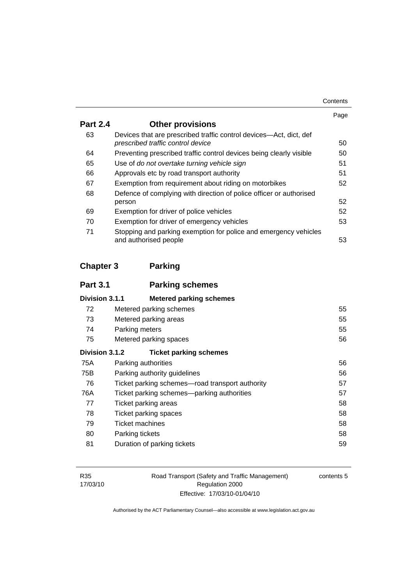| Contents |
|----------|
|----------|

|                 |                                                                                                         | Page |
|-----------------|---------------------------------------------------------------------------------------------------------|------|
| <b>Part 2.4</b> | <b>Other provisions</b>                                                                                 |      |
| 63              | Devices that are prescribed traffic control devices—Act, dict, def<br>prescribed traffic control device | 50   |
| 64              | Preventing prescribed traffic control devices being clearly visible                                     | 50   |
| 65              | Use of do not overtake turning vehicle sign                                                             | 51   |
| 66              | Approvals etc by road transport authority                                                               | 51   |
| 67              | Exemption from requirement about riding on motorbikes                                                   | 52   |
| 68              | Defence of complying with direction of police officer or authorised                                     |      |
|                 | person                                                                                                  | 52   |
| 69              | Exemption for driver of police vehicles                                                                 | 52   |
| 70              | Exemption for driver of emergency vehicles                                                              | 53   |
| 71              | Stopping and parking exemption for police and emergency vehicles<br>and authorised people               | 53   |

# **Chapter 3 Parking**

| <b>Part 3.1</b> | <b>Parking schemes</b>                           |    |
|-----------------|--------------------------------------------------|----|
| Division 3.1.1  | <b>Metered parking schemes</b>                   |    |
| 72              | Metered parking schemes                          | 55 |
| 73              | Metered parking areas                            | 55 |
| 74              | Parking meters                                   | 55 |
| 75              | Metered parking spaces                           | 56 |
| Division 3.1.2  | <b>Ticket parking schemes</b>                    |    |
| 75A             | Parking authorities                              | 56 |
| 75B             | Parking authority guidelines                     | 56 |
| 76              | Ticket parking schemes—road transport authority  | 57 |
| 76A             | 57<br>Ticket parking schemes—parking authorities |    |
| 77              | Ticket parking areas                             | 58 |
| 78              | Ticket parking spaces                            | 58 |
| 79              | Ticket machines                                  | 58 |
| 80              | Parking tickets                                  | 58 |
| 81              | Duration of parking tickets                      | 59 |

Road Transport (Safety and Traffic Management) Regulation 2000 Effective: 17/03/10-01/04/10

contents 5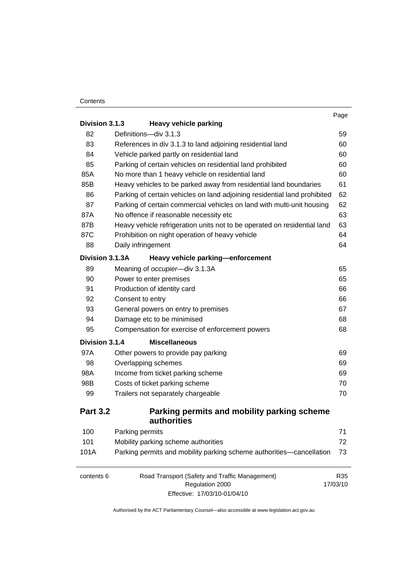#### **Contents**

|                 |                                                                           | Page            |
|-----------------|---------------------------------------------------------------------------|-----------------|
| Division 3.1.3  | <b>Heavy vehicle parking</b>                                              |                 |
| 82              | Definitions-div 3.1.3                                                     | 59              |
| 83              | References in div 3.1.3 to land adjoining residential land                | 60              |
| 84              | Vehicle parked partly on residential land                                 | 60              |
| 85              | Parking of certain vehicles on residential land prohibited                | 60              |
| 85A             | No more than 1 heavy vehicle on residential land                          | 60              |
| 85B             | Heavy vehicles to be parked away from residential land boundaries         | 61              |
| 86              | Parking of certain vehicles on land adjoining residential land prohibited | 62              |
| 87              | Parking of certain commercial vehicles on land with multi-unit housing    | 62              |
| 87A             | No offence if reasonable necessity etc                                    | 63              |
| 87B             | Heavy vehicle refrigeration units not to be operated on residential land  | 63              |
| 87C             | Prohibition on night operation of heavy vehicle                           | 64              |
| 88              | Daily infringement                                                        | 64              |
| Division 3.1.3A | Heavy vehicle parking-enforcement                                         |                 |
| 89              | Meaning of occupier-div 3.1.3A                                            | 65              |
| 90              | Power to enter premises                                                   | 65              |
| 91              | Production of identity card                                               | 66              |
| 92              | Consent to entry                                                          | 66              |
| 93              | General powers on entry to premises                                       | 67              |
| 94              | Damage etc to be minimised                                                | 68              |
| 95              | Compensation for exercise of enforcement powers                           | 68              |
| Division 3.1.4  | <b>Miscellaneous</b>                                                      |                 |
| 97A             | Other powers to provide pay parking                                       | 69              |
| 98              | Overlapping schemes                                                       | 69              |
| 98A             | Income from ticket parking scheme                                         | 69              |
| 98B             | Costs of ticket parking scheme                                            | 70              |
| 99              | Trailers not separately chargeable                                        | 70              |
| <b>Part 3.2</b> | Parking permits and mobility parking scheme                               |                 |
|                 | authorities                                                               |                 |
| 100             | Parking permits                                                           | 71              |
| 101             | Mobility parking scheme authorities                                       | 72              |
| 101A            | Parking permits and mobility parking scheme authorities-cancellation      | 73              |
| contents 6      | Road Transport (Safety and Traffic Management)<br>Regulation 2000         | R35<br>17/03/10 |
|                 | Effective: 17/03/10-01/04/10                                              |                 |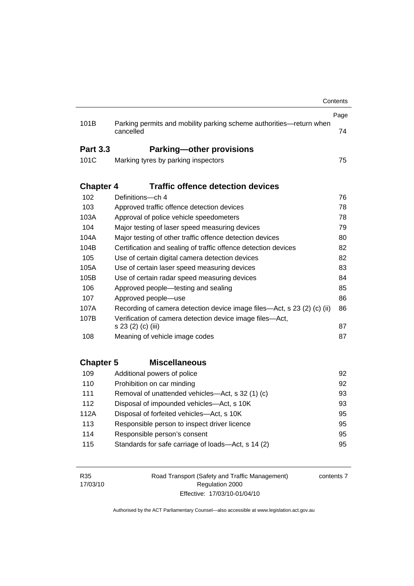|                  |                                                                         | Contents |
|------------------|-------------------------------------------------------------------------|----------|
|                  |                                                                         | Page     |
| 101B             | Parking permits and mobility parking scheme authorities-return when     |          |
|                  | cancelled                                                               | 74       |
| <b>Part 3.3</b>  | <b>Parking-other provisions</b>                                         |          |
| 101C             | Marking tyres by parking inspectors                                     | 75       |
|                  |                                                                         |          |
| <b>Chapter 4</b> | <b>Traffic offence detection devices</b>                                |          |
| 102              | Definitions-ch 4                                                        | 76       |
| 103              | Approved traffic offence detection devices                              | 78       |
| 103A             | Approval of police vehicle speedometers                                 | 78       |
| 104              | Major testing of laser speed measuring devices                          | 79       |
| 104A             | Major testing of other traffic offence detection devices                | 80       |
| 104B             | Certification and sealing of traffic offence detection devices          | 82       |
| 105              | Use of certain digital camera detection devices                         | 82       |
| 105A             | Use of certain laser speed measuring devices                            | 83       |
| 105B             | Use of certain radar speed measuring devices                            | 84       |
| 106              | Approved people—testing and sealing                                     | 85       |
| 107              | Approved people-use                                                     | 86       |
| 107A             | Recording of camera detection device image files—Act, s 23 (2) (c) (ii) | 86       |
| 107B             | Verification of camera detection device image files-Act,                |          |
|                  | s 23 (2) (c) (iii)                                                      | 87       |
| 108              | Meaning of vehicle image codes                                          | 87       |
|                  |                                                                         |          |
| <b>Chapter 5</b> | <b>Miscellaneous</b>                                                    |          |
| 109              | Additional powers of police                                             | 92       |
| 110              | Prohibition on car minding                                              | 92       |
| 111              | Removal of unattended vehicles-Act, s 32 (1) (c)                        | 93       |
| 112              | Disposal of impounded vehicles-Act, s 10K                               | 93       |
| 112A             | Disposal of forfeited vehicles-Act, s 10K                               | 95       |
| 113              | Responsible person to inspect driver licence                            | 95       |
| 114              | Responsible person's consent                                            | 95       |
| 115              | Standards for safe carriage of loads-Act, s 14 (2)                      | 95       |
|                  |                                                                         |          |
|                  |                                                                         |          |

R35 17/03/10 Road Transport (Safety and Traffic Management) Regulation 2000 Effective: 17/03/10-01/04/10

contents 7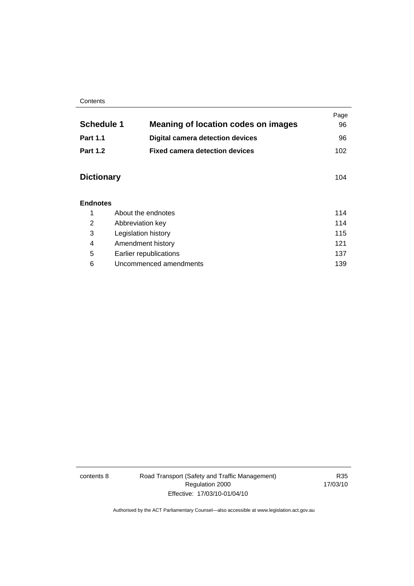#### **Contents**

| <b>Schedule 1</b> | <b>Meaning of location codes on images</b> | Page<br>96 |
|-------------------|--------------------------------------------|------------|
| <b>Part 1.1</b>   | <b>Digital camera detection devices</b>    | 96         |
| <b>Part 1.2</b>   | <b>Fixed camera detection devices</b>      | 102        |
| <b>Dictionary</b> |                                            | 104        |
| <b>Endnotes</b>   |                                            |            |
| 1                 | About the endnotes                         | 114        |
| 2                 | Abbreviation key                           | 114        |
| 3                 | Legislation history                        | 115        |
| 4                 | Amendment history                          | 121        |
| 5                 | Earlier republications                     | 137        |
| 6                 | Uncommenced amendments                     | 139        |

contents 8 Road Transport (Safety and Traffic Management) Regulation 2000 Effective: 17/03/10-01/04/10

R35 17/03/10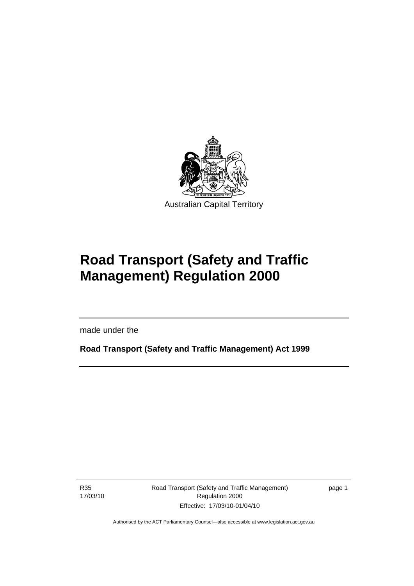<span id="page-10-0"></span>

# **Road Transport (Safety and Traffic Management) Regulation 2000**

made under the

**Road Transport (Safety and Traffic Management) Act 1999** 

R35 17/03/10

l

Road Transport (Safety and Traffic Management) Regulation 2000 Effective: 17/03/10-01/04/10

page 1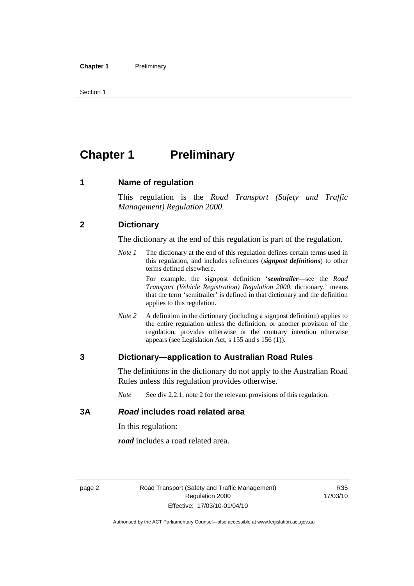<span id="page-11-0"></span>Section 1

# **Chapter 1** Preliminary

#### **1 Name of regulation**

This regulation is the *Road Transport (Safety and Traffic Management) Regulation 2000*.

#### **2 Dictionary**

The dictionary at the end of this regulation is part of the regulation.

*Note 1* The dictionary at the end of this regulation defines certain terms used in this regulation, and includes references (*signpost definitions*) to other terms defined elsewhere.

> For example, the signpost definition '*semitrailer*—see the *Road Transport (Vehicle Registration) Regulation 2000*, dictionary.' means that the term 'semitrailer' is defined in that dictionary and the definition applies to this regulation.

*Note 2* A definition in the dictionary (including a signpost definition) applies to the entire regulation unless the definition, or another provision of the regulation, provides otherwise or the contrary intention otherwise appears (see Legislation Act, s 155 and s 156 (1)).

#### **3 Dictionary—application to Australian Road Rules**

The definitions in the dictionary do not apply to the Australian Road Rules unless this regulation provides otherwise.

*Note* See div 2.2.1, note 2 for the relevant provisions of this regulation.

#### **3A** *Road* **includes road related area**

In this regulation:

*road* includes a road related area.

R35 17/03/10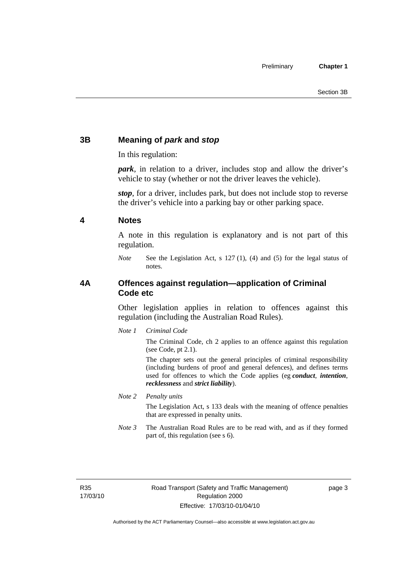### <span id="page-12-0"></span>**3B Meaning of** *park* **and** *stop*

In this regulation:

*park*, in relation to a driver, includes stop and allow the driver's vehicle to stay (whether or not the driver leaves the vehicle).

*stop*, for a driver, includes park, but does not include stop to reverse the driver's vehicle into a parking bay or other parking space.

#### **4 Notes**

A note in this regulation is explanatory and is not part of this regulation.

*Note* See the Legislation Act, s 127 (1), (4) and (5) for the legal status of notes.

#### **4A Offences against regulation—application of Criminal Code etc**

Other legislation applies in relation to offences against this regulation (including the Australian Road Rules).

*Note 1 Criminal Code*

The Criminal Code, ch 2 applies to an offence against this regulation (see Code, pt 2.1).

The chapter sets out the general principles of criminal responsibility (including burdens of proof and general defences), and defines terms used for offences to which the Code applies (eg *conduct*, *intention*, *recklessness* and *strict liability*).

*Note 2 Penalty units* 

The Legislation Act, s 133 deals with the meaning of offence penalties that are expressed in penalty units.

*Note 3* The Australian Road Rules are to be read with, and as if they formed part of, this regulation (see s 6).

R35 17/03/10 page 3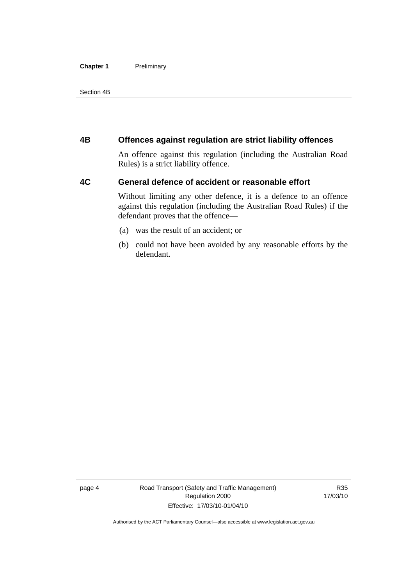#### <span id="page-13-0"></span>**Chapter 1** Preliminary

Section 4B

#### **4B Offences against regulation are strict liability offences**

An offence against this regulation (including the Australian Road Rules) is a strict liability offence.

#### **4C General defence of accident or reasonable effort**

Without limiting any other defence, it is a defence to an offence against this regulation (including the Australian Road Rules) if the defendant proves that the offence—

- (a) was the result of an accident; or
- (b) could not have been avoided by any reasonable efforts by the defendant.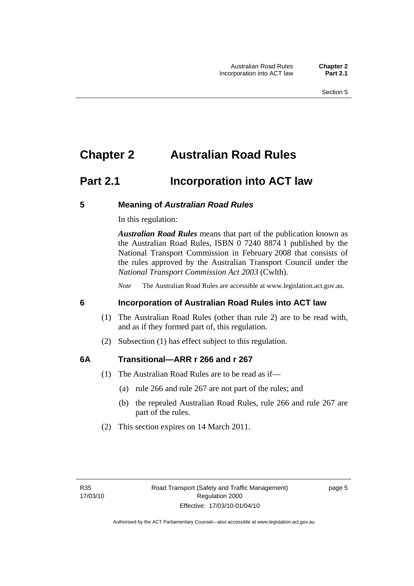# <span id="page-14-0"></span>**Chapter 2 Australian Road Rules**

## **Part 2.1 Incorporation into ACT law**

#### **5 Meaning of** *Australian Road Rules*

In this regulation:

*Australian Road Rules* means that part of the publication known as the Australian Road Rules, ISBN 0 7240 8874 1 published by the National Transport Commission in February 2008 that consists of the rules approved by the Australian Transport Council under the *National Transport Commission Act 2003* (Cwlth).

*Note* The Australian Road Rules are accessible at www.legislation.act.gov.au.

#### **6 Incorporation of Australian Road Rules into ACT law**

- (1) The Australian Road Rules (other than rule 2) are to be read with, and as if they formed part of, this regulation.
- (2) Subsection (1) has effect subject to this regulation.

#### **6A Transitional—ARR r 266 and r 267**

- (1) The Australian Road Rules are to be read as if—
	- (a) rule 266 and rule 267 are not part of the rules; and
	- (b) the repealed Australian Road Rules, rule 266 and rule 267 are part of the rules.
- (2) This section expires on 14 March 2011.

page 5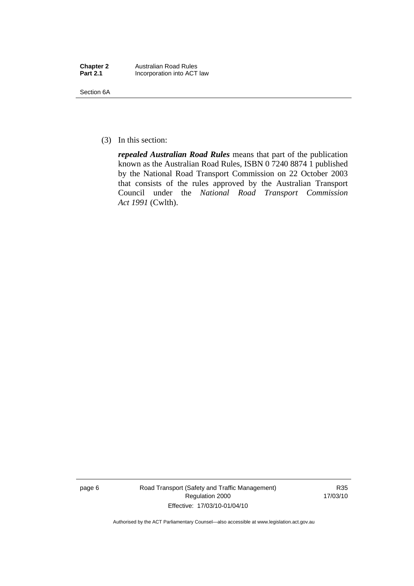| <b>Chapter 2</b> | <b>Australian Road Rules</b> |
|------------------|------------------------------|
| <b>Part 2.1</b>  | Incorporation into ACT law   |

Section 6A

(3) In this section:

*repealed Australian Road Rules* means that part of the publication known as the Australian Road Rules, ISBN 0 7240 8874 1 published by the National Road Transport Commission on 22 October 2003 that consists of the rules approved by the Australian Transport Council under the *National Road Transport Commission Act 1991* (Cwlth).

page 6 Road Transport (Safety and Traffic Management) Regulation 2000 Effective: 17/03/10-01/04/10

R35 17/03/10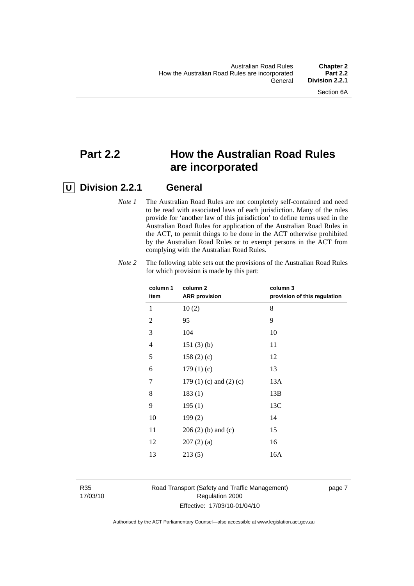## **Part 2.2 How the Australian Road Rules are incorporated**

### **U Division 2.2.1 General**

*Note 1* The Australian Road Rules are not completely self-contained and need to be read with associated laws of each jurisdiction. Many of the rules provide for 'another law of this jurisdiction' to define terms used in the Australian Road Rules for application of the Australian Road Rules in the ACT, to permit things to be done in the ACT otherwise prohibited by the Australian Road Rules or to exempt persons in the ACT from complying with the Australian Road Rules.

| column <sub>2</sub><br><b>ARR</b> provision | column 3<br>provision of this regulation |
|---------------------------------------------|------------------------------------------|
| 10(2)                                       | 8                                        |
| 95                                          | 9                                        |
| 104                                         | 10                                       |
| 151(3)(b)                                   | 11                                       |
| 158(2)(c)                                   | 12                                       |
| 179(1)(c)                                   | 13                                       |
| 179 $(1)$ $(c)$ and $(2)$ $(c)$             | 13A                                      |
| 183(1)                                      | 13B                                      |
| 195(1)                                      | 13C                                      |
| 199(2)                                      | 14                                       |
| $206(2)$ (b) and (c)                        | 15                                       |
| 207(2)(a)                                   | 16                                       |
| 213(5)                                      | 16A                                      |
|                                             |                                          |

*Note 2* The following table sets out the provisions of the Australian Road Rules for which provision is made by this part:

R35 17/03/10

#### Road Transport (Safety and Traffic Management) Regulation 2000 Effective: 17/03/10-01/04/10

page 7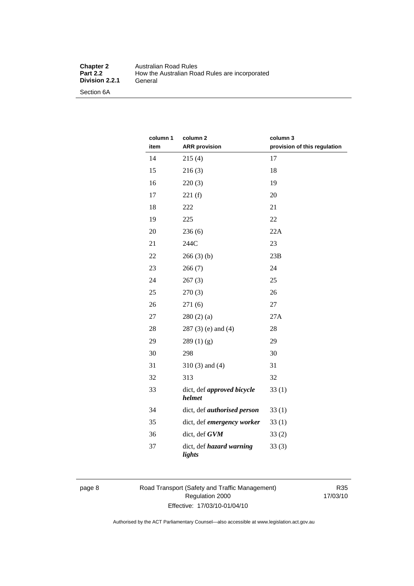#### **Chapter 2** Australian Road Rules<br>**Part 2.2** How the Australian Road **Production Product Product**<br> **Part 2.2 Product**<br> **Part 2.2 Product**<br> **Part 2.2 Product**<br> **Part 2.2 Product**<br> **Part 2.2 Product**<br> **Part 2.4 Product**<br> **Part 2.4 Product**<br> **Part 2.4 Product**<br> **Part 2.4 Product Division 2.2.1**

Section 6A

| column 1<br>item | column 2<br><b>ARR</b> provision          | column 3<br>provision of this regulation |
|------------------|-------------------------------------------|------------------------------------------|
| 14               | 215(4)                                    | 17                                       |
| 15               | 216(3)                                    | 18                                       |
| 16               | 220(3)                                    | 19                                       |
| 17               | 221(f)                                    | 20                                       |
| 18               | 222                                       | 21                                       |
| 19               | 225                                       | 22                                       |
| 20               | 236(6)                                    | 22A                                      |
| 21               | 244C                                      | 23                                       |
| 22               | 266(3)(b)                                 | 23B                                      |
| 23               | 266(7)                                    | 24                                       |
| 24               | 267(3)                                    | 25                                       |
| 25               | 270(3)                                    | 26                                       |
| 26               | 271 (6)                                   | 27                                       |
| 27               | 280(2)(a)                                 | 27A                                      |
| 28               | $287(3)$ (e) and (4)                      | 28                                       |
| 29               | 289(1)(g)                                 | 29                                       |
| 30               | 298                                       | 30                                       |
| 31               | $310(3)$ and $(4)$                        | 31                                       |
| 32               | 313                                       | 32                                       |
| 33               | dict, def approved bicycle<br>helmet      | 33(1)                                    |
| 34               | dict, def <i>authorised</i> person        | 33(1)                                    |
| 35               | dict, def emergency worker                | 33(1)                                    |
| 36               | dict, def GVM                             | 33(2)                                    |
| 37               | dict, def <i>hazard warning</i><br>lights | 33(3)                                    |

#### page 8 Road Transport (Safety and Traffic Management) Regulation 2000 Effective: 17/03/10-01/04/10

R35 17/03/10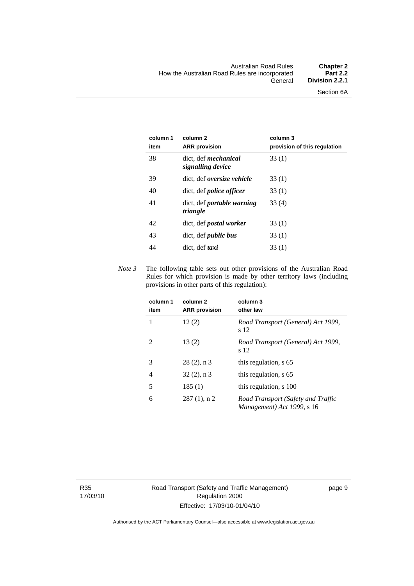| column 1<br>item | column <sub>2</sub><br><b>ARR</b> provision      | column 3<br>provision of this regulation |
|------------------|--------------------------------------------------|------------------------------------------|
| 38               | dict, def <i>mechanical</i><br>signalling device | 33 (1)                                   |
| 39               | dict, def <i>oversize</i> vehicle                | 33(1)                                    |
| 40               | dict, def <i>police</i> officer                  | 33(1)                                    |
| 41               | dict, def <i>portable</i> warning<br>triangle    | 33(4)                                    |
| 42               | dict, def <i>postal</i> worker                   | 33(1)                                    |
| 43               | dict, def <i>public bus</i>                      | 33(1)                                    |
| 44               | dict, def <i>taxi</i>                            | 33(1)                                    |

*Note 3* The following table sets out other provisions of the Australian Road Rules for which provision is made by other territory laws (including provisions in other parts of this regulation):

| column 1<br>item | column <sub>2</sub><br><b>ARR</b> provision | column 3<br>other law                                            |
|------------------|---------------------------------------------|------------------------------------------------------------------|
|                  | 12(2)                                       | Road Transport (General) Act 1999,<br>s 12                       |
| $\mathfrak{D}$   | 13(2)                                       | Road Transport (General) Act 1999,<br>s 12                       |
| 3                | $28(2)$ , n 3                               | this regulation, s 65                                            |
| 4                | $32(2)$ , n 3                               | this regulation, s 65                                            |
| 5                | 185(1)                                      | this regulation, s 100                                           |
| 6                | $287(1)$ , n 2                              | Road Transport (Safety and Traffic<br>Management) Act 1999, s 16 |

R35 17/03/10 Road Transport (Safety and Traffic Management) Regulation 2000 Effective: 17/03/10-01/04/10

page 9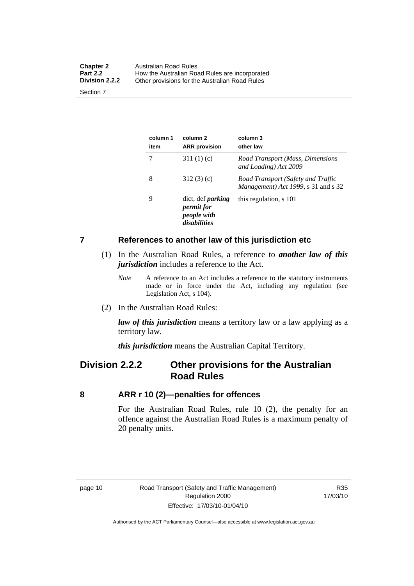<span id="page-19-0"></span>

| <b>Chapter 2</b><br><b>Part 2.2</b><br><b>Division 2.2.2</b> | Australian Road Rules<br>How the Australian Road Rules are incorporated |
|--------------------------------------------------------------|-------------------------------------------------------------------------|
| Section 7                                                    | Other provisions for the Australian Road Rules                          |

**column 1 item column 2 ARR provision column 3 other law**  7 311 (1) (c) *Road Transport (Mass, Dimensions and Loading) Act 2009*  8 312 (3) (c) *Road Transport (Safety and Traffic Management) Act 1999*, s 31 and s 32 9 dict, def *parking permit for people with disabilities* this regulation, s 101

#### **7 References to another law of this jurisdiction etc**

- (1) In the Australian Road Rules, a reference to *another law of this jurisdiction* includes a reference to the Act.
	- *Note* A reference to an Act includes a reference to the statutory instruments made or in force under the Act, including any regulation (see Legislation Act, s 104).
- (2) In the Australian Road Rules:

*law of this jurisdiction* means a territory law or a law applying as a territory law.

*this jurisdiction* means the Australian Capital Territory.

### **Division 2.2.2 Other provisions for the Australian Road Rules**

#### **8 ARR r 10 (2)—penalties for offences**

For the Australian Road Rules, rule 10 (2), the penalty for an offence against the Australian Road Rules is a maximum penalty of 20 penalty units.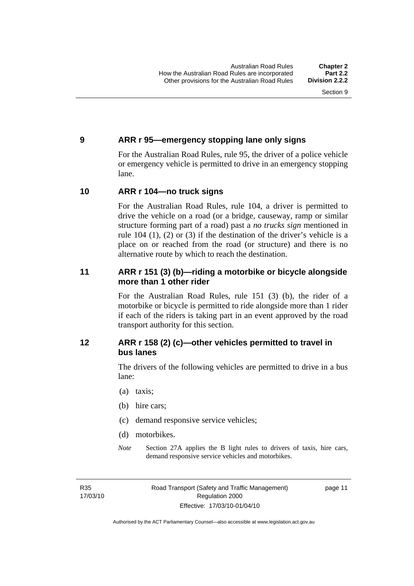#### <span id="page-20-0"></span>**9 ARR r 95—emergency stopping lane only signs**

For the Australian Road Rules, rule 95, the driver of a police vehicle or emergency vehicle is permitted to drive in an emergency stopping lane.

#### **10 ARR r 104—no truck signs**

For the Australian Road Rules, rule 104, a driver is permitted to drive the vehicle on a road (or a bridge, causeway, ramp or similar structure forming part of a road) past a *no trucks sign* mentioned in rule 104 (1), (2) or (3) if the destination of the driver's vehicle is a place on or reached from the road (or structure) and there is no alternative route by which to reach the destination.

#### **11 ARR r 151 (3) (b)—riding a motorbike or bicycle alongside more than 1 other rider**

For the Australian Road Rules, rule 151 (3) (b), the rider of a motorbike or bicycle is permitted to ride alongside more than 1 rider if each of the riders is taking part in an event approved by the road transport authority for this section.

#### **12 ARR r 158 (2) (c)—other vehicles permitted to travel in bus lanes**

The drivers of the following vehicles are permitted to drive in a bus lane:

- (a) taxis;
- (b) hire cars;
- (c) demand responsive service vehicles;
- (d) motorbikes.
- *Note* Section 27A applies the B light rules to drivers of taxis, hire cars, demand responsive service vehicles and motorbikes.

R35 17/03/10 page 11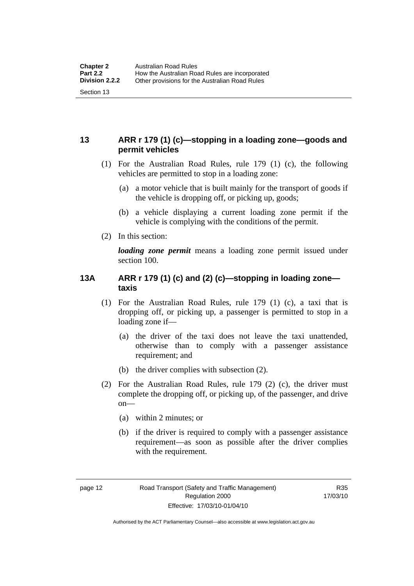#### <span id="page-21-0"></span>**13 ARR r 179 (1) (c)—stopping in a loading zone—goods and permit vehicles**

- (1) For the Australian Road Rules, rule 179 (1) (c), the following vehicles are permitted to stop in a loading zone:
	- (a) a motor vehicle that is built mainly for the transport of goods if the vehicle is dropping off, or picking up, goods;
	- (b) a vehicle displaying a current loading zone permit if the vehicle is complying with the conditions of the permit.
- (2) In this section:

*loading zone permit* means a loading zone permit issued under section 100.

#### **13A ARR r 179 (1) (c) and (2) (c)—stopping in loading zone taxis**

- (1) For the Australian Road Rules, rule 179 (1) (c), a taxi that is dropping off, or picking up, a passenger is permitted to stop in a loading zone if—
	- (a) the driver of the taxi does not leave the taxi unattended, otherwise than to comply with a passenger assistance requirement; and
	- (b) the driver complies with subsection (2).
- (2) For the Australian Road Rules, rule 179 (2) (c), the driver must complete the dropping off, or picking up, of the passenger, and drive  $on$ —
	- (a) within 2 minutes; or
	- (b) if the driver is required to comply with a passenger assistance requirement—as soon as possible after the driver complies with the requirement.

Authorised by the ACT Parliamentary Counsel—also accessible at www.legislation.act.gov.au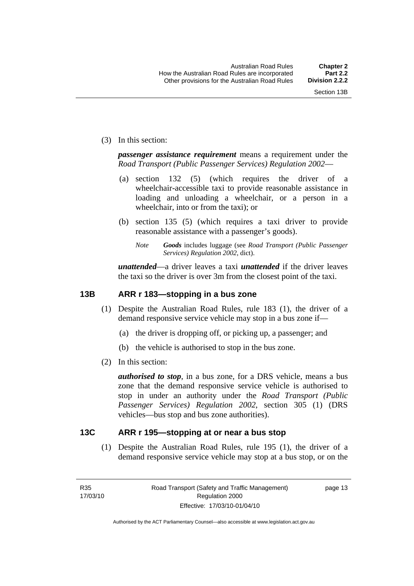<span id="page-22-0"></span>(3) In this section:

*passenger assistance requirement* means a requirement under the *Road Transport (Public Passenger Services) Regulation 2002*—

- (a) section 132 (5) (which requires the driver of a wheelchair-accessible taxi to provide reasonable assistance in loading and unloading a wheelchair, or a person in a wheelchair, into or from the taxi); or
- (b) section 135 (5) (which requires a taxi driver to provide reasonable assistance with a passenger's goods).
	- *Note Goods* includes luggage (see *Road Transport (Public Passenger Services) Regulation 2002*, dict).

*unattended*—a driver leaves a taxi *unattended* if the driver leaves the taxi so the driver is over 3m from the closest point of the taxi.

#### **13B ARR r 183—stopping in a bus zone**

- (1) Despite the Australian Road Rules, rule 183 (1), the driver of a demand responsive service vehicle may stop in a bus zone if—
	- (a) the driver is dropping off, or picking up, a passenger; and
	- (b) the vehicle is authorised to stop in the bus zone.
- (2) In this section:

*authorised to stop*, in a bus zone, for a DRS vehicle, means a bus zone that the demand responsive service vehicle is authorised to stop in under an authority under the *Road Transport (Public Passenger Services) Regulation 2002*, section 305 (1) (DRS vehicles—bus stop and bus zone authorities).

#### **13C ARR r 195—stopping at or near a bus stop**

 (1) Despite the Australian Road Rules, rule 195 (1), the driver of a demand responsive service vehicle may stop at a bus stop, or on the

R35 17/03/10 page 13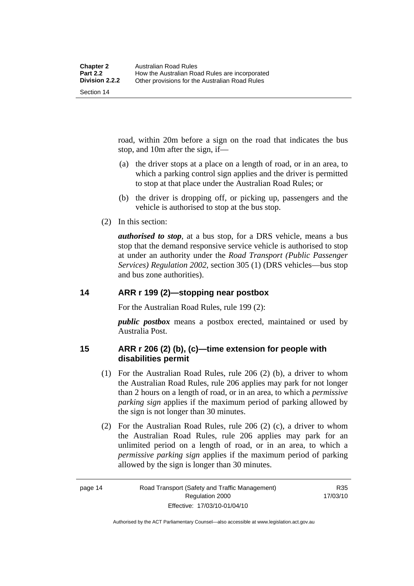<span id="page-23-0"></span>road, within 20m before a sign on the road that indicates the bus stop, and 10m after the sign, if—

- (a) the driver stops at a place on a length of road, or in an area, to which a parking control sign applies and the driver is permitted to stop at that place under the Australian Road Rules; or
- (b) the driver is dropping off, or picking up, passengers and the vehicle is authorised to stop at the bus stop.
- (2) In this section:

*authorised to stop*, at a bus stop, for a DRS vehicle, means a bus stop that the demand responsive service vehicle is authorised to stop at under an authority under the *Road Transport (Public Passenger Services) Regulation 2002*, section 305 (1) (DRS vehicles—bus stop and bus zone authorities).

#### **14 ARR r 199 (2)—stopping near postbox**

For the Australian Road Rules, rule 199 (2):

*public postbox* means a postbox erected, maintained or used by Australia Post.

#### **15 ARR r 206 (2) (b), (c)—time extension for people with disabilities permit**

- (1) For the Australian Road Rules, rule 206 (2) (b), a driver to whom the Australian Road Rules, rule 206 applies may park for not longer than 2 hours on a length of road, or in an area, to which a *permissive parking sign* applies if the maximum period of parking allowed by the sign is not longer than 30 minutes.
- (2) For the Australian Road Rules, rule 206 (2) (c), a driver to whom the Australian Road Rules, rule 206 applies may park for an unlimited period on a length of road, or in an area, to which a *permissive parking sign* applies if the maximum period of parking allowed by the sign is longer than 30 minutes.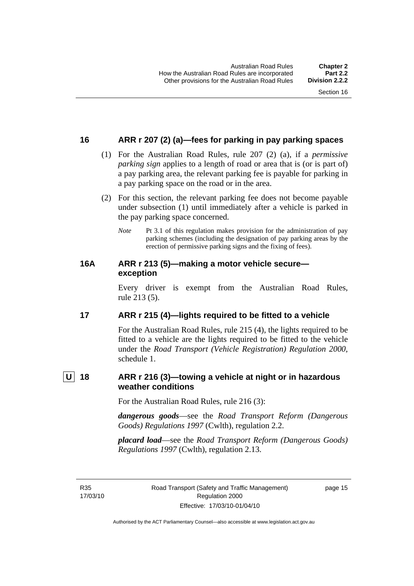#### <span id="page-24-0"></span>**16 ARR r 207 (2) (a)—fees for parking in pay parking spaces**

- (1) For the Australian Road Rules, rule 207 (2) (a), if a *permissive parking sign* applies to a length of road or area that is (or is part of) a pay parking area, the relevant parking fee is payable for parking in a pay parking space on the road or in the area.
- (2) For this section, the relevant parking fee does not become payable under subsection (1) until immediately after a vehicle is parked in the pay parking space concerned.
	- *Note* Pt 3.1 of this regulation makes provision for the administration of pay parking schemes (including the designation of pay parking areas by the erection of permissive parking signs and the fixing of fees).

#### **16A ARR r 213 (5)—making a motor vehicle secure exception**

Every driver is exempt from the Australian Road Rules, rule 213 (5).

#### **17 ARR r 215 (4)—lights required to be fitted to a vehicle**

For the Australian Road Rules, rule 215 (4), the lights required to be fitted to a vehicle are the lights required to be fitted to the vehicle under the *Road Transport (Vehicle Registration) Regulation 2000,*  schedule 1.

### **U 18 ARR r 216 (3)—towing a vehicle at night or in hazardous weather conditions**

For the Australian Road Rules, rule 216 (3):

*dangerous goods*—see the *Road Transport Reform (Dangerous Goods) Regulations 1997* (Cwlth), regulation 2.2.

*placard load*—see the *Road Transport Reform (Dangerous Goods) Regulations 1997* (Cwlth), regulation 2.13.

R35 17/03/10 page 15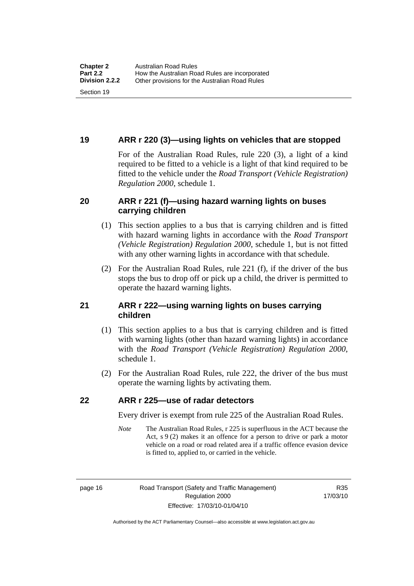#### <span id="page-25-0"></span>**19 ARR r 220 (3)—using lights on vehicles that are stopped**

For of the Australian Road Rules, rule 220 (3), a light of a kind required to be fitted to a vehicle is a light of that kind required to be fitted to the vehicle under the *Road Transport (Vehicle Registration) Regulation 2000*, schedule 1.

#### **20 ARR r 221 (f)—using hazard warning lights on buses carrying children**

- (1) This section applies to a bus that is carrying children and is fitted with hazard warning lights in accordance with the *Road Transport (Vehicle Registration) Regulation 2000*, schedule 1, but is not fitted with any other warning lights in accordance with that schedule.
- (2) For the Australian Road Rules, rule 221 (f), if the driver of the bus stops the bus to drop off or pick up a child, the driver is permitted to operate the hazard warning lights.

#### **21 ARR r 222—using warning lights on buses carrying children**

- (1) This section applies to a bus that is carrying children and is fitted with warning lights (other than hazard warning lights) in accordance with the *Road Transport (Vehicle Registration) Regulation 2000*, schedule 1.
- (2) For the Australian Road Rules, rule 222, the driver of the bus must operate the warning lights by activating them.

#### **22 ARR r 225—use of radar detectors**

Every driver is exempt from rule 225 of the Australian Road Rules.

*Note* The Australian Road Rules, r 225 is superfluous in the ACT because the Act, s 9 (2) makes it an offence for a person to drive or park a motor vehicle on a road or road related area if a traffic offence evasion device is fitted to, applied to, or carried in the vehicle.

R35 17/03/10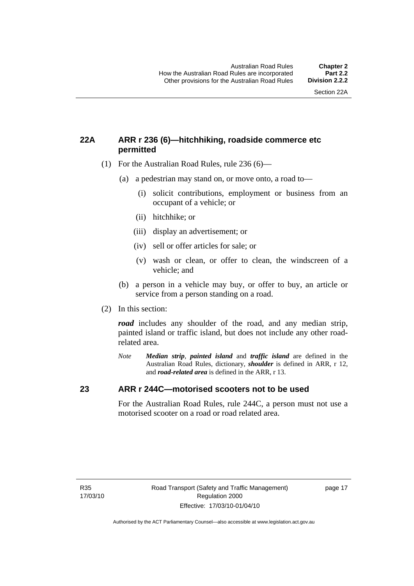#### <span id="page-26-0"></span>**22A ARR r 236 (6)—hitchhiking, roadside commerce etc permitted**

- (1) For the Australian Road Rules, rule 236 (6)—
	- (a) a pedestrian may stand on, or move onto, a road to—
		- (i) solicit contributions, employment or business from an occupant of a vehicle; or
		- (ii) hitchhike; or
		- (iii) display an advertisement; or
		- (iv) sell or offer articles for sale; or
		- (v) wash or clean, or offer to clean, the windscreen of a vehicle; and
	- (b) a person in a vehicle may buy, or offer to buy, an article or service from a person standing on a road.
- (2) In this section:

*road* includes any shoulder of the road, and any median strip, painted island or traffic island, but does not include any other roadrelated area.

*Note Median strip*, *painted island* and *traffic island* are defined in the Australian Road Rules, dictionary, *shoulder* is defined in ARR, r 12, and *road-related area* is defined in the ARR, r 13.

#### **23 ARR r 244C—motorised scooters not to be used**

For the Australian Road Rules, rule 244C, a person must not use a motorised scooter on a road or road related area.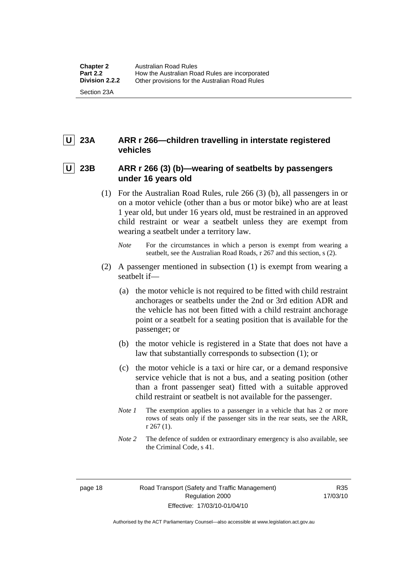### <span id="page-27-0"></span> **U 23A ARR r 266—children travelling in interstate registered vehicles**

#### 23B ARR r 266 (3) (b)—wearing of seatbelts by passengers **under 16 years old**

- (1) For the Australian Road Rules, rule 266 (3) (b), all passengers in or on a motor vehicle (other than a bus or motor bike) who are at least 1 year old, but under 16 years old, must be restrained in an approved child restraint or wear a seatbelt unless they are exempt from wearing a seatbelt under a territory law.
	- *Note* For the circumstances in which a person is exempt from wearing a seatbelt, see the Australian Road Roads, r 267 and this section, s (2).
- (2) A passenger mentioned in subsection (1) is exempt from wearing a seatbelt if—
	- (a) the motor vehicle is not required to be fitted with child restraint anchorages or seatbelts under the 2nd or 3rd edition ADR and the vehicle has not been fitted with a child restraint anchorage point or a seatbelt for a seating position that is available for the passenger; or
	- (b) the motor vehicle is registered in a State that does not have a law that substantially corresponds to subsection (1); or
	- (c) the motor vehicle is a taxi or hire car, or a demand responsive service vehicle that is not a bus, and a seating position (other than a front passenger seat) fitted with a suitable approved child restraint or seatbelt is not available for the passenger.
	- *Note 1* The exemption applies to a passenger in a vehicle that has 2 or more rows of seats only if the passenger sits in the rear seats, see the ARR, r 267 (1).
	- *Note* 2 The defence of sudden or extraordinary emergency is also available, see the Criminal Code, s 41.

R35 17/03/10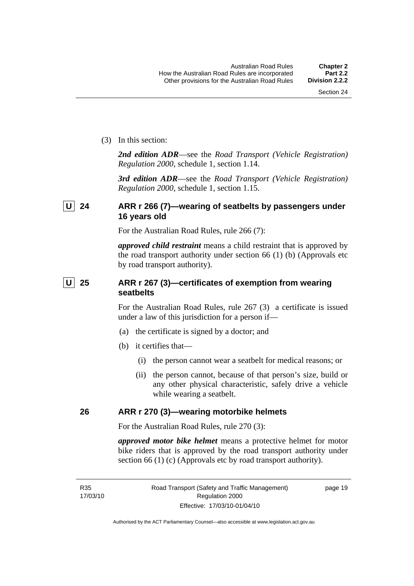<span id="page-28-0"></span>(3) In this section:

*2nd edition ADR*—see the *Road Transport (Vehicle Registration) Regulation 2000*, schedule 1, section 1.14.

*3rd edition ADR*—see the *Road Transport (Vehicle Registration) Regulation 2000*, schedule 1, section 1.15.

#### **U 24 ARR r 266 (7)—wearing of seatbelts by passengers under 16 years old**

For the Australian Road Rules, rule 266 (7):

*approved child restraint* means a child restraint that is approved by the road transport authority under section 66 (1) (b) (Approvals etc by road transport authority).

### **U** 25 ARR r 267 (3)—certificates of exemption from wearing **seatbelts**

For the Australian Road Rules, rule 267 (3) a certificate is issued under a law of this jurisdiction for a person if—

- (a) the certificate is signed by a doctor; and
- (b) it certifies that—
	- (i) the person cannot wear a seatbelt for medical reasons; or
	- (ii) the person cannot, because of that person's size, build or any other physical characteristic, safely drive a vehicle while wearing a seatbelt.

#### **26 ARR r 270 (3)—wearing motorbike helmets**

For the Australian Road Rules, rule 270 (3):

*approved motor bike helmet* means a protective helmet for motor bike riders that is approved by the road transport authority under section 66 (1) (c) (Approvals etc by road transport authority).

page 19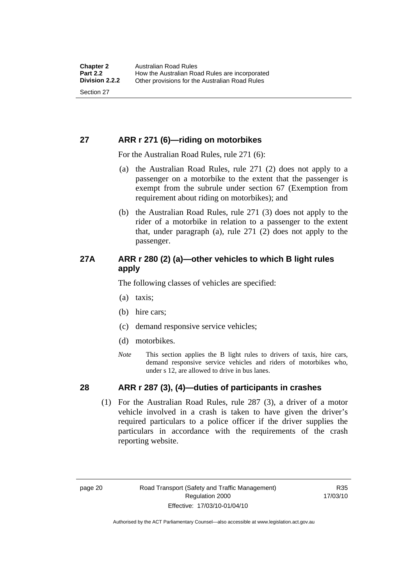#### <span id="page-29-0"></span>**27 ARR r 271 (6)—riding on motorbikes**

For the Australian Road Rules, rule 271 (6):

- (a) the Australian Road Rules, rule 271 (2) does not apply to a passenger on a motorbike to the extent that the passenger is exempt from the subrule under section 67 (Exemption from requirement about riding on motorbikes); and
- (b) the Australian Road Rules, rule 271 (3) does not apply to the rider of a motorbike in relation to a passenger to the extent that, under paragraph (a), rule 271 (2) does not apply to the passenger.

#### **27A ARR r 280 (2) (a)—other vehicles to which B light rules apply**

The following classes of vehicles are specified:

- (a) taxis;
- (b) hire cars;
- (c) demand responsive service vehicles;
- (d) motorbikes.
- *Note* This section applies the B light rules to drivers of taxis, hire cars, demand responsive service vehicles and riders of motorbikes who, under s 12, are allowed to drive in bus lanes.

#### **28 ARR r 287 (3), (4)—duties of participants in crashes**

 (1) For the Australian Road Rules, rule 287 (3), a driver of a motor vehicle involved in a crash is taken to have given the driver's required particulars to a police officer if the driver supplies the particulars in accordance with the requirements of the crash reporting website.

R35 17/03/10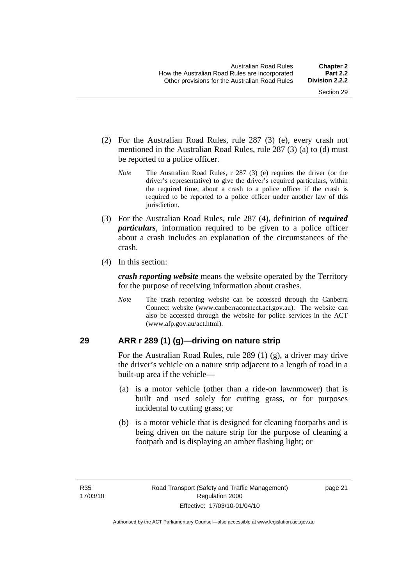- <span id="page-30-0"></span> (2) For the Australian Road Rules, rule 287 (3) (e), every crash not mentioned in the Australian Road Rules, rule 287 (3) (a) to (d) must be reported to a police officer.
	- *Note* The Australian Road Rules, r 287 (3) (e) requires the driver (or the driver's representative) to give the driver's required particulars, within the required time, about a crash to a police officer if the crash is required to be reported to a police officer under another law of this jurisdiction.
- (3) For the Australian Road Rules, rule 287 (4), definition of *required particulars*, information required to be given to a police officer about a crash includes an explanation of the circumstances of the crash.
- (4) In this section:

*crash reporting website* means the website operated by the Territory for the purpose of receiving information about crashes.

*Note* The crash reporting website can be accessed through the Canberra Connect website (www.canberraconnect.act.gov.au). The website can also be accessed through the website for police services in the ACT (www.afp.gov.au/act.html).

#### **29 ARR r 289 (1) (g)—driving on nature strip**

For the Australian Road Rules, rule 289 (1) (g), a driver may drive the driver's vehicle on a nature strip adjacent to a length of road in a built-up area if the vehicle—

- (a) is a motor vehicle (other than a ride-on lawnmower) that is built and used solely for cutting grass, or for purposes incidental to cutting grass; or
- (b) is a motor vehicle that is designed for cleaning footpaths and is being driven on the nature strip for the purpose of cleaning a footpath and is displaying an amber flashing light; or

page 21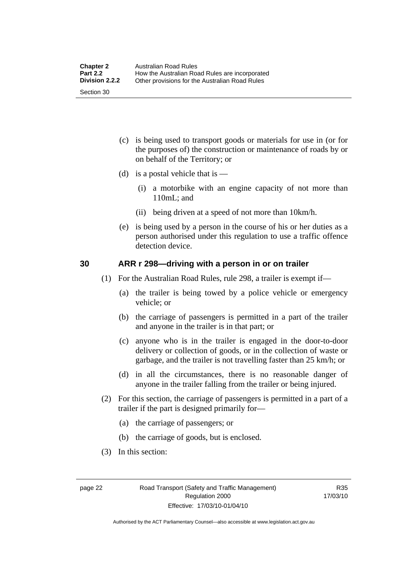- <span id="page-31-0"></span> (c) is being used to transport goods or materials for use in (or for the purposes of) the construction or maintenance of roads by or on behalf of the Territory; or
- (d) is a postal vehicle that is  $-$ 
	- (i) a motorbike with an engine capacity of not more than 110mL; and
	- (ii) being driven at a speed of not more than 10km/h.
- (e) is being used by a person in the course of his or her duties as a person authorised under this regulation to use a traffic offence detection device.

#### **30 ARR r 298—driving with a person in or on trailer**

- (1) For the Australian Road Rules, rule 298, a trailer is exempt if—
	- (a) the trailer is being towed by a police vehicle or emergency vehicle; or
	- (b) the carriage of passengers is permitted in a part of the trailer and anyone in the trailer is in that part; or
	- (c) anyone who is in the trailer is engaged in the door-to-door delivery or collection of goods, or in the collection of waste or garbage, and the trailer is not travelling faster than 25 km/h; or
	- (d) in all the circumstances, there is no reasonable danger of anyone in the trailer falling from the trailer or being injured.
- (2) For this section, the carriage of passengers is permitted in a part of a trailer if the part is designed primarily for—
	- (a) the carriage of passengers; or
	- (b) the carriage of goods, but is enclosed.
- (3) In this section:

R35 17/03/10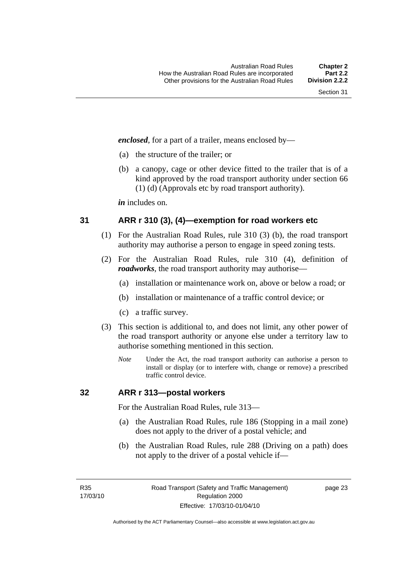<span id="page-32-0"></span>*enclosed*, for a part of a trailer, means enclosed by—

- (a) the structure of the trailer; or
- (b) a canopy, cage or other device fitted to the trailer that is of a kind approved by the road transport authority under section 66 (1) (d) (Approvals etc by road transport authority).

*in* includes on.

#### **31 ARR r 310 (3), (4)—exemption for road workers etc**

- (1) For the Australian Road Rules, rule 310 (3) (b), the road transport authority may authorise a person to engage in speed zoning tests.
- (2) For the Australian Road Rules, rule 310 (4), definition of *roadworks*, the road transport authority may authorise—
	- (a) installation or maintenance work on, above or below a road; or
	- (b) installation or maintenance of a traffic control device; or
	- (c) a traffic survey.
- (3) This section is additional to, and does not limit, any other power of the road transport authority or anyone else under a territory law to authorise something mentioned in this section.
	- *Note* Under the Act, the road transport authority can authorise a person to install or display (or to interfere with, change or remove) a prescribed traffic control device.

#### **32 ARR r 313—postal workers**

For the Australian Road Rules, rule 313—

- (a) the Australian Road Rules, rule 186 (Stopping in a mail zone) does not apply to the driver of a postal vehicle; and
- (b) the Australian Road Rules, rule 288 (Driving on a path) does not apply to the driver of a postal vehicle if—

R35 17/03/10 page 23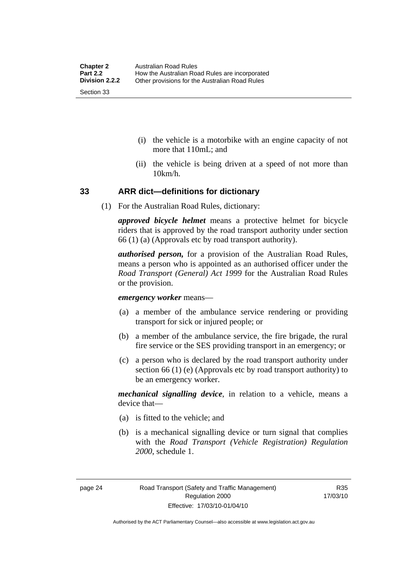- <span id="page-33-0"></span> (i) the vehicle is a motorbike with an engine capacity of not more that 110mL; and
- (ii) the vehicle is being driven at a speed of not more than 10km/h.

#### **33 ARR dict—definitions for dictionary**

(1) For the Australian Road Rules, dictionary:

*approved bicycle helmet* means a protective helmet for bicycle riders that is approved by the road transport authority under section 66 (1) (a) (Approvals etc by road transport authority).

*authorised person,* for a provision of the Australian Road Rules, means a person who is appointed as an authorised officer under the *Road Transport (General) Act 1999* for the Australian Road Rules or the provision.

*emergency worker* means—

- (a) a member of the ambulance service rendering or providing transport for sick or injured people; or
- (b) a member of the ambulance service, the fire brigade, the rural fire service or the SES providing transport in an emergency; or
- (c) a person who is declared by the road transport authority under section 66 (1) (e) (Approvals etc by road transport authority) to be an emergency worker.

*mechanical signalling device*, in relation to a vehicle, means a device that—

- (a) is fitted to the vehicle; and
- (b) is a mechanical signalling device or turn signal that complies with the *Road Transport (Vehicle Registration) Regulation 2000*, schedule 1.

Authorised by the ACT Parliamentary Counsel—also accessible at www.legislation.act.gov.au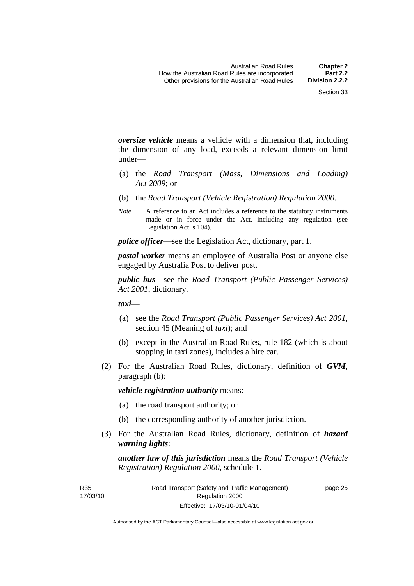*oversize vehicle* means a vehicle with a dimension that, including the dimension of any load, exceeds a relevant dimension limit under—

- (a) the *Road Transport (Mass, Dimensions and Loading) Act 2009*; or
- (b) the *Road Transport (Vehicle Registration) Regulation 2000*.
- *Note* A reference to an Act includes a reference to the statutory instruments made or in force under the Act, including any regulation (see Legislation Act, s 104).

*police officer*—see the Legislation Act, dictionary, part 1.

*postal worker* means an employee of Australia Post or anyone else engaged by Australia Post to deliver post.

*public bus*—see the *Road Transport (Public Passenger Services) Act 2001*, dictionary.

*taxi*—

- (a) see the *Road Transport (Public Passenger Services) Act 2001*, section 45 (Meaning of *taxi*); and
- (b) except in the Australian Road Rules, rule 182 (which is about stopping in taxi zones), includes a hire car.
- (2) For the Australian Road Rules, dictionary, definition of *GVM*, paragraph (b):

*vehicle registration authority* means:

- (a) the road transport authority; or
- (b) the corresponding authority of another jurisdiction.
- (3) For the Australian Road Rules, dictionary, definition of *hazard warning lights*:

*another law of this jurisdiction* means the *Road Transport (Vehicle Registration) Regulation 2000*, schedule 1.

R35 17/03/10 page 25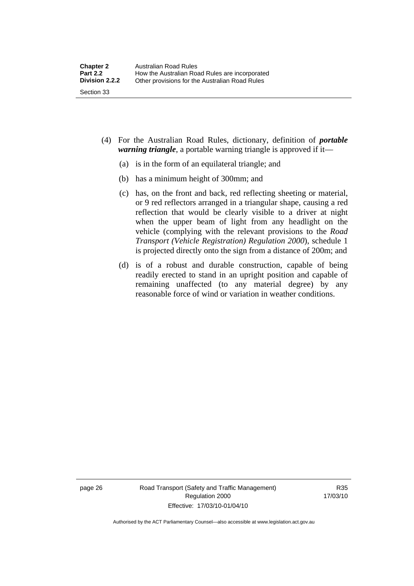- (4) For the Australian Road Rules, dictionary, definition of *portable warning triangle*, a portable warning triangle is approved if it—
	- (a) is in the form of an equilateral triangle; and
	- (b) has a minimum height of 300mm; and
	- (c) has, on the front and back, red reflecting sheeting or material, or 9 red reflectors arranged in a triangular shape, causing a red reflection that would be clearly visible to a driver at night when the upper beam of light from any headlight on the vehicle (complying with the relevant provisions to the *Road Transport (Vehicle Registration) Regulation 2000*), schedule 1 is projected directly onto the sign from a distance of 200m; and
	- (d) is of a robust and durable construction, capable of being readily erected to stand in an upright position and capable of remaining unaffected (to any material degree) by any reasonable force of wind or variation in weather conditions.

page 26 Road Transport (Safety and Traffic Management) Regulation 2000 Effective: 17/03/10-01/04/10

R35 17/03/10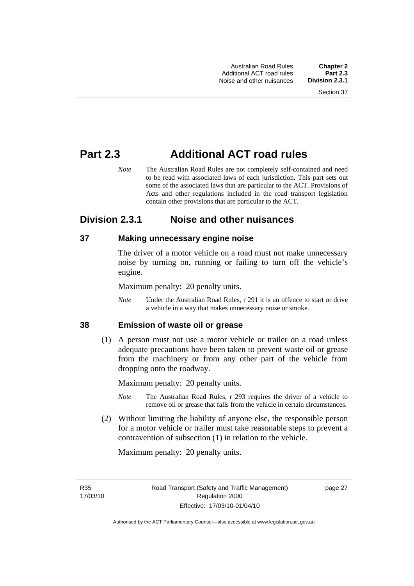# **Part 2.3 Additional ACT road rules**

*Note* The Australian Road Rules are not completely self-contained and need to be read with associated laws of each jurisdiction. This part sets out some of the associated laws that are particular to the ACT. Provisions of Acts and other regulations included in the road transport legislation contain other provisions that are particular to the ACT.

# **Division 2.3.1 Noise and other nuisances**

#### **37 Making unnecessary engine noise**

The driver of a motor vehicle on a road must not make unnecessary noise by turning on, running or failing to turn off the vehicle's engine.

Maximum penalty: 20 penalty units.

*Note* Under the Australian Road Rules, r 291 it is an offence to start or drive a vehicle in a way that makes unnecessary noise or smoke.

#### **38 Emission of waste oil or grease**

 (1) A person must not use a motor vehicle or trailer on a road unless adequate precautions have been taken to prevent waste oil or grease from the machinery or from any other part of the vehicle from dropping onto the roadway.

Maximum penalty: 20 penalty units.

- *Note* The Australian Road Rules, r 293 requires the driver of a vehicle to remove oil or grease that falls from the vehicle in certain circumstances.
- (2) Without limiting the liability of anyone else, the responsible person for a motor vehicle or trailer must take reasonable steps to prevent a contravention of subsection (1) in relation to the vehicle.

Maximum penalty: 20 penalty units.

R35 17/03/10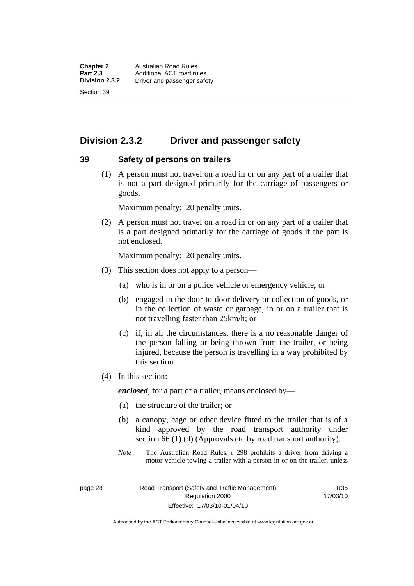# **Division 2.3.2 Driver and passenger safety**

#### **39 Safety of persons on trailers**

 (1) A person must not travel on a road in or on any part of a trailer that is not a part designed primarily for the carriage of passengers or goods.

Maximum penalty: 20 penalty units.

 (2) A person must not travel on a road in or on any part of a trailer that is a part designed primarily for the carriage of goods if the part is not enclosed.

Maximum penalty: 20 penalty units.

- (3) This section does not apply to a person—
	- (a) who is in or on a police vehicle or emergency vehicle; or
	- (b) engaged in the door-to-door delivery or collection of goods, or in the collection of waste or garbage, in or on a trailer that is not travelling faster than 25km/h; or
	- (c) if, in all the circumstances, there is a no reasonable danger of the person falling or being thrown from the trailer, or being injured, because the person is travelling in a way prohibited by this section.
- (4) In this section:

*enclosed*, for a part of a trailer, means enclosed by—

- (a) the structure of the trailer; or
- (b) a canopy, cage or other device fitted to the trailer that is of a kind approved by the road transport authority under section 66 (1) (d) (Approvals etc by road transport authority).
- *Note* The Australian Road Rules, r 298 prohibits a driver from driving a motor vehicle towing a trailer with a person in or on the trailer, unless

page 28 Road Transport (Safety and Traffic Management) Regulation 2000 Effective: 17/03/10-01/04/10

R35 17/03/10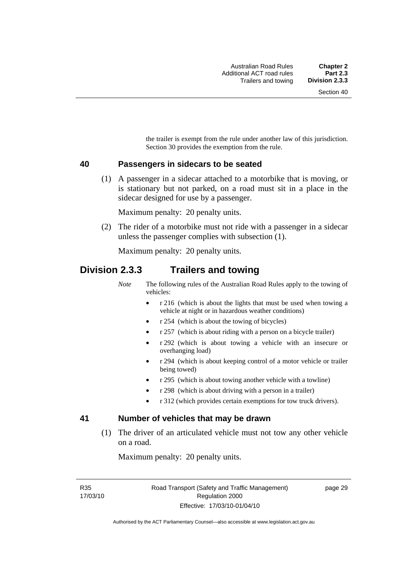the trailer is exempt from the rule under another law of this jurisdiction. Section 30 provides the exemption from the rule.

#### **40 Passengers in sidecars to be seated**

 (1) A passenger in a sidecar attached to a motorbike that is moving, or is stationary but not parked, on a road must sit in a place in the sidecar designed for use by a passenger.

Maximum penalty: 20 penalty units.

 (2) The rider of a motorbike must not ride with a passenger in a sidecar unless the passenger complies with subsection (1).

Maximum penalty: 20 penalty units.

### **Division 2.3.3 Trailers and towing**

*Note* The following rules of the Australian Road Rules apply to the towing of vehicles:

- r 216 (which is about the lights that must be used when towing a vehicle at night or in hazardous weather conditions)
- r 254 (which is about the towing of bicycles)
- r 257 (which is about riding with a person on a bicycle trailer)
- r 292 (which is about towing a vehicle with an insecure or overhanging load)
- r 294 (which is about keeping control of a motor vehicle or trailer being towed)
- r 295 (which is about towing another vehicle with a towline)
- r 298 (which is about driving with a person in a trailer)
- r 312 (which provides certain exemptions for tow truck drivers).

#### **41 Number of vehicles that may be drawn**

 (1) The driver of an articulated vehicle must not tow any other vehicle on a road.

Maximum penalty: 20 penalty units.

R35 17/03/10 page 29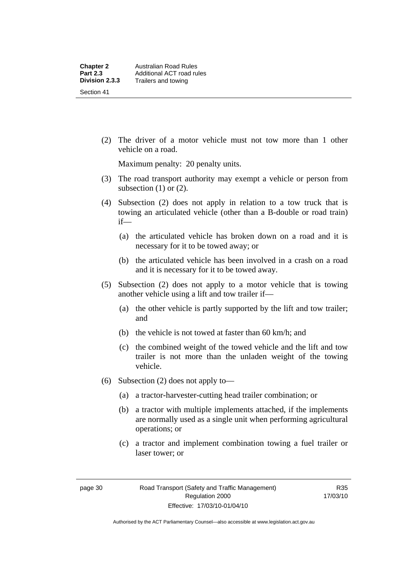(2) The driver of a motor vehicle must not tow more than 1 other vehicle on a road.

Maximum penalty: 20 penalty units.

- (3) The road transport authority may exempt a vehicle or person from subsection  $(1)$  or  $(2)$ .
- (4) Subsection (2) does not apply in relation to a tow truck that is towing an articulated vehicle (other than a B-double or road train) if—
	- (a) the articulated vehicle has broken down on a road and it is necessary for it to be towed away; or
	- (b) the articulated vehicle has been involved in a crash on a road and it is necessary for it to be towed away.
- (5) Subsection (2) does not apply to a motor vehicle that is towing another vehicle using a lift and tow trailer if—
	- (a) the other vehicle is partly supported by the lift and tow trailer; and
	- (b) the vehicle is not towed at faster than 60 km/h; and
	- (c) the combined weight of the towed vehicle and the lift and tow trailer is not more than the unladen weight of the towing vehicle.
- (6) Subsection (2) does not apply to—
	- (a) a tractor-harvester-cutting head trailer combination; or
	- (b) a tractor with multiple implements attached, if the implements are normally used as a single unit when performing agricultural operations; or
	- (c) a tractor and implement combination towing a fuel trailer or laser tower; or

R35 17/03/10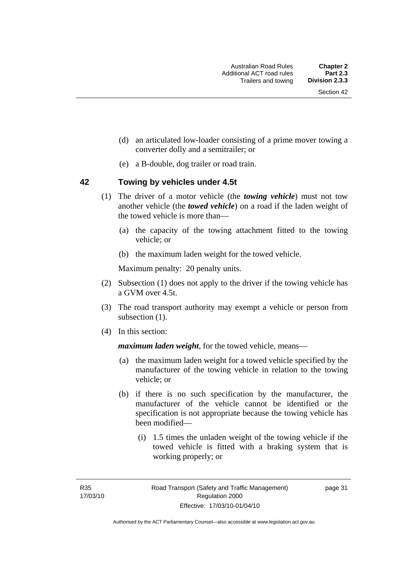- (d) an articulated low-loader consisting of a prime mover towing a converter dolly and a semitrailer; or
- (e) a B-double, dog trailer or road train.

#### **42 Towing by vehicles under 4.5t**

- (1) The driver of a motor vehicle (the *towing vehicle*) must not tow another vehicle (the *towed vehicle*) on a road if the laden weight of the towed vehicle is more than—
	- (a) the capacity of the towing attachment fitted to the towing vehicle; or
	- (b) the maximum laden weight for the towed vehicle.

Maximum penalty: 20 penalty units.

- (2) Subsection (1) does not apply to the driver if the towing vehicle has a GVM over 4.5t.
- (3) The road transport authority may exempt a vehicle or person from subsection  $(1)$ .
- (4) In this section:

*maximum laden weight*, for the towed vehicle, means—

- (a) the maximum laden weight for a towed vehicle specified by the manufacturer of the towing vehicle in relation to the towing vehicle; or
- (b) if there is no such specification by the manufacturer, the manufacturer of the vehicle cannot be identified or the specification is not appropriate because the towing vehicle has been modified—
	- (i) 1.5 times the unladen weight of the towing vehicle if the towed vehicle is fitted with a braking system that is working properly; or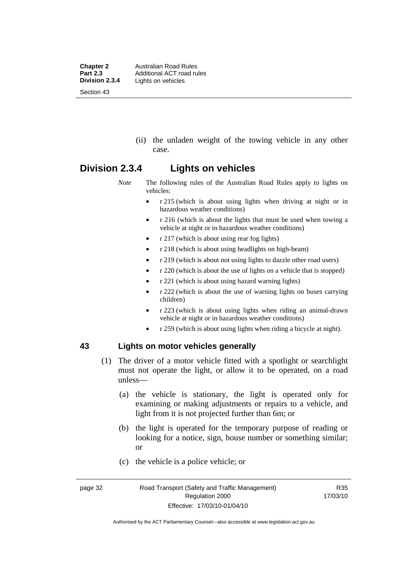**Chapter 2 Australian Road Rules**<br>**Part 2.3 Additional ACT road rules Part 2.3** Additional ACT road rules<br>**Division 2.3.4** Lights on vehicles Lights on vehicles Section 43

> (ii) the unladen weight of the towing vehicle in any other case.

#### **Division 2.3.4 Lights on vehicles**

*Note* The following rules of the Australian Road Rules apply to lights on vehicles:

- r 215 (which is about using lights when driving at night or in hazardous weather conditions)
- r 216 (which is about the lights that must be used when towing a vehicle at night or in hazardous weather conditions)
- r 217 (which is about using rear fog lights)
- r 218 (which is about using headlights on high-beam)
- r 219 (which is about not using lights to dazzle other road users)
- r 220 (which is about the use of lights on a vehicle that is stopped)
- r 221 (which is about using hazard warning lights)
- r 222 (which is about the use of warning lights on buses carrying children)
- r 223 (which is about using lights when riding an animal-drawn vehicle at night or in hazardous weather conditions)
- r 259 (which is about using lights when riding a bicycle at night).

#### **43 Lights on motor vehicles generally**

- (1) The driver of a motor vehicle fitted with a spotlight or searchlight must not operate the light, or allow it to be operated, on a road unless—
	- (a) the vehicle is stationary, the light is operated only for examining or making adjustments or repairs to a vehicle, and light from it is not projected further than 6m; or
	- (b) the light is operated for the temporary purpose of reading or looking for a notice, sign, house number or something similar; or
	- (c) the vehicle is a police vehicle; or

Authorised by the ACT Parliamentary Counsel—also accessible at www.legislation.act.gov.au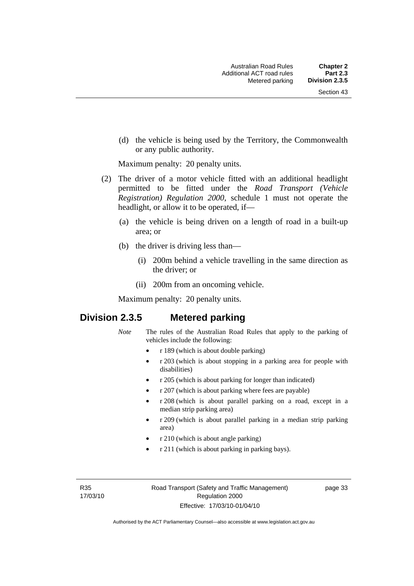(d) the vehicle is being used by the Territory, the Commonwealth or any public authority.

Maximum penalty: 20 penalty units.

- (2) The driver of a motor vehicle fitted with an additional headlight permitted to be fitted under the *Road Transport (Vehicle Registration) Regulation 2000*, schedule 1 must not operate the headlight, or allow it to be operated, if—
	- (a) the vehicle is being driven on a length of road in a built-up area; or
	- (b) the driver is driving less than—
		- (i) 200m behind a vehicle travelling in the same direction as the driver; or
		- (ii) 200m from an oncoming vehicle.

Maximum penalty: 20 penalty units.

# **Division 2.3.5 Metered parking**

- *Note* The rules of the Australian Road Rules that apply to the parking of vehicles include the following:
	- r 189 (which is about double parking)
	- r 203 (which is about stopping in a parking area for people with disabilities)
	- r 205 (which is about parking for longer than indicated)
	- r 207 (which is about parking where fees are payable)
	- r 208 (which is about parallel parking on a road, except in a median strip parking area)
	- r 209 (which is about parallel parking in a median strip parking area)
	- r 210 (which is about angle parking)
	- r 211 (which is about parking in parking bays).

R35 17/03/10 page 33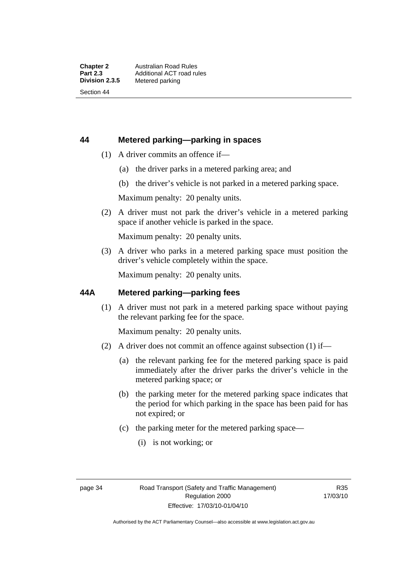#### **44 Metered parking—parking in spaces**

- (1) A driver commits an offence if—
	- (a) the driver parks in a metered parking area; and
	- (b) the driver's vehicle is not parked in a metered parking space.

Maximum penalty: 20 penalty units.

 (2) A driver must not park the driver's vehicle in a metered parking space if another vehicle is parked in the space.

Maximum penalty: 20 penalty units.

 (3) A driver who parks in a metered parking space must position the driver's vehicle completely within the space.

Maximum penalty: 20 penalty units.

#### **44A Metered parking—parking fees**

 (1) A driver must not park in a metered parking space without paying the relevant parking fee for the space.

Maximum penalty: 20 penalty units.

- (2) A driver does not commit an offence against subsection (1) if—
	- (a) the relevant parking fee for the metered parking space is paid immediately after the driver parks the driver's vehicle in the metered parking space; or
	- (b) the parking meter for the metered parking space indicates that the period for which parking in the space has been paid for has not expired; or
	- (c) the parking meter for the metered parking space—
		- (i) is not working; or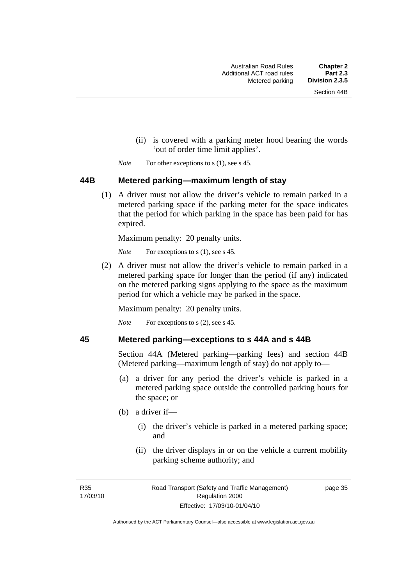- (ii) is covered with a parking meter hood bearing the words 'out of order time limit applies'.
- *Note* For other exceptions to s (1), see s 45.

#### **44B Metered parking—maximum length of stay**

 (1) A driver must not allow the driver's vehicle to remain parked in a metered parking space if the parking meter for the space indicates that the period for which parking in the space has been paid for has expired.

Maximum penalty: 20 penalty units.

*Note* For exceptions to s (1), see s 45.

 (2) A driver must not allow the driver's vehicle to remain parked in a metered parking space for longer than the period (if any) indicated on the metered parking signs applying to the space as the maximum period for which a vehicle may be parked in the space.

Maximum penalty: 20 penalty units.

*Note* For exceptions to s (2), see s 45.

#### **45 Metered parking—exceptions to s 44A and s 44B**

Section 44A (Metered parking—parking fees) and section 44B (Metered parking—maximum length of stay) do not apply to—

- (a) a driver for any period the driver's vehicle is parked in a metered parking space outside the controlled parking hours for the space; or
- (b) a driver if—
	- (i) the driver's vehicle is parked in a metered parking space; and
	- (ii) the driver displays in or on the vehicle a current mobility parking scheme authority; and

R35 17/03/10 page 35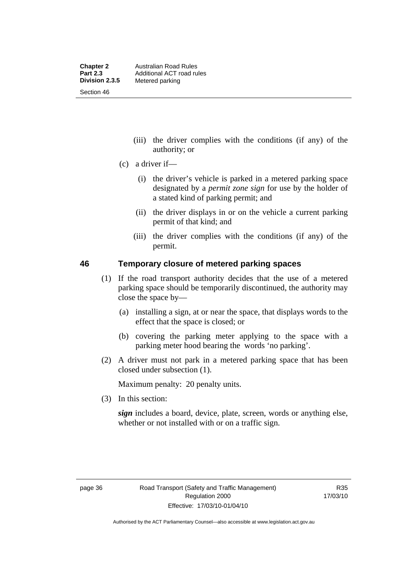- (iii) the driver complies with the conditions (if any) of the authority; or
- (c) a driver if—
	- (i) the driver's vehicle is parked in a metered parking space designated by a *permit zone sign* for use by the holder of a stated kind of parking permit; and
	- (ii) the driver displays in or on the vehicle a current parking permit of that kind; and
	- (iii) the driver complies with the conditions (if any) of the permit.

#### **46 Temporary closure of metered parking spaces**

- (1) If the road transport authority decides that the use of a metered parking space should be temporarily discontinued, the authority may close the space by—
	- (a) installing a sign, at or near the space, that displays words to the effect that the space is closed; or
	- (b) covering the parking meter applying to the space with a parking meter hood bearing the words 'no parking'.
- (2) A driver must not park in a metered parking space that has been closed under subsection (1).

Maximum penalty: 20 penalty units.

(3) In this section:

*sign* includes a board, device, plate, screen, words or anything else, whether or not installed with or on a traffic sign.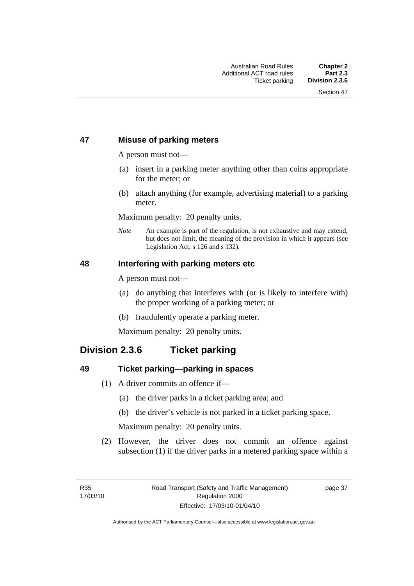#### **47 Misuse of parking meters**

A person must not—

- (a) insert in a parking meter anything other than coins appropriate for the meter; or
- (b) attach anything (for example, advertising material) to a parking meter.

Maximum penalty: 20 penalty units.

*Note* An example is part of the regulation, is not exhaustive and may extend, but does not limit, the meaning of the provision in which it appears (see Legislation Act, s 126 and s 132).

#### **48 Interfering with parking meters etc**

A person must not—

- (a) do anything that interferes with (or is likely to interfere with) the proper working of a parking meter; or
- (b) fraudulently operate a parking meter.

Maximum penalty: 20 penalty units.

# **Division 2.3.6 Ticket parking**

#### **49 Ticket parking—parking in spaces**

- (1) A driver commits an offence if—
	- (a) the driver parks in a ticket parking area; and
	- (b) the driver's vehicle is not parked in a ticket parking space.

Maximum penalty: 20 penalty units.

 (2) However, the driver does not commit an offence against subsection (1) if the driver parks in a metered parking space within a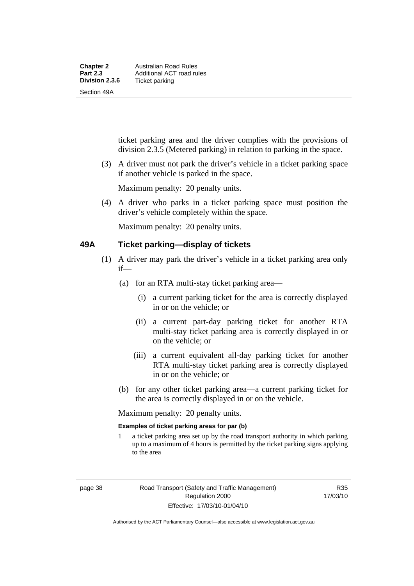| <b>Chapter 2</b> | Australian Road Rules     |
|------------------|---------------------------|
| <b>Part 2.3</b>  | Additional ACT road rules |
| Division 2.3.6   | Ticket parking            |
| Section 49A      |                           |

ticket parking area and the driver complies with the provisions of division 2.3.5 (Metered parking) in relation to parking in the space.

 (3) A driver must not park the driver's vehicle in a ticket parking space if another vehicle is parked in the space.

Maximum penalty: 20 penalty units.

 (4) A driver who parks in a ticket parking space must position the driver's vehicle completely within the space.

Maximum penalty: 20 penalty units.

#### **49A Ticket parking—display of tickets**

- (1) A driver may park the driver's vehicle in a ticket parking area only if—
	- (a) for an RTA multi-stay ticket parking area—
		- (i) a current parking ticket for the area is correctly displayed in or on the vehicle; or
		- (ii) a current part-day parking ticket for another RTA multi-stay ticket parking area is correctly displayed in or on the vehicle; or
		- (iii) a current equivalent all-day parking ticket for another RTA multi-stay ticket parking area is correctly displayed in or on the vehicle; or
	- (b) for any other ticket parking area—a current parking ticket for the area is correctly displayed in or on the vehicle.

Maximum penalty: 20 penalty units.

#### **Examples of ticket parking areas for par (b)**

1 a ticket parking area set up by the road transport authority in which parking up to a maximum of 4 hours is permitted by the ticket parking signs applying to the area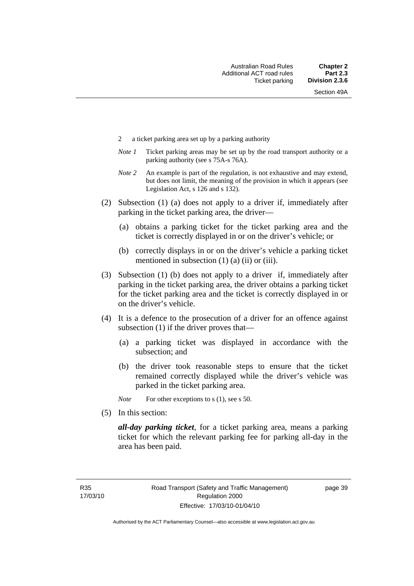- 2 a ticket parking area set up by a parking authority
- *Note 1* Ticket parking areas may be set up by the road transport authority or a parking authority (see s 75A-s 76A).
- *Note 2* An example is part of the regulation, is not exhaustive and may extend, but does not limit, the meaning of the provision in which it appears (see Legislation Act, s 126 and s 132).
- (2) Subsection (1) (a) does not apply to a driver if, immediately after parking in the ticket parking area, the driver—
	- (a) obtains a parking ticket for the ticket parking area and the ticket is correctly displayed in or on the driver's vehicle; or
	- (b) correctly displays in or on the driver's vehicle a parking ticket mentioned in subsection  $(1)$   $(a)$   $(ii)$  or  $(iii)$ .
- (3) Subsection (1) (b) does not apply to a driver if, immediately after parking in the ticket parking area, the driver obtains a parking ticket for the ticket parking area and the ticket is correctly displayed in or on the driver's vehicle.
- (4) It is a defence to the prosecution of a driver for an offence against subsection (1) if the driver proves that—
	- (a) a parking ticket was displayed in accordance with the subsection; and
	- (b) the driver took reasonable steps to ensure that the ticket remained correctly displayed while the driver's vehicle was parked in the ticket parking area.
	- *Note* For other exceptions to s (1), see s 50.
- (5) In this section:

*all-day parking ticket*, for a ticket parking area, means a parking ticket for which the relevant parking fee for parking all-day in the area has been paid.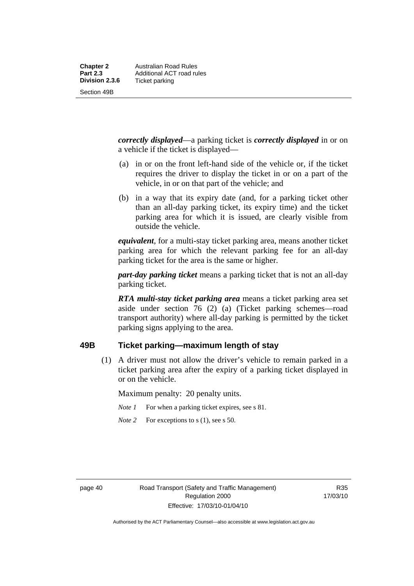*correctly displayed*—a parking ticket is *correctly displayed* in or on a vehicle if the ticket is displayed—

- (a) in or on the front left-hand side of the vehicle or, if the ticket requires the driver to display the ticket in or on a part of the vehicle, in or on that part of the vehicle; and
- (b) in a way that its expiry date (and, for a parking ticket other than an all-day parking ticket, its expiry time) and the ticket parking area for which it is issued, are clearly visible from outside the vehicle.

*equivalent*, for a multi-stay ticket parking area, means another ticket parking area for which the relevant parking fee for an all-day parking ticket for the area is the same or higher.

*part-day parking ticket* means a parking ticket that is not an all-day parking ticket.

*RTA multi-stay ticket parking area* means a ticket parking area set aside under section 76 (2) (a) (Ticket parking schemes—road transport authority) where all-day parking is permitted by the ticket parking signs applying to the area.

#### **49B Ticket parking—maximum length of stay**

 (1) A driver must not allow the driver's vehicle to remain parked in a ticket parking area after the expiry of a parking ticket displayed in or on the vehicle.

Maximum penalty: 20 penalty units.

- *Note 1* For when a parking ticket expires, see s 81.
- *Note* 2 For exceptions to s (1), see s 50.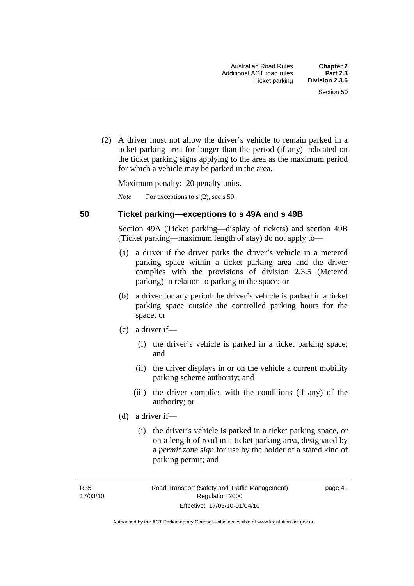(2) A driver must not allow the driver's vehicle to remain parked in a ticket parking area for longer than the period (if any) indicated on the ticket parking signs applying to the area as the maximum period for which a vehicle may be parked in the area.

Maximum penalty: 20 penalty units.

*Note* For exceptions to s (2), see s 50.

#### **50 Ticket parking—exceptions to s 49A and s 49B**

Section 49A (Ticket parking—display of tickets) and section 49B (Ticket parking—maximum length of stay) do not apply to—

- (a) a driver if the driver parks the driver's vehicle in a metered parking space within a ticket parking area and the driver complies with the provisions of division 2.3.5 (Metered parking) in relation to parking in the space; or
- (b) a driver for any period the driver's vehicle is parked in a ticket parking space outside the controlled parking hours for the space; or
- (c) a driver if—
	- (i) the driver's vehicle is parked in a ticket parking space; and
	- (ii) the driver displays in or on the vehicle a current mobility parking scheme authority; and
	- (iii) the driver complies with the conditions (if any) of the authority; or
- (d) a driver if—
	- (i) the driver's vehicle is parked in a ticket parking space, or on a length of road in a ticket parking area, designated by a *permit zone sign* for use by the holder of a stated kind of parking permit; and

page 41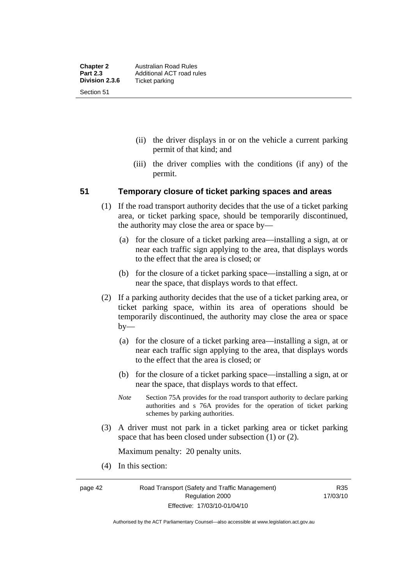- (ii) the driver displays in or on the vehicle a current parking permit of that kind; and
- (iii) the driver complies with the conditions (if any) of the permit.

#### **51 Temporary closure of ticket parking spaces and areas**

- (1) If the road transport authority decides that the use of a ticket parking area, or ticket parking space, should be temporarily discontinued, the authority may close the area or space by—
	- (a) for the closure of a ticket parking area—installing a sign, at or near each traffic sign applying to the area, that displays words to the effect that the area is closed; or
	- (b) for the closure of a ticket parking space—installing a sign, at or near the space, that displays words to that effect.
- (2) If a parking authority decides that the use of a ticket parking area, or ticket parking space, within its area of operations should be temporarily discontinued, the authority may close the area or space by—
	- (a) for the closure of a ticket parking area—installing a sign, at or near each traffic sign applying to the area, that displays words to the effect that the area is closed; or
	- (b) for the closure of a ticket parking space—installing a sign, at or near the space, that displays words to that effect.
	- *Note* Section 75A provides for the road transport authority to declare parking authorities and s 76A provides for the operation of ticket parking schemes by parking authorities.
- (3) A driver must not park in a ticket parking area or ticket parking space that has been closed under subsection (1) or (2).

Maximum penalty: 20 penalty units.

(4) In this section:

R35 17/03/10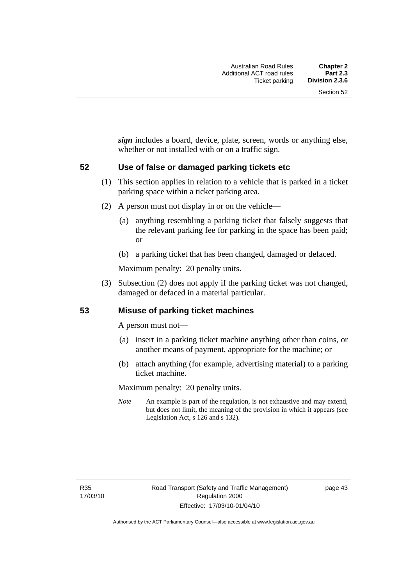*sign* includes a board, device, plate, screen, words or anything else, whether or not installed with or on a traffic sign.

#### **52 Use of false or damaged parking tickets etc**

- (1) This section applies in relation to a vehicle that is parked in a ticket parking space within a ticket parking area.
- (2) A person must not display in or on the vehicle—
	- (a) anything resembling a parking ticket that falsely suggests that the relevant parking fee for parking in the space has been paid; or
	- (b) a parking ticket that has been changed, damaged or defaced.

Maximum penalty: 20 penalty units.

 (3) Subsection (2) does not apply if the parking ticket was not changed, damaged or defaced in a material particular.

#### **53 Misuse of parking ticket machines**

A person must not—

- (a) insert in a parking ticket machine anything other than coins, or another means of payment, appropriate for the machine; or
- (b) attach anything (for example, advertising material) to a parking ticket machine.

Maximum penalty: 20 penalty units.

*Note* An example is part of the regulation, is not exhaustive and may extend, but does not limit, the meaning of the provision in which it appears (see Legislation Act, s 126 and s 132).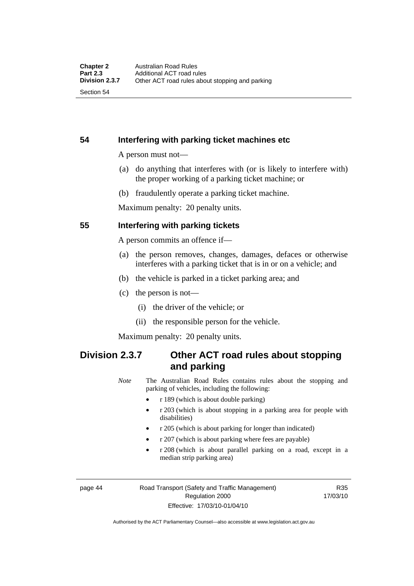Section 54

### **54 Interfering with parking ticket machines etc**

A person must not—

- (a) do anything that interferes with (or is likely to interfere with) the proper working of a parking ticket machine; or
- (b) fraudulently operate a parking ticket machine.

Maximum penalty: 20 penalty units.

#### **55 Interfering with parking tickets**

A person commits an offence if—

- (a) the person removes, changes, damages, defaces or otherwise interferes with a parking ticket that is in or on a vehicle; and
- (b) the vehicle is parked in a ticket parking area; and
- (c) the person is not—
	- (i) the driver of the vehicle; or
	- (ii) the responsible person for the vehicle.

Maximum penalty: 20 penalty units.

# **Division 2.3.7 Other ACT road rules about stopping and parking**

*Note* The Australian Road Rules contains rules about the stopping and parking of vehicles, including the following:

- r 189 (which is about double parking)
- r 203 (which is about stopping in a parking area for people with disabilities)
- r 205 (which is about parking for longer than indicated)
- r 207 (which is about parking where fees are payable)
- r 208 (which is about parallel parking on a road, except in a median strip parking area)

page 44 Road Transport (Safety and Traffic Management) Regulation 2000 Effective: 17/03/10-01/04/10

R35 17/03/10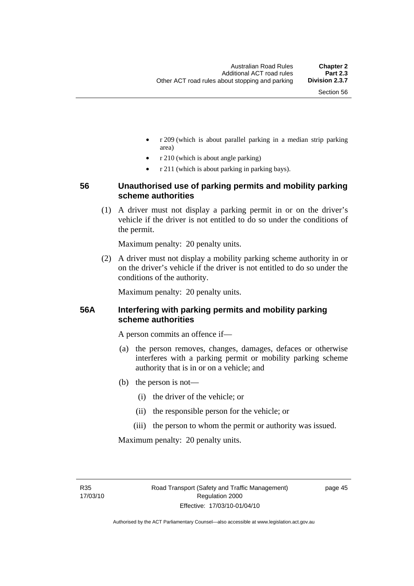- r 209 (which is about parallel parking in a median strip parking area)
- r 210 (which is about angle parking)
- r 211 (which is about parking in parking bays).

#### **56 Unauthorised use of parking permits and mobility parking scheme authorities**

 (1) A driver must not display a parking permit in or on the driver's vehicle if the driver is not entitled to do so under the conditions of the permit.

Maximum penalty: 20 penalty units.

 (2) A driver must not display a mobility parking scheme authority in or on the driver's vehicle if the driver is not entitled to do so under the conditions of the authority.

Maximum penalty: 20 penalty units.

#### **56A Interfering with parking permits and mobility parking scheme authorities**

A person commits an offence if—

- (a) the person removes, changes, damages, defaces or otherwise interferes with a parking permit or mobility parking scheme authority that is in or on a vehicle; and
- (b) the person is not—
	- (i) the driver of the vehicle; or
	- (ii) the responsible person for the vehicle; or
	- (iii) the person to whom the permit or authority was issued.

Maximum penalty: 20 penalty units.

R35 17/03/10 page 45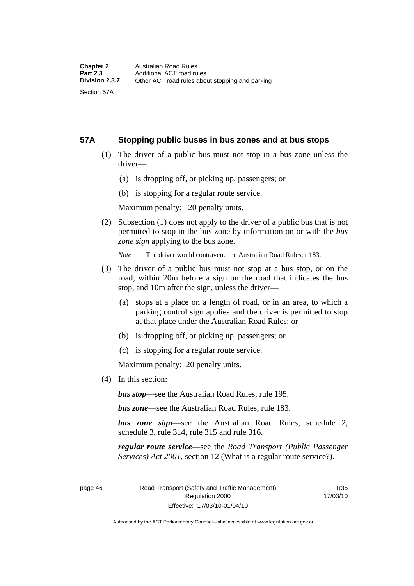#### **57A Stopping public buses in bus zones and at bus stops**

- (1) The driver of a public bus must not stop in a bus zone unless the driver—
	- (a) is dropping off, or picking up, passengers; or
	- (b) is stopping for a regular route service.

Maximum penalty: 20 penalty units.

 (2) Subsection (1) does not apply to the driver of a public bus that is not permitted to stop in the bus zone by information on or with the *bus zone sign* applying to the bus zone.

*Note* The driver would contravene the Australian Road Rules, r 183.

- (3) The driver of a public bus must not stop at a bus stop, or on the road, within 20m before a sign on the road that indicates the bus stop, and 10m after the sign, unless the driver—
	- (a) stops at a place on a length of road, or in an area, to which a parking control sign applies and the driver is permitted to stop at that place under the Australian Road Rules; or
	- (b) is dropping off, or picking up, passengers; or
	- (c) is stopping for a regular route service.

Maximum penalty: 20 penalty units.

(4) In this section:

*bus stop*—see the Australian Road Rules, rule 195.

*bus zone*—see the Australian Road Rules, rule 183.

*bus zone sign*—see the Australian Road Rules, schedule 2, schedule 3, rule 314, rule 315 and rule 316.

*regular route service*—see the *Road Transport (Public Passenger Services) Act 2001*, section 12 (What is a regular route service?).

page 46 Road Transport (Safety and Traffic Management) Regulation 2000 Effective: 17/03/10-01/04/10

R35 17/03/10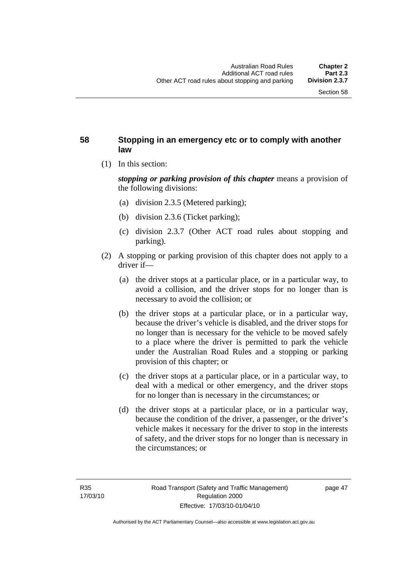#### **58 Stopping in an emergency etc or to comply with another law**

(1) In this section:

*stopping or parking provision of this chapter* means a provision of the following divisions:

- (a) division 2.3.5 (Metered parking);
- (b) division 2.3.6 (Ticket parking);
- (c) division 2.3.7 (Other ACT road rules about stopping and parking).
- (2) A stopping or parking provision of this chapter does not apply to a driver if—
	- (a) the driver stops at a particular place, or in a particular way, to avoid a collision, and the driver stops for no longer than is necessary to avoid the collision; or
	- (b) the driver stops at a particular place, or in a particular way, because the driver's vehicle is disabled, and the driver stops for no longer than is necessary for the vehicle to be moved safely to a place where the driver is permitted to park the vehicle under the Australian Road Rules and a stopping or parking provision of this chapter; or
	- (c) the driver stops at a particular place, or in a particular way, to deal with a medical or other emergency, and the driver stops for no longer than is necessary in the circumstances; or
	- (d) the driver stops at a particular place, or in a particular way, because the condition of the driver, a passenger, or the driver's vehicle makes it necessary for the driver to stop in the interests of safety, and the driver stops for no longer than is necessary in the circumstances; or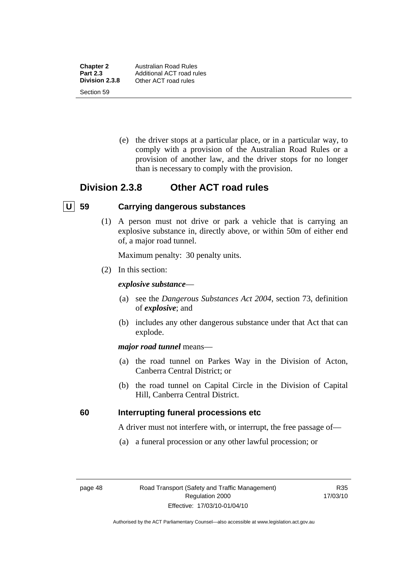**Chapter 2** Australian Road Rules<br>**Part 2.3** Additional ACT road ru **Part 2.3** Additional ACT road rules<br> **Division 2.3.8** Other ACT road rules **Division 2.3.8** Other ACT road rules Section 59

> (e) the driver stops at a particular place, or in a particular way, to comply with a provision of the Australian Road Rules or a provision of another law, and the driver stops for no longer than is necessary to comply with the provision.

## **Division 2.3.8 Other ACT road rules**

#### **U 59 Carrying dangerous substances**

 (1) A person must not drive or park a vehicle that is carrying an explosive substance in, directly above, or within 50m of either end of, a major road tunnel.

Maximum penalty: 30 penalty units.

(2) In this section:

#### *explosive substance*—

- (a) see the *Dangerous Substances Act 2004*, section 73, definition of *explosive*; and
- (b) includes any other dangerous substance under that Act that can explode.

#### *major road tunnel* means—

- (a) the road tunnel on Parkes Way in the Division of Acton, Canberra Central District; or
- (b) the road tunnel on Capital Circle in the Division of Capital Hill, Canberra Central District.

#### **60 Interrupting funeral processions etc**

A driver must not interfere with, or interrupt, the free passage of—

(a) a funeral procession or any other lawful procession; or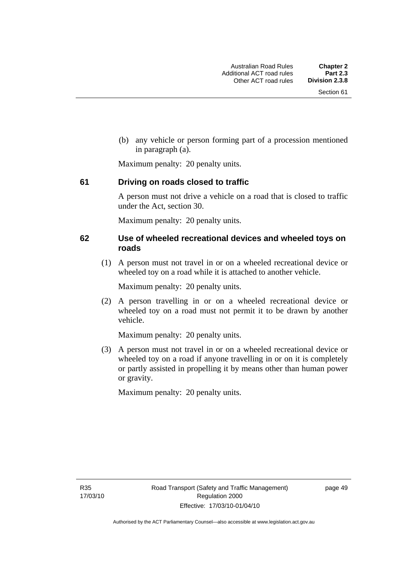(b) any vehicle or person forming part of a procession mentioned in paragraph (a).

Maximum penalty: 20 penalty units.

#### **61 Driving on roads closed to traffic**

A person must not drive a vehicle on a road that is closed to traffic under the Act, section 30.

Maximum penalty: 20 penalty units.

#### **62 Use of wheeled recreational devices and wheeled toys on roads**

 (1) A person must not travel in or on a wheeled recreational device or wheeled toy on a road while it is attached to another vehicle.

Maximum penalty: 20 penalty units.

 (2) A person travelling in or on a wheeled recreational device or wheeled toy on a road must not permit it to be drawn by another vehicle.

Maximum penalty: 20 penalty units.

 (3) A person must not travel in or on a wheeled recreational device or wheeled toy on a road if anyone travelling in or on it is completely or partly assisted in propelling it by means other than human power or gravity.

Maximum penalty: 20 penalty units.

R35 17/03/10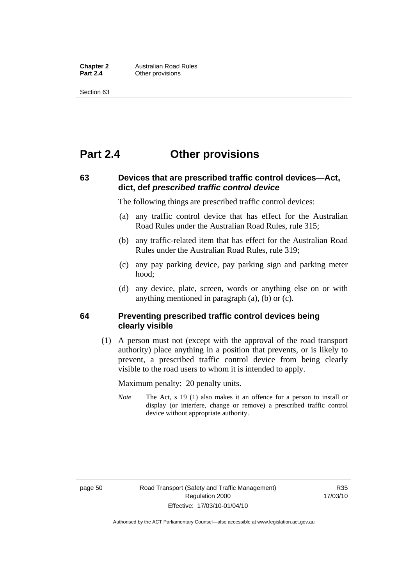**Chapter 2** Australian Road Rules<br>**Part 2.4** Other provisions **Other provisions** 

Section 63

# **Part 2.4 Other provisions**

#### **63 Devices that are prescribed traffic control devices—Act, dict, def** *prescribed traffic control device*

The following things are prescribed traffic control devices:

- (a) any traffic control device that has effect for the Australian Road Rules under the Australian Road Rules, rule 315;
- (b) any traffic-related item that has effect for the Australian Road Rules under the Australian Road Rules, rule 319;
- (c) any pay parking device, pay parking sign and parking meter hood;
- (d) any device, plate, screen, words or anything else on or with anything mentioned in paragraph (a), (b) or (c).

#### **64 Preventing prescribed traffic control devices being clearly visible**

 (1) A person must not (except with the approval of the road transport authority) place anything in a position that prevents, or is likely to prevent, a prescribed traffic control device from being clearly visible to the road users to whom it is intended to apply.

Maximum penalty: 20 penalty units.

*Note* The Act, s 19 (1) also makes it an offence for a person to install or display (or interfere, change or remove) a prescribed traffic control device without appropriate authority.

Authorised by the ACT Parliamentary Counsel—also accessible at www.legislation.act.gov.au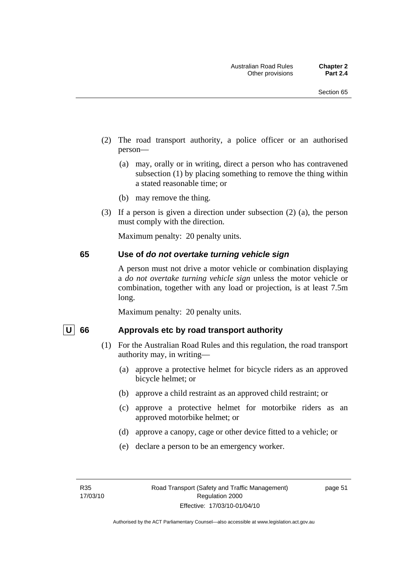- (2) The road transport authority, a police officer or an authorised person—
	- (a) may, orally or in writing, direct a person who has contravened subsection (1) by placing something to remove the thing within a stated reasonable time; or
	- (b) may remove the thing.
- (3) If a person is given a direction under subsection (2) (a), the person must comply with the direction.

Maximum penalty: 20 penalty units.

#### **65 Use of** *do not overtake turning vehicle sign*

A person must not drive a motor vehicle or combination displaying a *do not overtake turning vehicle sign* unless the motor vehicle or combination, together with any load or projection, is at least 7.5m long.

Maximum penalty: 20 penalty units.

#### U 66 Approvals etc by road transport authority

- (1) For the Australian Road Rules and this regulation, the road transport authority may, in writing—
	- (a) approve a protective helmet for bicycle riders as an approved bicycle helmet; or
	- (b) approve a child restraint as an approved child restraint; or
	- (c) approve a protective helmet for motorbike riders as an approved motorbike helmet; or
	- (d) approve a canopy, cage or other device fitted to a vehicle; or
	- (e) declare a person to be an emergency worker.

page 51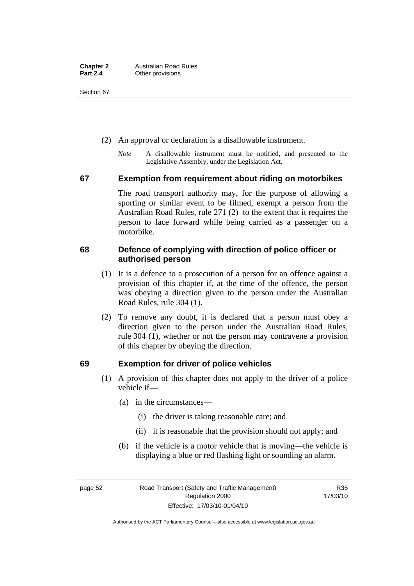Section 67

- (2) An approval or declaration is a disallowable instrument.
	- *Note* A disallowable instrument must be notified, and presented to the Legislative Assembly, under the Legislation Act.

#### **67 Exemption from requirement about riding on motorbikes**

The road transport authority may, for the purpose of allowing a sporting or similar event to be filmed, exempt a person from the Australian Road Rules, rule 271 (2) to the extent that it requires the person to face forward while being carried as a passenger on a motorbike.

#### **68 Defence of complying with direction of police officer or authorised person**

- (1) It is a defence to a prosecution of a person for an offence against a provision of this chapter if, at the time of the offence, the person was obeying a direction given to the person under the Australian Road Rules, rule 304 (1).
- (2) To remove any doubt, it is declared that a person must obey a direction given to the person under the Australian Road Rules, rule 304 (1), whether or not the person may contravene a provision of this chapter by obeying the direction.

#### **69 Exemption for driver of police vehicles**

- (1) A provision of this chapter does not apply to the driver of a police vehicle if—
	- (a) in the circumstances—
		- (i) the driver is taking reasonable care; and
		- (ii) it is reasonable that the provision should not apply; and
	- (b) if the vehicle is a motor vehicle that is moving—the vehicle is displaying a blue or red flashing light or sounding an alarm.

page 52 Road Transport (Safety and Traffic Management) Regulation 2000 Effective: 17/03/10-01/04/10

R35 17/03/10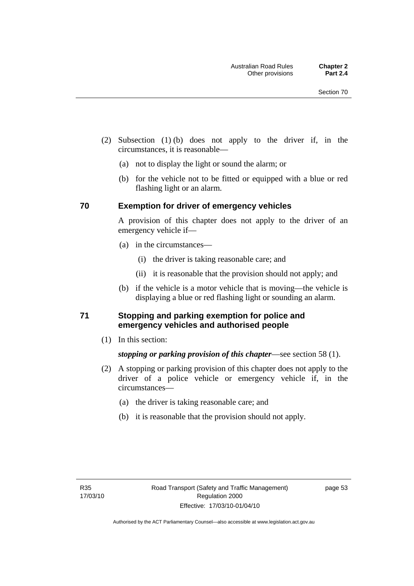- (2) Subsection (1) (b) does not apply to the driver if, in the circumstances, it is reasonable—
	- (a) not to display the light or sound the alarm; or
	- (b) for the vehicle not to be fitted or equipped with a blue or red flashing light or an alarm.

#### **70 Exemption for driver of emergency vehicles**

A provision of this chapter does not apply to the driver of an emergency vehicle if—

- (a) in the circumstances—
	- (i) the driver is taking reasonable care; and
	- (ii) it is reasonable that the provision should not apply; and
- (b) if the vehicle is a motor vehicle that is moving—the vehicle is displaying a blue or red flashing light or sounding an alarm.

#### **71 Stopping and parking exemption for police and emergency vehicles and authorised people**

(1) In this section:

#### *stopping or parking provision of this chapter*—see section 58 (1).

- (2) A stopping or parking provision of this chapter does not apply to the driver of a police vehicle or emergency vehicle if, in the circumstances—
	- (a) the driver is taking reasonable care; and
	- (b) it is reasonable that the provision should not apply.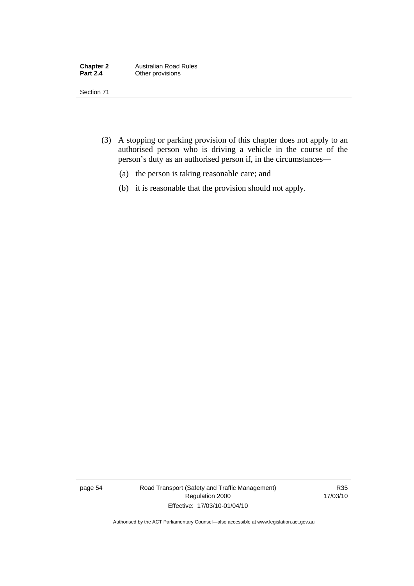| <b>Chapter 2</b> | <b>Australian Road Rules</b> |
|------------------|------------------------------|
| <b>Part 2.4</b>  | Other provisions             |

Section 71

- (3) A stopping or parking provision of this chapter does not apply to an authorised person who is driving a vehicle in the course of the person's duty as an authorised person if, in the circumstances—
	- (a) the person is taking reasonable care; and
	- (b) it is reasonable that the provision should not apply.

page 54 Road Transport (Safety and Traffic Management) Regulation 2000 Effective: 17/03/10-01/04/10

R35 17/03/10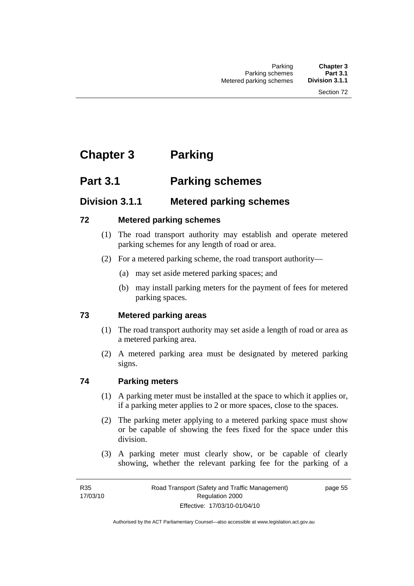# **Chapter 3 Parking**

# **Part 3.1 Parking schemes**

# **Division 3.1.1 Metered parking schemes**

#### **72 Metered parking schemes**

- (1) The road transport authority may establish and operate metered parking schemes for any length of road or area.
- (2) For a metered parking scheme, the road transport authority—
	- (a) may set aside metered parking spaces; and
	- (b) may install parking meters for the payment of fees for metered parking spaces.

#### **73 Metered parking areas**

- (1) The road transport authority may set aside a length of road or area as a metered parking area.
- (2) A metered parking area must be designated by metered parking signs.

#### **74 Parking meters**

- (1) A parking meter must be installed at the space to which it applies or, if a parking meter applies to 2 or more spaces, close to the spaces.
- (2) The parking meter applying to a metered parking space must show or be capable of showing the fees fixed for the space under this division.
- (3) A parking meter must clearly show, or be capable of clearly showing, whether the relevant parking fee for the parking of a

page 55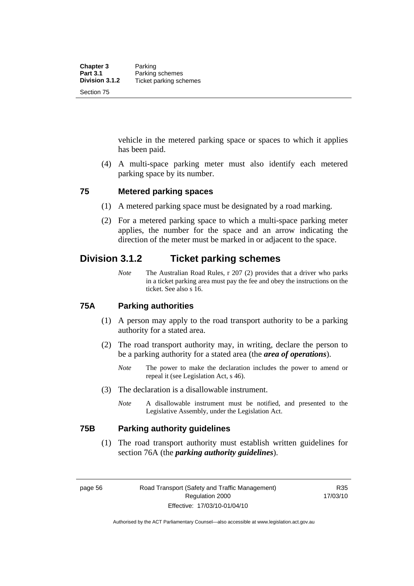vehicle in the metered parking space or spaces to which it applies has been paid.

 (4) A multi-space parking meter must also identify each metered parking space by its number.

#### **75 Metered parking spaces**

- (1) A metered parking space must be designated by a road marking.
- (2) For a metered parking space to which a multi-space parking meter applies, the number for the space and an arrow indicating the direction of the meter must be marked in or adjacent to the space.

# **Division 3.1.2 Ticket parking schemes**

*Note* The Australian Road Rules, r 207 (2) provides that a driver who parks in a ticket parking area must pay the fee and obey the instructions on the ticket. See also s 16.

#### **75A Parking authorities**

- (1) A person may apply to the road transport authority to be a parking authority for a stated area.
- (2) The road transport authority may, in writing, declare the person to be a parking authority for a stated area (the *area of operations*).
	- *Note* The power to make the declaration includes the power to amend or repeal it (see Legislation Act, s 46).
- (3) The declaration is a disallowable instrument.
	- *Note* A disallowable instrument must be notified, and presented to the Legislative Assembly, under the Legislation Act.

#### **75B Parking authority guidelines**

 (1) The road transport authority must establish written guidelines for section 76A (the *parking authority guidelines*).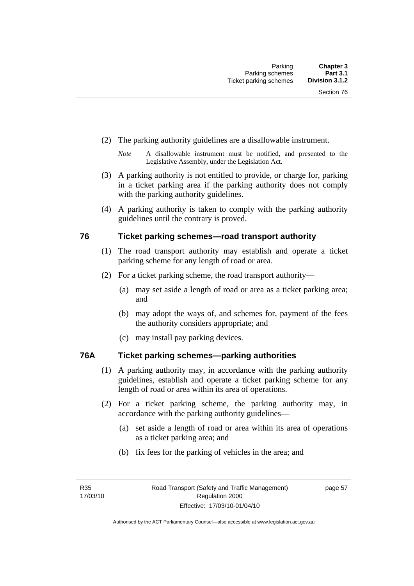- (2) The parking authority guidelines are a disallowable instrument.
	- *Note* A disallowable instrument must be notified, and presented to the Legislative Assembly, under the Legislation Act.
- (3) A parking authority is not entitled to provide, or charge for, parking in a ticket parking area if the parking authority does not comply with the parking authority guidelines.
- (4) A parking authority is taken to comply with the parking authority guidelines until the contrary is proved.

#### **76 Ticket parking schemes—road transport authority**

- (1) The road transport authority may establish and operate a ticket parking scheme for any length of road or area.
- (2) For a ticket parking scheme, the road transport authority—
	- (a) may set aside a length of road or area as a ticket parking area; and
	- (b) may adopt the ways of, and schemes for, payment of the fees the authority considers appropriate; and
	- (c) may install pay parking devices.

#### **76A Ticket parking schemes—parking authorities**

- (1) A parking authority may, in accordance with the parking authority guidelines, establish and operate a ticket parking scheme for any length of road or area within its area of operations.
- (2) For a ticket parking scheme, the parking authority may, in accordance with the parking authority guidelines—
	- (a) set aside a length of road or area within its area of operations as a ticket parking area; and
	- (b) fix fees for the parking of vehicles in the area; and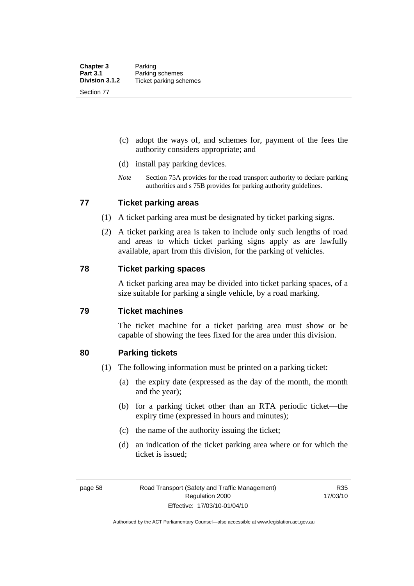- (c) adopt the ways of, and schemes for, payment of the fees the authority considers appropriate; and
- (d) install pay parking devices.
- *Note* Section 75A provides for the road transport authority to declare parking authorities and s 75B provides for parking authority guidelines.

#### **77 Ticket parking areas**

- (1) A ticket parking area must be designated by ticket parking signs.
- (2) A ticket parking area is taken to include only such lengths of road and areas to which ticket parking signs apply as are lawfully available, apart from this division, for the parking of vehicles.

#### **78 Ticket parking spaces**

A ticket parking area may be divided into ticket parking spaces, of a size suitable for parking a single vehicle, by a road marking.

#### **79 Ticket machines**

The ticket machine for a ticket parking area must show or be capable of showing the fees fixed for the area under this division.

#### **80 Parking tickets**

- (1) The following information must be printed on a parking ticket:
	- (a) the expiry date (expressed as the day of the month, the month and the year);
	- (b) for a parking ticket other than an RTA periodic ticket—the expiry time (expressed in hours and minutes);
	- (c) the name of the authority issuing the ticket;
	- (d) an indication of the ticket parking area where or for which the ticket is issued;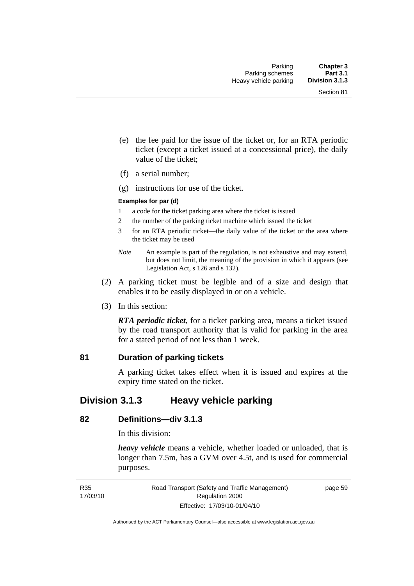- (e) the fee paid for the issue of the ticket or, for an RTA periodic ticket (except a ticket issued at a concessional price), the daily value of the ticket;
- (f) a serial number;
- (g) instructions for use of the ticket.

#### **Examples for par (d)**

- 1 a code for the ticket parking area where the ticket is issued
- 2 the number of the parking ticket machine which issued the ticket
- 3 for an RTA periodic ticket—the daily value of the ticket or the area where the ticket may be used
- *Note* An example is part of the regulation, is not exhaustive and may extend, but does not limit, the meaning of the provision in which it appears (see Legislation Act, s 126 and s 132).
- (2) A parking ticket must be legible and of a size and design that enables it to be easily displayed in or on a vehicle.
- (3) In this section:

*RTA periodic ticket*, for a ticket parking area, means a ticket issued by the road transport authority that is valid for parking in the area for a stated period of not less than 1 week.

#### **81 Duration of parking tickets**

A parking ticket takes effect when it is issued and expires at the expiry time stated on the ticket.

## **Division 3.1.3 Heavy vehicle parking**

#### **82 Definitions—div 3.1.3**

In this division:

*heavy vehicle* means a vehicle, whether loaded or unloaded, that is longer than 7.5m, has a GVM over 4.5t, and is used for commercial purposes.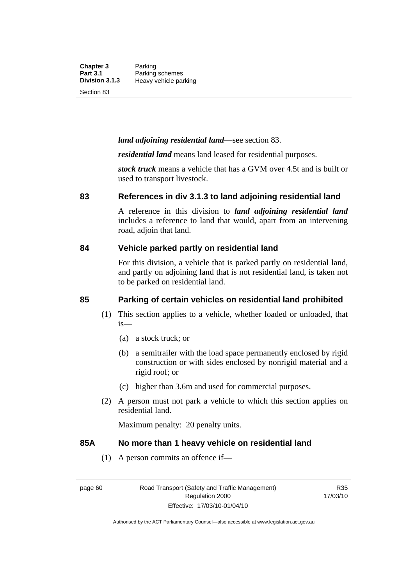**Chapter 3** Parking<br>**Part 3.1** Parking **Part 3.1 Parking schemes**<br>**Division 3.1.3 Heavy vehicle pa Division 3.1.3** Heavy vehicle parking

Section 83

#### *land adjoining residential land*—see section 83.

*residential land* means land leased for residential purposes.

*stock truck* means a vehicle that has a GVM over 4.5t and is built or used to transport livestock.

#### **83 References in div 3.1.3 to land adjoining residential land**

A reference in this division to *land adjoining residential land* includes a reference to land that would, apart from an intervening road, adjoin that land.

#### **84 Vehicle parked partly on residential land**

For this division, a vehicle that is parked partly on residential land, and partly on adjoining land that is not residential land, is taken not to be parked on residential land.

#### **85 Parking of certain vehicles on residential land prohibited**

- (1) This section applies to a vehicle, whether loaded or unloaded, that is—
	- (a) a stock truck; or
	- (b) a semitrailer with the load space permanently enclosed by rigid construction or with sides enclosed by nonrigid material and a rigid roof; or
	- (c) higher than 3.6m and used for commercial purposes.
- (2) A person must not park a vehicle to which this section applies on residential land.

Maximum penalty: 20 penalty units.

#### **85A No more than 1 heavy vehicle on residential land**

(1) A person commits an offence if—

R35 17/03/10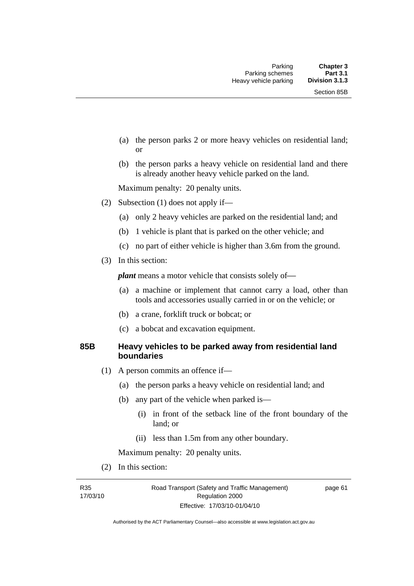- (a) the person parks 2 or more heavy vehicles on residential land; or
- (b) the person parks a heavy vehicle on residential land and there is already another heavy vehicle parked on the land.

Maximum penalty: 20 penalty units.

- (2) Subsection (1) does not apply if—
	- (a) only 2 heavy vehicles are parked on the residential land; and
	- (b) 1 vehicle is plant that is parked on the other vehicle; and
	- (c) no part of either vehicle is higher than 3.6m from the ground.
- (3) In this section:

*plant* means a motor vehicle that consists solely of—

- (a) a machine or implement that cannot carry a load, other than tools and accessories usually carried in or on the vehicle; or
- (b) a crane, forklift truck or bobcat; or
- (c) a bobcat and excavation equipment.

#### **85B Heavy vehicles to be parked away from residential land boundaries**

- (1) A person commits an offence if—
	- (a) the person parks a heavy vehicle on residential land; and
	- (b) any part of the vehicle when parked is—
		- (i) in front of the setback line of the front boundary of the land; or
		- (ii) less than 1.5m from any other boundary.

Maximum penalty: 20 penalty units.

(2) In this section:

R35 17/03/10 page 61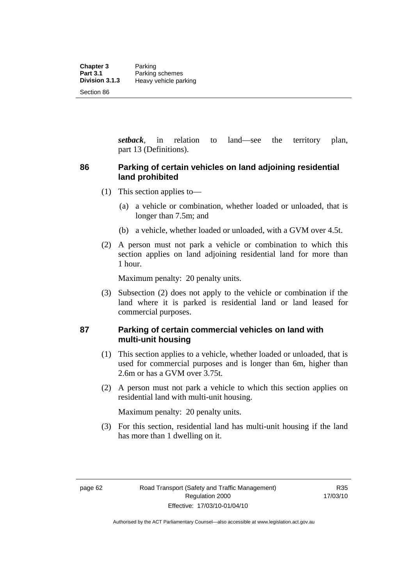*setback*, in relation to land—see the territory plan, part 13 (Definitions).

#### **86 Parking of certain vehicles on land adjoining residential land prohibited**

- (1) This section applies to—
	- (a) a vehicle or combination, whether loaded or unloaded, that is longer than 7.5m; and
	- (b) a vehicle, whether loaded or unloaded, with a GVM over 4.5t.
- (2) A person must not park a vehicle or combination to which this section applies on land adjoining residential land for more than 1 hour.

Maximum penalty: 20 penalty units.

 (3) Subsection (2) does not apply to the vehicle or combination if the land where it is parked is residential land or land leased for commercial purposes.

#### **87 Parking of certain commercial vehicles on land with multi-unit housing**

- (1) This section applies to a vehicle, whether loaded or unloaded, that is used for commercial purposes and is longer than 6m, higher than 2.6m or has a GVM over 3.75t.
- (2) A person must not park a vehicle to which this section applies on residential land with multi-unit housing.

Maximum penalty: 20 penalty units.

 (3) For this section, residential land has multi-unit housing if the land has more than 1 dwelling on it.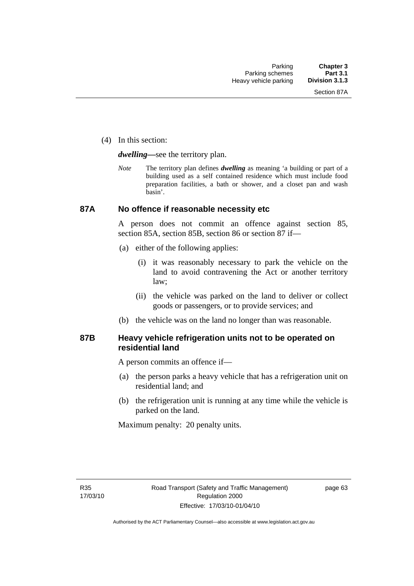(4) In this section:

*dwelling—*see the territory plan.

*Note* The territory plan defines *dwelling* as meaning 'a building or part of a building used as a self contained residence which must include food preparation facilities, a bath or shower, and a closet pan and wash basin'.

## **87A No offence if reasonable necessity etc**

A person does not commit an offence against section 85, section 85A, section 85B, section 86 or section 87 if—

- (a) either of the following applies:
	- (i) it was reasonably necessary to park the vehicle on the land to avoid contravening the Act or another territory law;
	- (ii) the vehicle was parked on the land to deliver or collect goods or passengers, or to provide services; and
- (b) the vehicle was on the land no longer than was reasonable.

## **87B Heavy vehicle refrigeration units not to be operated on residential land**

A person commits an offence if—

- (a) the person parks a heavy vehicle that has a refrigeration unit on residential land; and
- (b) the refrigeration unit is running at any time while the vehicle is parked on the land.

Maximum penalty: 20 penalty units.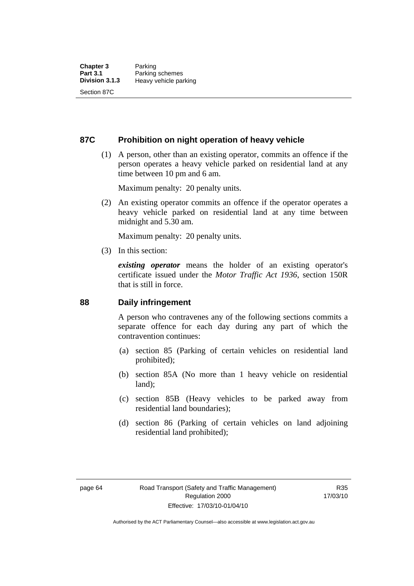## **87C Prohibition on night operation of heavy vehicle**

 (1) A person, other than an existing operator, commits an offence if the person operates a heavy vehicle parked on residential land at any time between 10 pm and 6 am.

Maximum penalty: 20 penalty units.

 (2) An existing operator commits an offence if the operator operates a heavy vehicle parked on residential land at any time between midnight and 5.30 am.

Maximum penalty: 20 penalty units.

(3) In this section:

*existing operator* means the holder of an existing operator's certificate issued under the *Motor Traffic Act 1936*, section 150R that is still in force.

## **88 Daily infringement**

A person who contravenes any of the following sections commits a separate offence for each day during any part of which the contravention continues:

- (a) section 85 (Parking of certain vehicles on residential land prohibited);
- (b) section 85A (No more than 1 heavy vehicle on residential land);
- (c) section 85B (Heavy vehicles to be parked away from residential land boundaries);
- (d) section 86 (Parking of certain vehicles on land adjoining residential land prohibited);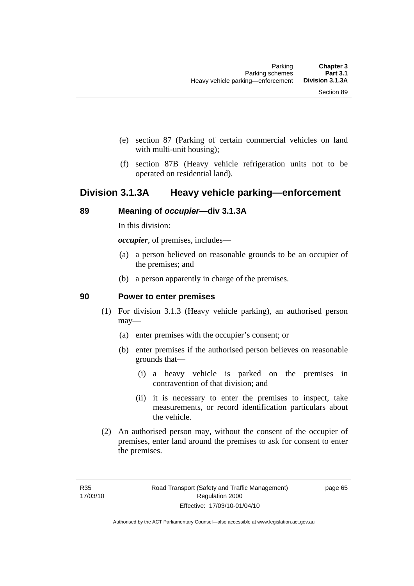- (e) section 87 (Parking of certain commercial vehicles on land with multi-unit housing);
- (f) section 87B (Heavy vehicle refrigeration units not to be operated on residential land).

## **Division 3.1.3A Heavy vehicle parking—enforcement**

## **89 Meaning of** *occupier***—div 3.1.3A**

In this division:

*occupier*, of premises, includes—

- (a) a person believed on reasonable grounds to be an occupier of the premises; and
- (b) a person apparently in charge of the premises.

### **90 Power to enter premises**

- (1) For division 3.1.3 (Heavy vehicle parking), an authorised person may—
	- (a) enter premises with the occupier's consent; or
	- (b) enter premises if the authorised person believes on reasonable grounds that—
		- (i) a heavy vehicle is parked on the premises in contravention of that division; and
		- (ii) it is necessary to enter the premises to inspect, take measurements, or record identification particulars about the vehicle.
- (2) An authorised person may, without the consent of the occupier of premises, enter land around the premises to ask for consent to enter the premises.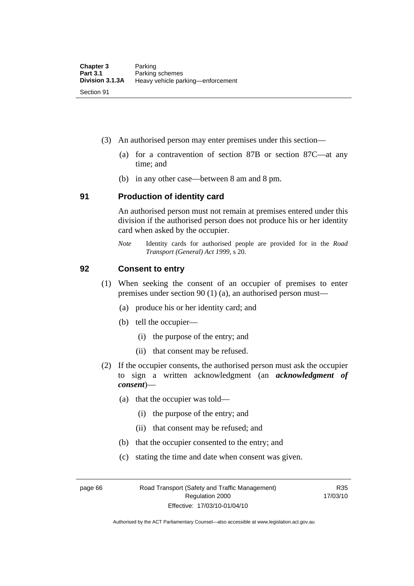- (3) An authorised person may enter premises under this section––
	- (a) for a contravention of section 87B or section 87C––at any time; and
	- (b) in any other case––between 8 am and 8 pm.

### **91 Production of identity card**

An authorised person must not remain at premises entered under this division if the authorised person does not produce his or her identity card when asked by the occupier.

*Note* Identity cards for authorised people are provided for in the *Road Transport (General) Act 1999*, s 20.

## **92 Consent to entry**

- (1) When seeking the consent of an occupier of premises to enter premises under section 90 (1) (a), an authorised person must—
	- (a) produce his or her identity card; and
	- (b) tell the occupier—
		- (i) the purpose of the entry; and
		- (ii) that consent may be refused.
- (2) If the occupier consents, the authorised person must ask the occupier to sign a written acknowledgment (an *acknowledgment of consent*)—
	- (a) that the occupier was told—
		- (i) the purpose of the entry; and
		- (ii) that consent may be refused; and
	- (b) that the occupier consented to the entry; and
	- (c) stating the time and date when consent was given.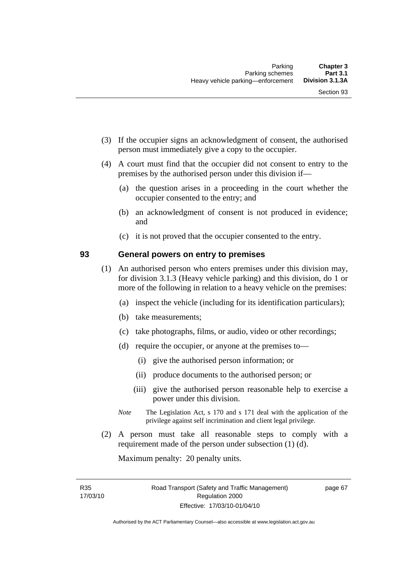- (3) If the occupier signs an acknowledgment of consent, the authorised person must immediately give a copy to the occupier.
- (4) A court must find that the occupier did not consent to entry to the premises by the authorised person under this division if—
	- (a) the question arises in a proceeding in the court whether the occupier consented to the entry; and
	- (b) an acknowledgment of consent is not produced in evidence; and
	- (c) it is not proved that the occupier consented to the entry.

### **93 General powers on entry to premises**

- (1) An authorised person who enters premises under this division may, for division 3.1.3 (Heavy vehicle parking) and this division, do 1 or more of the following in relation to a heavy vehicle on the premises:
	- (a) inspect the vehicle (including for its identification particulars);
	- (b) take measurements;
	- (c) take photographs, films, or audio, video or other recordings;
	- (d) require the occupier, or anyone at the premises to—
		- (i) give the authorised person information; or
		- (ii) produce documents to the authorised person; or
		- (iii) give the authorised person reasonable help to exercise a power under this division.
	- *Note* The Legislation Act, s 170 and s 171 deal with the application of the privilege against self incrimination and client legal privilege.
- (2) A person must take all reasonable steps to comply with a requirement made of the person under subsection (1) (d).

Maximum penalty: 20 penalty units.

R35 17/03/10 page 67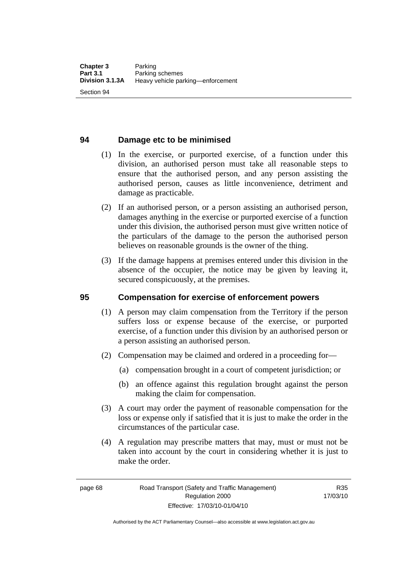## **94 Damage etc to be minimised**

- (1) In the exercise, or purported exercise, of a function under this division, an authorised person must take all reasonable steps to ensure that the authorised person, and any person assisting the authorised person, causes as little inconvenience, detriment and damage as practicable.
- (2) If an authorised person, or a person assisting an authorised person, damages anything in the exercise or purported exercise of a function under this division, the authorised person must give written notice of the particulars of the damage to the person the authorised person believes on reasonable grounds is the owner of the thing.
- (3) If the damage happens at premises entered under this division in the absence of the occupier, the notice may be given by leaving it, secured conspicuously, at the premises.

#### **95 Compensation for exercise of enforcement powers**

- (1) A person may claim compensation from the Territory if the person suffers loss or expense because of the exercise, or purported exercise, of a function under this division by an authorised person or a person assisting an authorised person.
- (2) Compensation may be claimed and ordered in a proceeding for—
	- (a) compensation brought in a court of competent jurisdiction; or
	- (b) an offence against this regulation brought against the person making the claim for compensation.
- (3) A court may order the payment of reasonable compensation for the loss or expense only if satisfied that it is just to make the order in the circumstances of the particular case.
- (4) A regulation may prescribe matters that may, must or must not be taken into account by the court in considering whether it is just to make the order.

Authorised by the ACT Parliamentary Counsel—also accessible at www.legislation.act.gov.au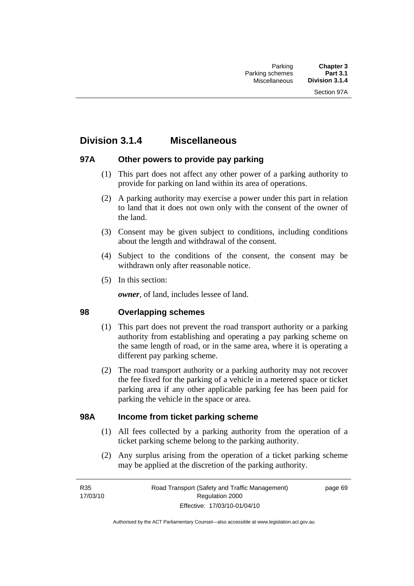## **Division 3.1.4 Miscellaneous**

## **97A Other powers to provide pay parking**

- (1) This part does not affect any other power of a parking authority to provide for parking on land within its area of operations.
- (2) A parking authority may exercise a power under this part in relation to land that it does not own only with the consent of the owner of the land.
- (3) Consent may be given subject to conditions, including conditions about the length and withdrawal of the consent.
- (4) Subject to the conditions of the consent, the consent may be withdrawn only after reasonable notice.
- (5) In this section:

*owner*, of land, includes lessee of land.

## **98 Overlapping schemes**

- (1) This part does not prevent the road transport authority or a parking authority from establishing and operating a pay parking scheme on the same length of road, or in the same area, where it is operating a different pay parking scheme.
- (2) The road transport authority or a parking authority may not recover the fee fixed for the parking of a vehicle in a metered space or ticket parking area if any other applicable parking fee has been paid for parking the vehicle in the space or area.

## **98A Income from ticket parking scheme**

- (1) All fees collected by a parking authority from the operation of a ticket parking scheme belong to the parking authority.
- (2) Any surplus arising from the operation of a ticket parking scheme may be applied at the discretion of the parking authority.

page 69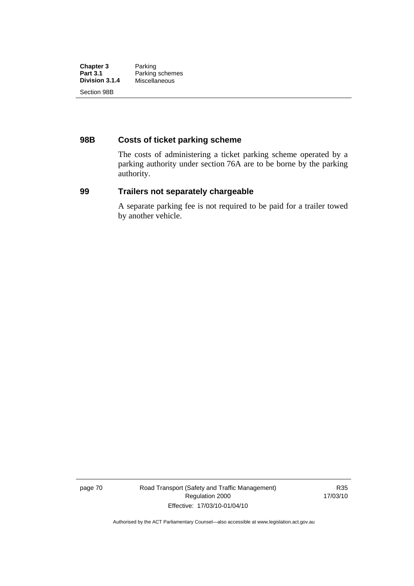| <b>Chapter 3</b> | Parking         |
|------------------|-----------------|
| <b>Part 3.1</b>  | Parking schemes |
| Division 3.1.4   | Miscellaneous   |
| Section 98B      |                 |

## **98B Costs of ticket parking scheme**

The costs of administering a ticket parking scheme operated by a parking authority under section 76A are to be borne by the parking authority.

## **99 Trailers not separately chargeable**

A separate parking fee is not required to be paid for a trailer towed by another vehicle.

page 70 Road Transport (Safety and Traffic Management) Regulation 2000 Effective: 17/03/10-01/04/10

R35 17/03/10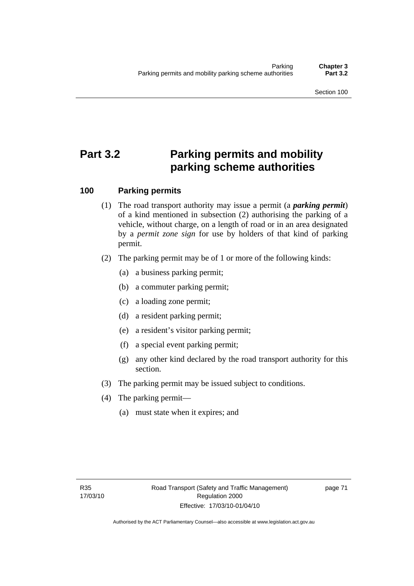# **Part 3.2 Parking permits and mobility parking scheme authorities**

## **100 Parking permits**

- (1) The road transport authority may issue a permit (a *parking permit*) of a kind mentioned in subsection (2) authorising the parking of a vehicle, without charge, on a length of road or in an area designated by a *permit zone sign* for use by holders of that kind of parking permit.
- (2) The parking permit may be of 1 or more of the following kinds:
	- (a) a business parking permit;
	- (b) a commuter parking permit;
	- (c) a loading zone permit;
	- (d) a resident parking permit;
	- (e) a resident's visitor parking permit;
	- (f) a special event parking permit;
	- (g) any other kind declared by the road transport authority for this section.
- (3) The parking permit may be issued subject to conditions.
- (4) The parking permit—
	- (a) must state when it expires; and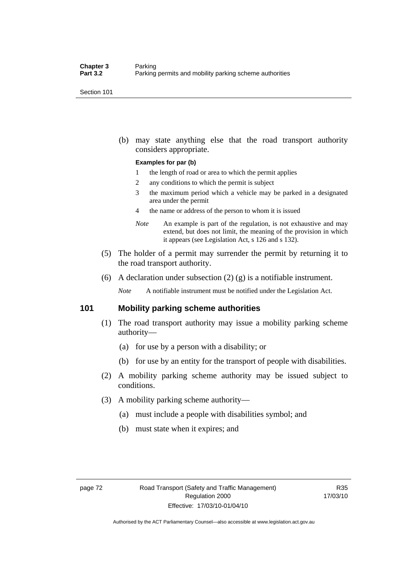Section 101

 (b) may state anything else that the road transport authority considers appropriate.

#### **Examples for par (b)**

- 1 the length of road or area to which the permit applies
- 2 any conditions to which the permit is subject
- 3 the maximum period which a vehicle may be parked in a designated area under the permit
- 4 the name or address of the person to whom it is issued
- *Note* An example is part of the regulation, is not exhaustive and may extend, but does not limit, the meaning of the provision in which it appears (see Legislation Act, s 126 and s 132).
- (5) The holder of a permit may surrender the permit by returning it to the road transport authority.
- (6) A declaration under subsection  $(2)$   $(g)$  is a notifiable instrument.

*Note* A notifiable instrument must be notified under the Legislation Act.

## **101 Mobility parking scheme authorities**

- (1) The road transport authority may issue a mobility parking scheme authority—
	- (a) for use by a person with a disability; or
	- (b) for use by an entity for the transport of people with disabilities.
- (2) A mobility parking scheme authority may be issued subject to conditions.
- (3) A mobility parking scheme authority—
	- (a) must include a people with disabilities symbol; and
	- (b) must state when it expires; and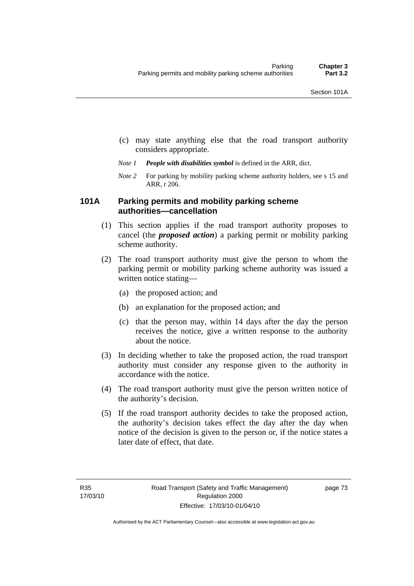- (c) may state anything else that the road transport authority considers appropriate.
- *Note 1 People with disabilities symbol* is defined in the ARR, dict.
- *Note 2* For parking by mobility parking scheme authority holders, see s 15 and ARR, r 206.

## **101A Parking permits and mobility parking scheme authorities—cancellation**

- (1) This section applies if the road transport authority proposes to cancel (the *proposed action*) a parking permit or mobility parking scheme authority.
- (2) The road transport authority must give the person to whom the parking permit or mobility parking scheme authority was issued a written notice stating—
	- (a) the proposed action; and
	- (b) an explanation for the proposed action; and
	- (c) that the person may, within 14 days after the day the person receives the notice, give a written response to the authority about the notice.
- (3) In deciding whether to take the proposed action, the road transport authority must consider any response given to the authority in accordance with the notice.
- (4) The road transport authority must give the person written notice of the authority's decision.
- (5) If the road transport authority decides to take the proposed action, the authority's decision takes effect the day after the day when notice of the decision is given to the person or, if the notice states a later date of effect, that date.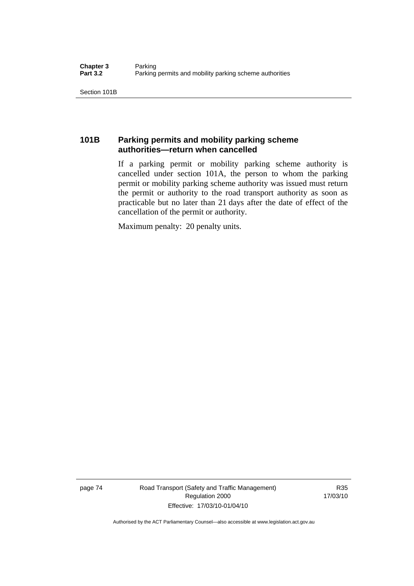Section 101B

## **101B Parking permits and mobility parking scheme authorities—return when cancelled**

If a parking permit or mobility parking scheme authority is cancelled under section 101A, the person to whom the parking permit or mobility parking scheme authority was issued must return the permit or authority to the road transport authority as soon as practicable but no later than 21 days after the date of effect of the cancellation of the permit or authority.

Maximum penalty: 20 penalty units.

page 74 Road Transport (Safety and Traffic Management) Regulation 2000 Effective: 17/03/10-01/04/10

R35 17/03/10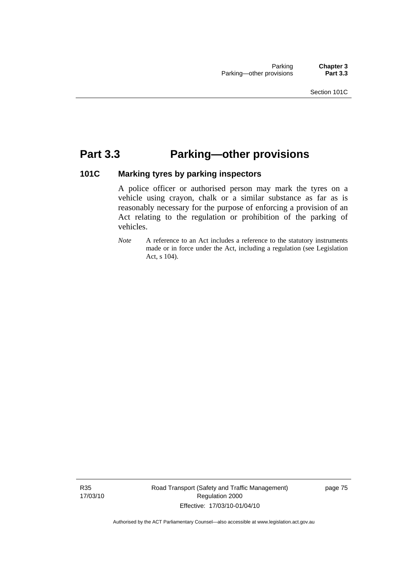## **Part 3.3 Parking—other provisions**

## **101C Marking tyres by parking inspectors**

A police officer or authorised person may mark the tyres on a vehicle using crayon, chalk or a similar substance as far as is reasonably necessary for the purpose of enforcing a provision of an Act relating to the regulation or prohibition of the parking of vehicles.

*Note* A reference to an Act includes a reference to the statutory instruments made or in force under the Act, including a regulation (see Legislation Act, s 104).

R35 17/03/10 Road Transport (Safety and Traffic Management) Regulation 2000 Effective: 17/03/10-01/04/10

page 75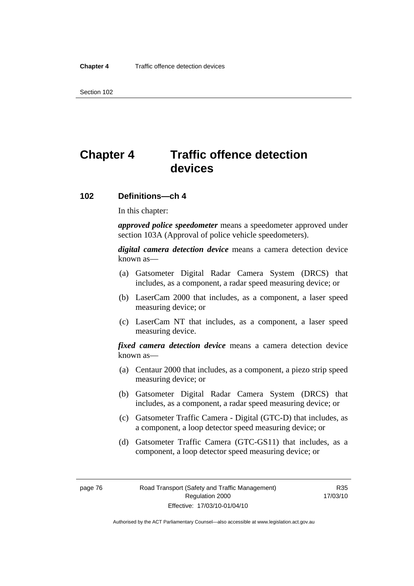Section 102

# **Chapter 4 Traffic offence detection devices**

### **102 Definitions—ch 4**

In this chapter:

*approved police speedometer* means a speedometer approved under section 103A (Approval of police vehicle speedometers).

*digital camera detection device* means a camera detection device known as—

- (a) Gatsometer Digital Radar Camera System (DRCS) that includes, as a component, a radar speed measuring device; or
- (b) LaserCam 2000 that includes, as a component, a laser speed measuring device; or
- (c) LaserCam NT that includes, as a component, a laser speed measuring device.

*fixed camera detection device* means a camera detection device known as—

- (a) Centaur 2000 that includes, as a component, a piezo strip speed measuring device; or
- (b) Gatsometer Digital Radar Camera System (DRCS) that includes, as a component, a radar speed measuring device; or
- (c) Gatsometer Traffic Camera Digital (GTC-D) that includes, as a component, a loop detector speed measuring device; or
- (d) Gatsometer Traffic Camera (GTC-GS11) that includes, as a component, a loop detector speed measuring device; or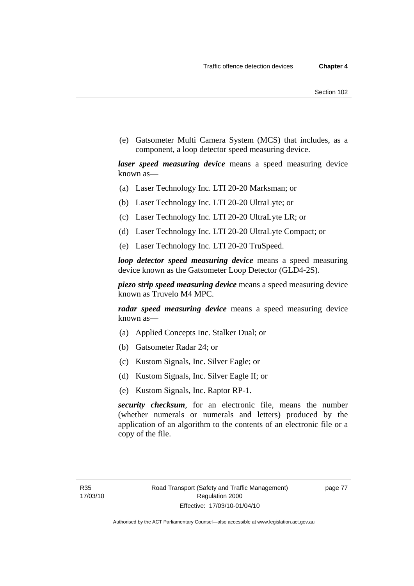(e) Gatsometer Multi Camera System (MCS) that includes, as a component, a loop detector speed measuring device.

*laser speed measuring device* means a speed measuring device known as—

- (a) Laser Technology Inc. LTI 20-20 Marksman; or
- (b) Laser Technology Inc. LTI 20-20 UltraLyte; or
- (c) Laser Technology Inc. LTI 20-20 UltraLyte LR; or
- (d) Laser Technology Inc. LTI 20-20 UltraLyte Compact; or
- (e) Laser Technology Inc. LTI 20-20 TruSpeed.

*loop detector speed measuring device* means a speed measuring device known as the Gatsometer Loop Detector (GLD4-2S).

*piezo strip speed measuring device* means a speed measuring device known as Truvelo M4 MPC.

*radar speed measuring device* means a speed measuring device known as—

- (a) Applied Concepts Inc. Stalker Dual; or
- (b) Gatsometer Radar 24; or
- (c) Kustom Signals, Inc. Silver Eagle; or
- (d) Kustom Signals, Inc. Silver Eagle II; or
- (e) Kustom Signals, Inc. Raptor RP-1.

*security checksum*, for an electronic file, means the number (whether numerals or numerals and letters) produced by the application of an algorithm to the contents of an electronic file or a copy of the file.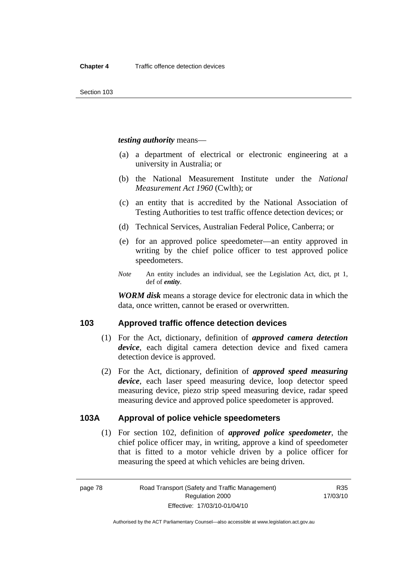*testing authority* means—

- (a) a department of electrical or electronic engineering at a university in Australia; or
- (b) the National Measurement Institute under the *National Measurement Act 1960* (Cwlth); or
- (c) an entity that is accredited by the National Association of Testing Authorities to test traffic offence detection devices; or
- (d) Technical Services, Australian Federal Police, Canberra; or
- (e) for an approved police speedometer—an entity approved in writing by the chief police officer to test approved police speedometers.
- *Note* An entity includes an individual, see the Legislation Act, dict, pt 1, def of *entity*.

*WORM disk* means a storage device for electronic data in which the data, once written, cannot be erased or overwritten.

## **103 Approved traffic offence detection devices**

- (1) For the Act, dictionary, definition of *approved camera detection device*, each digital camera detection device and fixed camera detection device is approved.
- (2) For the Act, dictionary, definition of *approved speed measuring device*, each laser speed measuring device, loop detector speed measuring device, piezo strip speed measuring device, radar speed measuring device and approved police speedometer is approved.

## **103A Approval of police vehicle speedometers**

 (1) For section 102, definition of *approved police speedometer*, the chief police officer may, in writing, approve a kind of speedometer that is fitted to a motor vehicle driven by a police officer for measuring the speed at which vehicles are being driven.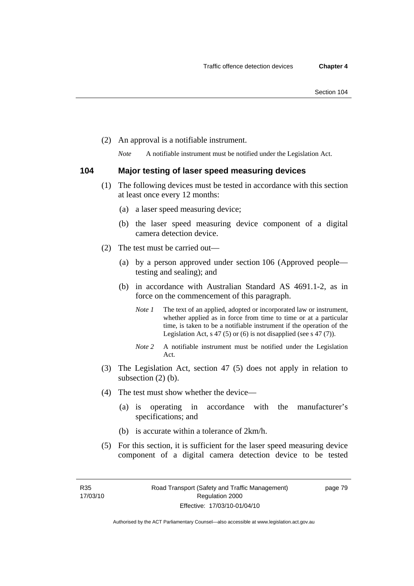(2) An approval is a notifiable instrument.

*Note* A notifiable instrument must be notified under the Legislation Act.

## **104 Major testing of laser speed measuring devices**

- (1) The following devices must be tested in accordance with this section at least once every 12 months:
	- (a) a laser speed measuring device;
	- (b) the laser speed measuring device component of a digital camera detection device.
- (2) The test must be carried out—
	- (a) by a person approved under section 106 (Approved people testing and sealing); and
	- (b) in accordance with Australian Standard AS 4691.1-2, as in force on the commencement of this paragraph.
		- *Note 1* The text of an applied, adopted or incorporated law or instrument, whether applied as in force from time to time or at a particular time, is taken to be a notifiable instrument if the operation of the Legislation Act,  $s$  47 (5) or (6) is not disapplied (see s 47 (7)).
		- *Note 2* A notifiable instrument must be notified under the Legislation Act.
- (3) The Legislation Act, section 47 (5) does not apply in relation to subsection (2) (b).
- (4) The test must show whether the device—
	- (a) is operating in accordance with the manufacturer's specifications; and
	- (b) is accurate within a tolerance of 2km/h.
- (5) For this section, it is sufficient for the laser speed measuring device component of a digital camera detection device to be tested

Authorised by the ACT Parliamentary Counsel—also accessible at www.legislation.act.gov.au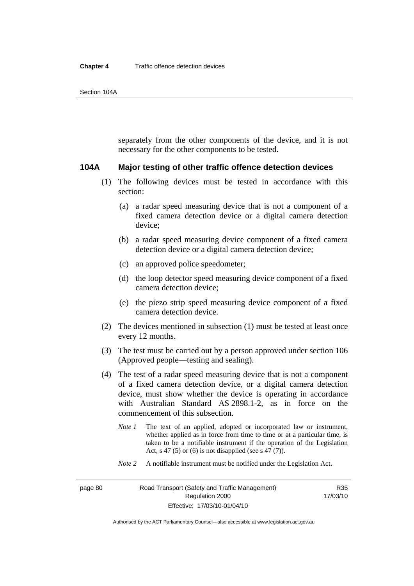separately from the other components of the device, and it is not necessary for the other components to be tested.

#### **104A Major testing of other traffic offence detection devices**

- (1) The following devices must be tested in accordance with this section:
	- (a) a radar speed measuring device that is not a component of a fixed camera detection device or a digital camera detection device;
	- (b) a radar speed measuring device component of a fixed camera detection device or a digital camera detection device;
	- (c) an approved police speedometer;
	- (d) the loop detector speed measuring device component of a fixed camera detection device;
	- (e) the piezo strip speed measuring device component of a fixed camera detection device.
- (2) The devices mentioned in subsection (1) must be tested at least once every 12 months.
- (3) The test must be carried out by a person approved under section 106 (Approved people—testing and sealing).
- (4) The test of a radar speed measuring device that is not a component of a fixed camera detection device, or a digital camera detection device, must show whether the device is operating in accordance with Australian Standard AS 2898.1-2, as in force on the commencement of this subsection.
	- *Note 1* The text of an applied, adopted or incorporated law or instrument, whether applied as in force from time to time or at a particular time, is taken to be a notifiable instrument if the operation of the Legislation Act, s 47 (5) or (6) is not disapplied (see s 47 (7)).
	- *Note 2* A notifiable instrument must be notified under the Legislation Act.

R35 17/03/10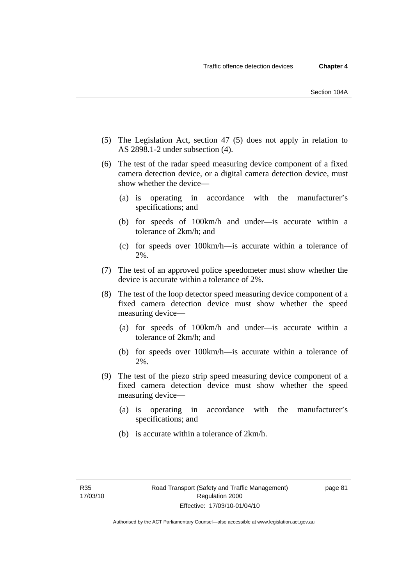- (5) The Legislation Act, section 47 (5) does not apply in relation to AS 2898.1-2 under subsection (4).
- (6) The test of the radar speed measuring device component of a fixed camera detection device, or a digital camera detection device, must show whether the device—
	- (a) is operating in accordance with the manufacturer's specifications; and
	- (b) for speeds of 100km/h and under—is accurate within a tolerance of 2km/h; and
	- (c) for speeds over 100km/h—is accurate within a tolerance of 2%.
- (7) The test of an approved police speedometer must show whether the device is accurate within a tolerance of 2%.
- (8) The test of the loop detector speed measuring device component of a fixed camera detection device must show whether the speed measuring device—
	- (a) for speeds of 100km/h and under—is accurate within a tolerance of 2km/h; and
	- (b) for speeds over 100km/h—is accurate within a tolerance of 2%.
- (9) The test of the piezo strip speed measuring device component of a fixed camera detection device must show whether the speed measuring device—
	- (a) is operating in accordance with the manufacturer's specifications; and
	- (b) is accurate within a tolerance of 2km/h.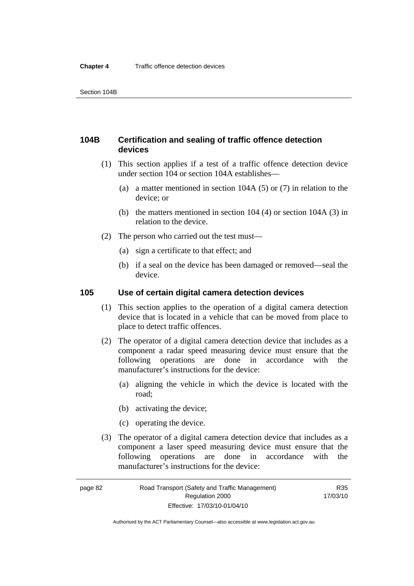## **104B Certification and sealing of traffic offence detection devices**

- (1) This section applies if a test of a traffic offence detection device under section 104 or section 104A establishes—
	- (a) a matter mentioned in section 104A (5) or (7) in relation to the device; or
	- (b) the matters mentioned in section 104 (4) or section 104A (3) in relation to the device.
- (2) The person who carried out the test must—
	- (a) sign a certificate to that effect; and
	- (b) if a seal on the device has been damaged or removed—seal the device.

## **105 Use of certain digital camera detection devices**

- (1) This section applies to the operation of a digital camera detection device that is located in a vehicle that can be moved from place to place to detect traffic offences.
- (2) The operator of a digital camera detection device that includes as a component a radar speed measuring device must ensure that the following operations are done in accordance with the manufacturer's instructions for the device:
	- (a) aligning the vehicle in which the device is located with the road;
	- (b) activating the device;
	- (c) operating the device.
- (3) The operator of a digital camera detection device that includes as a component a laser speed measuring device must ensure that the following operations are done in accordance with the manufacturer's instructions for the device: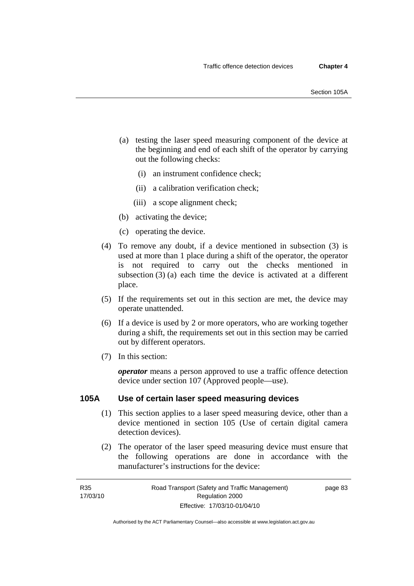- (a) testing the laser speed measuring component of the device at the beginning and end of each shift of the operator by carrying out the following checks:
	- (i) an instrument confidence check;
	- (ii) a calibration verification check;
	- (iii) a scope alignment check;
- (b) activating the device;
- (c) operating the device.
- (4) To remove any doubt, if a device mentioned in subsection (3) is used at more than 1 place during a shift of the operator, the operator is not required to carry out the checks mentioned in subsection (3) (a) each time the device is activated at a different place.
- (5) If the requirements set out in this section are met, the device may operate unattended.
- (6) If a device is used by 2 or more operators, who are working together during a shift, the requirements set out in this section may be carried out by different operators.
- (7) In this section:

*operator* means a person approved to use a traffic offence detection device under section 107 (Approved people—use).

### **105A Use of certain laser speed measuring devices**

- (1) This section applies to a laser speed measuring device, other than a device mentioned in section 105 (Use of certain digital camera detection devices).
- (2) The operator of the laser speed measuring device must ensure that the following operations are done in accordance with the manufacturer's instructions for the device:

page 83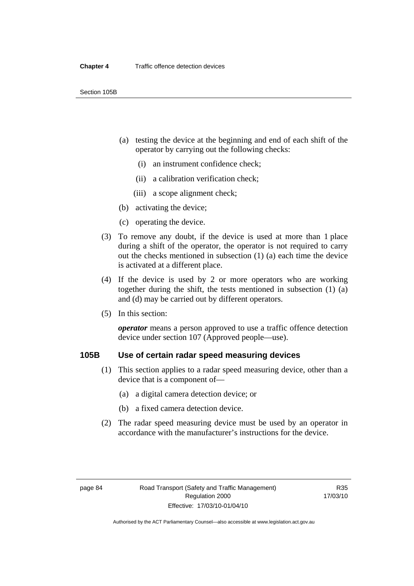- (a) testing the device at the beginning and end of each shift of the operator by carrying out the following checks:
	- (i) an instrument confidence check;
	- (ii) a calibration verification check;
	- (iii) a scope alignment check;
- (b) activating the device;
- (c) operating the device.
- (3) To remove any doubt, if the device is used at more than 1 place during a shift of the operator, the operator is not required to carry out the checks mentioned in subsection (1) (a) each time the device is activated at a different place.
- (4) If the device is used by 2 or more operators who are working together during the shift, the tests mentioned in subsection (1) (a) and (d) may be carried out by different operators.
- (5) In this section:

*operator* means a person approved to use a traffic offence detection device under section 107 (Approved people—use).

## **105B Use of certain radar speed measuring devices**

- (1) This section applies to a radar speed measuring device, other than a device that is a component of—
	- (a) a digital camera detection device; or
	- (b) a fixed camera detection device.
- (2) The radar speed measuring device must be used by an operator in accordance with the manufacturer's instructions for the device.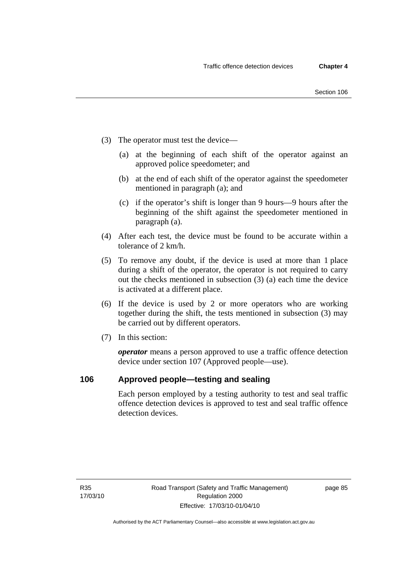- (3) The operator must test the device—
	- (a) at the beginning of each shift of the operator against an approved police speedometer; and
	- (b) at the end of each shift of the operator against the speedometer mentioned in paragraph (a); and
	- (c) if the operator's shift is longer than 9 hours—9 hours after the beginning of the shift against the speedometer mentioned in paragraph (a).
- (4) After each test, the device must be found to be accurate within a tolerance of 2 km/h.
- (5) To remove any doubt, if the device is used at more than 1 place during a shift of the operator, the operator is not required to carry out the checks mentioned in subsection (3) (a) each time the device is activated at a different place.
- (6) If the device is used by 2 or more operators who are working together during the shift, the tests mentioned in subsection (3) may be carried out by different operators.
- (7) In this section:

*operator* means a person approved to use a traffic offence detection device under section 107 (Approved people—use).

## **106 Approved people—testing and sealing**

Each person employed by a testing authority to test and seal traffic offence detection devices is approved to test and seal traffic offence detection devices.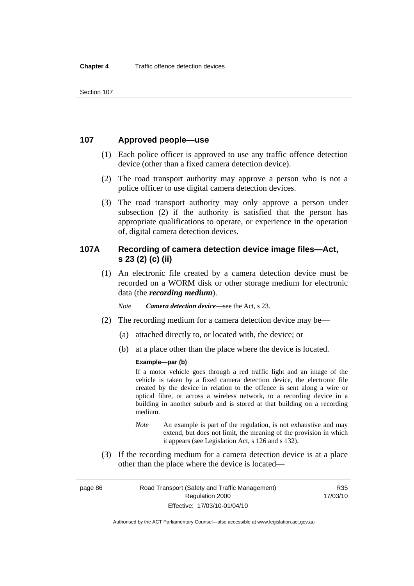## **107 Approved people—use**

- (1) Each police officer is approved to use any traffic offence detection device (other than a fixed camera detection device).
- (2) The road transport authority may approve a person who is not a police officer to use digital camera detection devices.
- (3) The road transport authority may only approve a person under subsection (2) if the authority is satisfied that the person has appropriate qualifications to operate, or experience in the operation of, digital camera detection devices.

## **107A Recording of camera detection device image files—Act, s 23 (2) (c) (ii)**

 (1) An electronic file created by a camera detection device must be recorded on a WORM disk or other storage medium for electronic data (the *recording medium*).

*Note Camera detection device*—see the Act, s 23.

- (2) The recording medium for a camera detection device may be—
	- (a) attached directly to, or located with, the device; or
	- (b) at a place other than the place where the device is located.

### **Example—par (b)**

If a motor vehicle goes through a red traffic light and an image of the vehicle is taken by a fixed camera detection device, the electronic file created by the device in relation to the offence is sent along a wire or optical fibre, or across a wireless network, to a recording device in a building in another suburb and is stored at that building on a recording medium.

- *Note* An example is part of the regulation, is not exhaustive and may extend, but does not limit, the meaning of the provision in which it appears (see Legislation Act, s 126 and s 132).
- (3) If the recording medium for a camera detection device is at a place other than the place where the device is located—

page 86 Road Transport (Safety and Traffic Management) Regulation 2000 Effective: 17/03/10-01/04/10

R35 17/03/10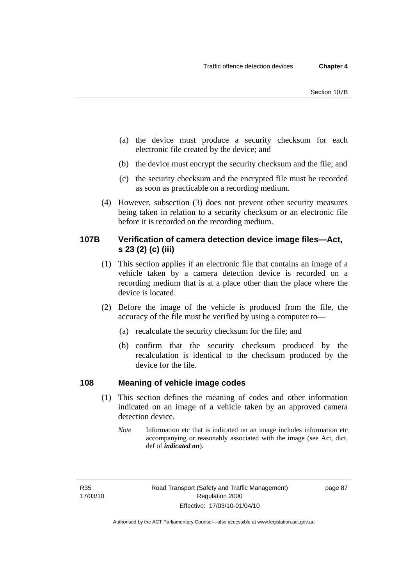- (a) the device must produce a security checksum for each electronic file created by the device; and
- (b) the device must encrypt the security checksum and the file; and
- (c) the security checksum and the encrypted file must be recorded as soon as practicable on a recording medium.
- (4) However, subsection (3) does not prevent other security measures being taken in relation to a security checksum or an electronic file before it is recorded on the recording medium.

## **107B Verification of camera detection device image files—Act, s 23 (2) (c) (iii)**

- (1) This section applies if an electronic file that contains an image of a vehicle taken by a camera detection device is recorded on a recording medium that is at a place other than the place where the device is located.
- (2) Before the image of the vehicle is produced from the file, the accuracy of the file must be verified by using a computer to—
	- (a) recalculate the security checksum for the file; and
	- (b) confirm that the security checksum produced by the recalculation is identical to the checksum produced by the device for the file.

## **108 Meaning of vehicle image codes**

- (1) This section defines the meaning of codes and other information indicated on an image of a vehicle taken by an approved camera detection device.
	- *Note* Information etc that is indicated on an image includes information etc accompanying or reasonably associated with the image (see Act, dict, def of *indicated on*).

R35 17/03/10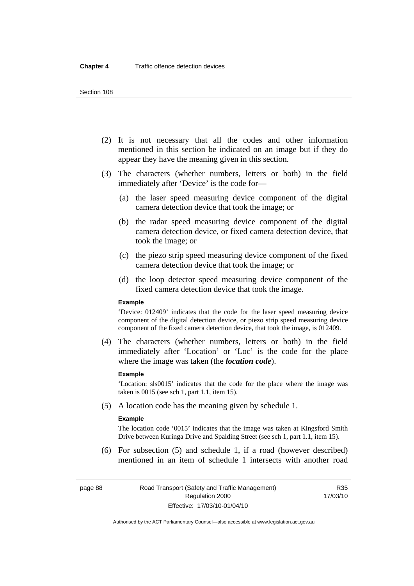#### Section 108

- (2) It is not necessary that all the codes and other information mentioned in this section be indicated on an image but if they do appear they have the meaning given in this section.
- (3) The characters (whether numbers, letters or both) in the field immediately after 'Device' is the code for—
	- (a) the laser speed measuring device component of the digital camera detection device that took the image; or
	- (b) the radar speed measuring device component of the digital camera detection device, or fixed camera detection device, that took the image; or
	- (c) the piezo strip speed measuring device component of the fixed camera detection device that took the image; or
	- (d) the loop detector speed measuring device component of the fixed camera detection device that took the image.

#### **Example**

'Device: 012409' indicates that the code for the laser speed measuring device component of the digital detection device, or piezo strip speed measuring device component of the fixed camera detection device, that took the image, is 012409.

 (4) The characters (whether numbers, letters or both) in the field immediately after 'Location' or 'Loc' is the code for the place where the image was taken (the *location code*).

#### **Example**

'Location: sls0015' indicates that the code for the place where the image was taken is 0015 (see sch 1, part 1.1, item 15).

(5) A location code has the meaning given by schedule 1.

#### **Example**

The location code '0015' indicates that the image was taken at Kingsford Smith Drive between Kuringa Drive and Spalding Street (see sch 1, part 1.1, item 15).

 (6) For subsection (5) and schedule 1, if a road (however described) mentioned in an item of schedule 1 intersects with another road

R35 17/03/10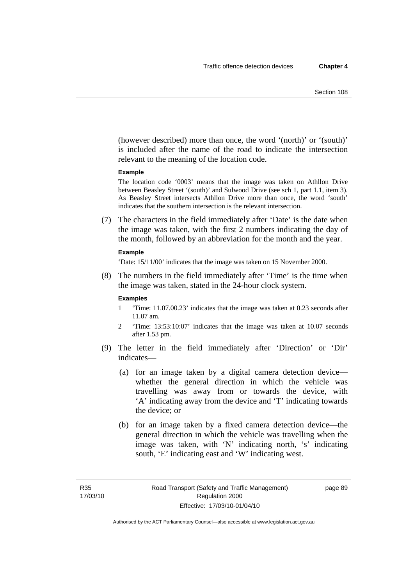(however described) more than once, the word '(north)' or '(south)' is included after the name of the road to indicate the intersection relevant to the meaning of the location code.

#### **Example**

The location code '0003' means that the image was taken on Athllon Drive between Beasley Street '(south)' and Sulwood Drive (see sch 1, part 1.1, item 3). As Beasley Street intersects Athllon Drive more than once, the word 'south' indicates that the southern intersection is the relevant intersection.

 (7) The characters in the field immediately after 'Date' is the date when the image was taken, with the first 2 numbers indicating the day of the month, followed by an abbreviation for the month and the year.

#### **Example**

'Date: 15/11/00' indicates that the image was taken on 15 November 2000.

 (8) The numbers in the field immediately after 'Time' is the time when the image was taken, stated in the 24-hour clock system.

#### **Examples**

- 1 'Time: 11.07.00.23' indicates that the image was taken at 0.23 seconds after 11.07 am.
- 2 'Time: 13:53:10:07' indicates that the image was taken at 10.07 seconds after 1.53 pm.
- (9) The letter in the field immediately after 'Direction' or 'Dir' indicates—
	- (a) for an image taken by a digital camera detection device whether the general direction in which the vehicle was travelling was away from or towards the device, with 'A' indicating away from the device and 'T' indicating towards the device; or
	- (b) for an image taken by a fixed camera detection device—the general direction in which the vehicle was travelling when the image was taken, with 'N' indicating north, 's' indicating south, 'E' indicating east and 'W' indicating west.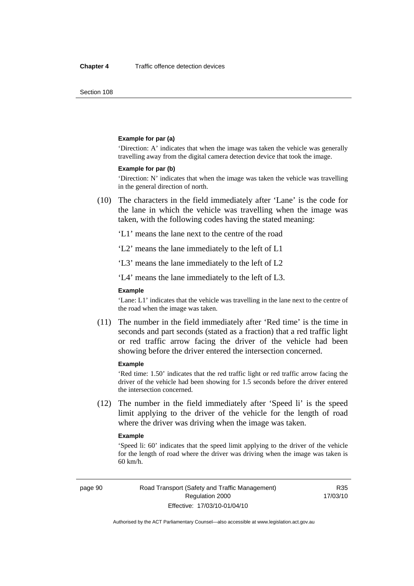Section 108

#### **Example for par (a)**

'Direction: A' indicates that when the image was taken the vehicle was generally travelling away from the digital camera detection device that took the image.

#### **Example for par (b)**

'Direction: N' indicates that when the image was taken the vehicle was travelling in the general direction of north.

 (10) The characters in the field immediately after 'Lane' is the code for the lane in which the vehicle was travelling when the image was taken, with the following codes having the stated meaning:

'L1' means the lane next to the centre of the road

'L2' means the lane immediately to the left of L1

'L3' means the lane immediately to the left of L2

'L4' means the lane immediately to the left of L3.

#### **Example**

'Lane: L1' indicates that the vehicle was travelling in the lane next to the centre of the road when the image was taken.

 (11) The number in the field immediately after 'Red time' is the time in seconds and part seconds (stated as a fraction) that a red traffic light or red traffic arrow facing the driver of the vehicle had been showing before the driver entered the intersection concerned.

#### **Example**

'Red time: 1.50' indicates that the red traffic light or red traffic arrow facing the driver of the vehicle had been showing for 1.5 seconds before the driver entered the intersection concerned.

 (12) The number in the field immediately after 'Speed li' is the speed limit applying to the driver of the vehicle for the length of road where the driver was driving when the image was taken.

#### **Example**

'Speed li: 60' indicates that the speed limit applying to the driver of the vehicle for the length of road where the driver was driving when the image was taken is 60 km/h.

R35 17/03/10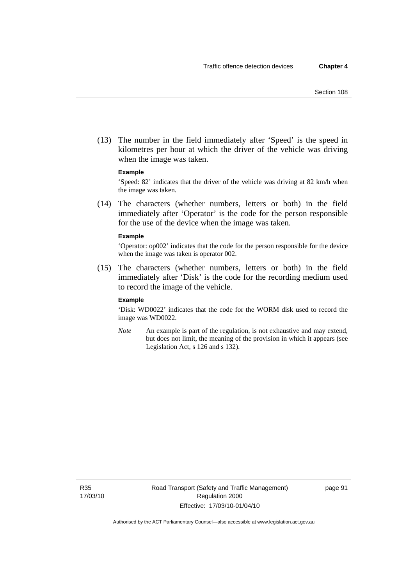(13) The number in the field immediately after 'Speed' is the speed in kilometres per hour at which the driver of the vehicle was driving when the image was taken.

#### **Example**

'Speed: 82' indicates that the driver of the vehicle was driving at 82 km/h when the image was taken.

 (14) The characters (whether numbers, letters or both) in the field immediately after 'Operator' is the code for the person responsible for the use of the device when the image was taken.

#### **Example**

'Operator: op002' indicates that the code for the person responsible for the device when the image was taken is operator 002.

 (15) The characters (whether numbers, letters or both) in the field immediately after 'Disk' is the code for the recording medium used to record the image of the vehicle.

#### **Example**

'Disk: WD0022' indicates that the code for the WORM disk used to record the image was WD0022.

*Note* An example is part of the regulation, is not exhaustive and may extend, but does not limit, the meaning of the provision in which it appears (see Legislation Act, s 126 and s 132).

R35 17/03/10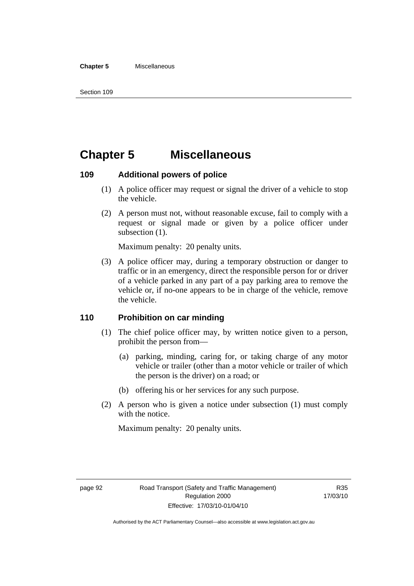#### **Chapter 5** Miscellaneous

## **Chapter 5 Miscellaneous**

## **109 Additional powers of police**

- (1) A police officer may request or signal the driver of a vehicle to stop the vehicle.
- (2) A person must not, without reasonable excuse, fail to comply with a request or signal made or given by a police officer under subsection  $(1)$ .

Maximum penalty: 20 penalty units.

 (3) A police officer may, during a temporary obstruction or danger to traffic or in an emergency, direct the responsible person for or driver of a vehicle parked in any part of a pay parking area to remove the vehicle or, if no-one appears to be in charge of the vehicle, remove the vehicle.

## **110 Prohibition on car minding**

- (1) The chief police officer may, by written notice given to a person, prohibit the person from—
	- (a) parking, minding, caring for, or taking charge of any motor vehicle or trailer (other than a motor vehicle or trailer of which the person is the driver) on a road; or
	- (b) offering his or her services for any such purpose.
- (2) A person who is given a notice under subsection (1) must comply with the notice.

Maximum penalty: 20 penalty units.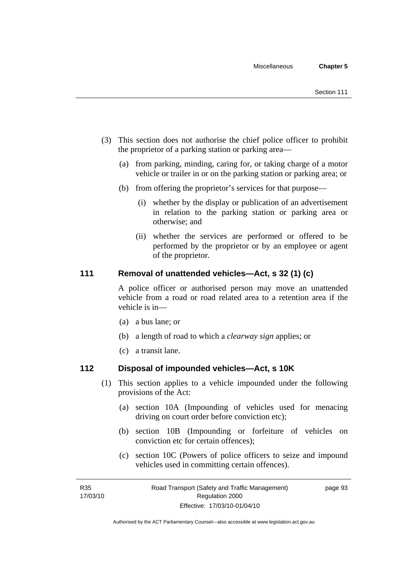- (3) This section does not authorise the chief police officer to prohibit the proprietor of a parking station or parking area—
	- (a) from parking, minding, caring for, or taking charge of a motor vehicle or trailer in or on the parking station or parking area; or
	- (b) from offering the proprietor's services for that purpose—
		- (i) whether by the display or publication of an advertisement in relation to the parking station or parking area or otherwise; and
		- (ii) whether the services are performed or offered to be performed by the proprietor or by an employee or agent of the proprietor.

## **111 Removal of unattended vehicles—Act, s 32 (1) (c)**

A police officer or authorised person may move an unattended vehicle from a road or road related area to a retention area if the vehicle is in—

- (a) a bus lane; or
- (b) a length of road to which a *clearway sign* applies; or
- (c) a transit lane.

## **112 Disposal of impounded vehicles—Act, s 10K**

- (1) This section applies to a vehicle impounded under the following provisions of the Act:
	- (a) section 10A (Impounding of vehicles used for menacing driving on court order before conviction etc);
	- (b) section 10B (Impounding or forfeiture of vehicles on conviction etc for certain offences);
	- (c) section 10C (Powers of police officers to seize and impound vehicles used in committing certain offences).

page 93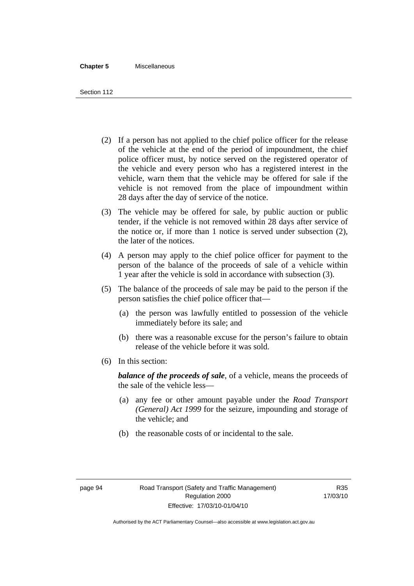#### **Chapter 5** Miscellaneous

Section 112

- (2) If a person has not applied to the chief police officer for the release of the vehicle at the end of the period of impoundment, the chief police officer must, by notice served on the registered operator of the vehicle and every person who has a registered interest in the vehicle, warn them that the vehicle may be offered for sale if the vehicle is not removed from the place of impoundment within 28 days after the day of service of the notice.
- (3) The vehicle may be offered for sale, by public auction or public tender, if the vehicle is not removed within 28 days after service of the notice or, if more than 1 notice is served under subsection (2), the later of the notices.
- (4) A person may apply to the chief police officer for payment to the person of the balance of the proceeds of sale of a vehicle within 1 year after the vehicle is sold in accordance with subsection (3).
- (5) The balance of the proceeds of sale may be paid to the person if the person satisfies the chief police officer that—
	- (a) the person was lawfully entitled to possession of the vehicle immediately before its sale; and
	- (b) there was a reasonable excuse for the person's failure to obtain release of the vehicle before it was sold.
- (6) In this section:

*balance of the proceeds of sale*, of a vehicle, means the proceeds of the sale of the vehicle less—

- (a) any fee or other amount payable under the *Road Transport (General) Act 1999* for the seizure, impounding and storage of the vehicle; and
- (b) the reasonable costs of or incidental to the sale.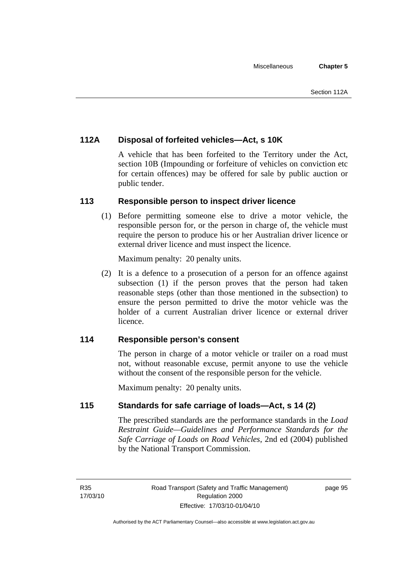## **112A Disposal of forfeited vehicles—Act, s 10K**

A vehicle that has been forfeited to the Territory under the Act, section 10B (Impounding or forfeiture of vehicles on conviction etc for certain offences) may be offered for sale by public auction or public tender.

## **113 Responsible person to inspect driver licence**

 (1) Before permitting someone else to drive a motor vehicle, the responsible person for, or the person in charge of, the vehicle must require the person to produce his or her Australian driver licence or external driver licence and must inspect the licence.

Maximum penalty: 20 penalty units.

 (2) It is a defence to a prosecution of a person for an offence against subsection (1) if the person proves that the person had taken reasonable steps (other than those mentioned in the subsection) to ensure the person permitted to drive the motor vehicle was the holder of a current Australian driver licence or external driver licence.

## **114 Responsible person's consent**

The person in charge of a motor vehicle or trailer on a road must not, without reasonable excuse, permit anyone to use the vehicle without the consent of the responsible person for the vehicle.

Maximum penalty: 20 penalty units.

## **115 Standards for safe carriage of loads—Act, s 14 (2)**

The prescribed standards are the performance standards in the *Load Restraint Guide—Guidelines and Performance Standards for the Safe Carriage of Loads on Road Vehicles*, 2nd ed (2004) published by the National Transport Commission.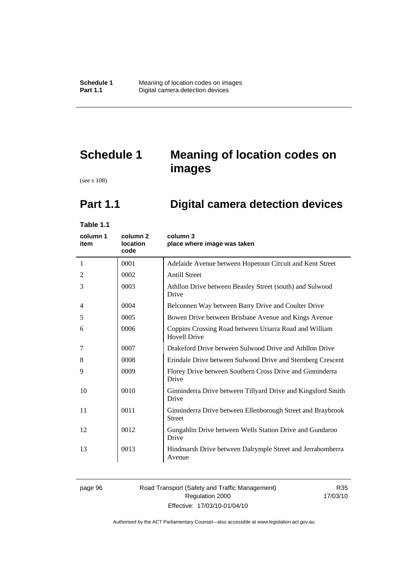# **Schedule 1 Meaning of location codes on images**

(see s 108)

# **Part 1.1 Digital camera detection devices**

**Table 1.1** 

| column 1<br>item | column 2<br><b>location</b><br>code | column 3<br>place where image was taken                                       |
|------------------|-------------------------------------|-------------------------------------------------------------------------------|
| 1                | 0001                                | Adelaide Avenue between Hopetoun Circuit and Kent Street                      |
| 2                | 0002                                | <b>Antill Street</b>                                                          |
| 3                | 0003                                | Athllon Drive between Beasley Street (south) and Sulwood<br>Drive             |
| 4                | 0004                                | Belconnen Way between Barry Drive and Coulter Drive                           |
| 5                | 0005                                | Bowen Drive between Brisbane Avenue and Kings Avenue                          |
| 6                | 0006                                | Coppins Crossing Road between Uriarra Road and William<br><b>Hovell Drive</b> |
| 7                | 0007                                | Drakeford Drive between Sulwood Drive and Athllon Drive                       |
| 8                | 0008                                | Erindale Drive between Sulwood Drive and Sternberg Crescent                   |
| 9                | 0009                                | Florey Drive between Southern Cross Drive and Ginninderra<br>Drive            |
| 10               | 0010                                | Ginninderra Drive between Tillyard Drive and Kingsford Smith<br>Drive         |
| 11               | 0011                                | Ginninderra Drive between Ellenborough Street and Braybrook<br><b>Street</b>  |
| 12               | 0012                                | Gungahlin Drive between Wells Station Drive and Gundaroo<br>Drive             |
| 13               | 0013                                | Hindmarsh Drive between Dalrymple Street and Jerrabomberra<br>Avenue          |

#### page 96 Road Transport (Safety and Traffic Management) Regulation 2000 Effective: 17/03/10-01/04/10

R35 17/03/10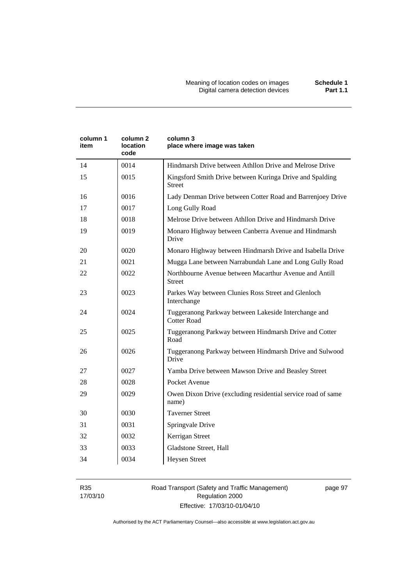| column 1<br>item | column 2<br><b>location</b><br>code | column 3<br>place where image was taken                                    |
|------------------|-------------------------------------|----------------------------------------------------------------------------|
| 14               | 0014                                | Hindmarsh Drive between Athllon Drive and Melrose Drive                    |
| 15               | 0015                                | Kingsford Smith Drive between Kuringa Drive and Spalding<br><b>Street</b>  |
| 16               | 0016                                | Lady Denman Drive between Cotter Road and Barrenjoey Drive                 |
| 17               | 0017                                | Long Gully Road                                                            |
| 18               | 0018                                | Melrose Drive between Athllon Drive and Hindmarsh Drive                    |
| 19               | 0019                                | Monaro Highway between Canberra Avenue and Hindmarsh<br>Drive              |
| 20               | 0020                                | Monaro Highway between Hindmarsh Drive and Isabella Drive                  |
| 21               | 0021                                | Mugga Lane between Narrabundah Lane and Long Gully Road                    |
| 22               | 0022                                | Northbourne Avenue between Macarthur Avenue and Antill<br><b>Street</b>    |
| 23               | 0023                                | Parkes Way between Clunies Ross Street and Glenloch<br>Interchange         |
| 24               | 0024                                | Tuggeranong Parkway between Lakeside Interchange and<br><b>Cotter Road</b> |
| 25               | 0025                                | Tuggeranong Parkway between Hindmarsh Drive and Cotter<br>Road             |
| 26               | 0026                                | Tuggeranong Parkway between Hindmarsh Drive and Sulwood<br>Drive           |
| 27               | 0027                                | Yamba Drive between Mawson Drive and Beasley Street                        |
| 28               | 0028                                | Pocket Avenue                                                              |
| 29               | 0029                                | Owen Dixon Drive (excluding residential service road of same<br>name)      |
| 30               | 0030                                | <b>Taverner Street</b>                                                     |
| 31               | 0031                                | Springvale Drive                                                           |
| 32               | 0032                                | Kerrigan Street                                                            |
| 33               | 0033                                | Gladstone Street, Hall                                                     |
| 34               | 0034                                | <b>Heysen Street</b>                                                       |

R35 17/03/10

### Road Transport (Safety and Traffic Management) Regulation 2000 Effective: 17/03/10-01/04/10

page 97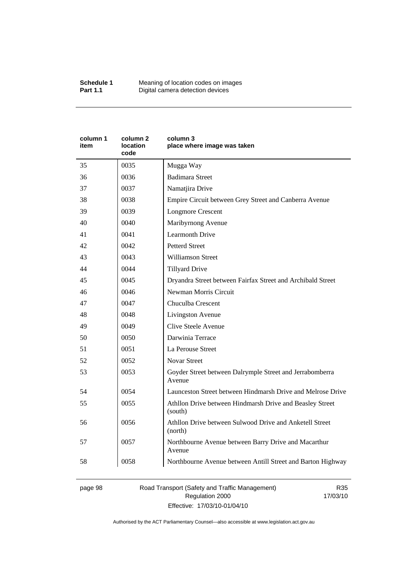| column 1<br>item | column <sub>2</sub><br><b>location</b><br>code | column 3<br>place where image was taken                             |
|------------------|------------------------------------------------|---------------------------------------------------------------------|
| 35               | 0035                                           | Mugga Way                                                           |
| 36               | 0036                                           | <b>Badimara Street</b>                                              |
| 37               | 0037                                           | Namatjira Drive                                                     |
| 38               | 0038                                           | Empire Circuit between Grey Street and Canberra Avenue              |
| 39               | 0039                                           | <b>Longmore Crescent</b>                                            |
| 40               | 0040                                           | Maribyrnong Avenue                                                  |
| 41               | 0041                                           | <b>Learmonth Drive</b>                                              |
| 42               | 0042                                           | <b>Petterd Street</b>                                               |
| 43               | 0043                                           | <b>Williamson Street</b>                                            |
| 44               | 0044                                           | <b>Tillyard Drive</b>                                               |
| 45               | 0045                                           | Dryandra Street between Fairfax Street and Archibald Street         |
| 46               | 0046                                           | Newman Morris Circuit                                               |
| 47               | 0047                                           | Chuculba Crescent                                                   |
| 48               | 0048                                           | Livingston Avenue                                                   |
| 49               | 0049                                           | Clive Steele Avenue                                                 |
| 50               | 0050                                           | Darwinia Terrace                                                    |
| 51               | 0051                                           | La Perouse Street                                                   |
| 52               | 0052                                           | <b>Novar Street</b>                                                 |
| 53               | 0053                                           | Goyder Street between Dalrymple Street and Jerrabomberra<br>Avenue  |
| 54               | 0054                                           | Launceston Street between Hindmarsh Drive and Melrose Drive         |
| 55               | 0055                                           | Athllon Drive between Hindmarsh Drive and Beasley Street<br>(south) |
| 56               | 0056                                           | Athllon Drive between Sulwood Drive and Anketell Street<br>(north)  |
| 57               | 0057                                           | Northbourne Avenue between Barry Drive and Macarthur<br>Avenue      |
| 58               | 0058                                           | Northbourne Avenue between Antill Street and Barton Highway         |

page 98 Road Transport (Safety and Traffic Management) Regulation 2000 Effective: 17/03/10-01/04/10

R35 17/03/10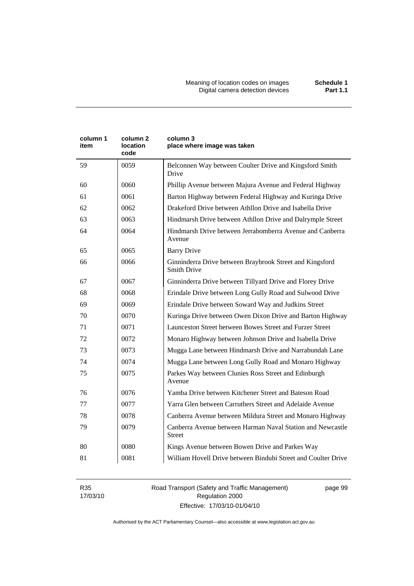| column 1<br>item | column <sub>2</sub><br>location<br>code | column 3<br>place where image was taken                                        |
|------------------|-----------------------------------------|--------------------------------------------------------------------------------|
| 59               | 0059                                    | Belconnen Way between Coulter Drive and Kingsford Smith<br>Drive               |
| 60               | 0060                                    | Phillip Avenue between Majura Avenue and Federal Highway                       |
| 61               | 0061                                    | Barton Highway between Federal Highway and Kuringa Drive                       |
| 62               | 0062                                    | Drakeford Drive between Athllon Drive and Isabella Drive                       |
| 63               | 0063                                    | Hindmarsh Drive between Athllon Drive and Dalrymple Street                     |
| 64               | 0064                                    | Hindmarsh Drive between Jerrabomberra Avenue and Canberra<br>Avenue            |
| 65               | 0065                                    | <b>Barry Drive</b>                                                             |
| 66               | 0066                                    | Ginninderra Drive between Braybrook Street and Kingsford<br><b>Smith Drive</b> |
| 67               | 0067                                    | Ginninderra Drive between Tillyard Drive and Florey Drive                      |
| 68               | 0068                                    | Erindale Drive between Long Gully Road and Sulwood Drive                       |
| 69               | 0069                                    | Erindale Drive between Soward Way and Judkins Street                           |
| 70               | 0070                                    | Kuringa Drive between Owen Dixon Drive and Barton Highway                      |
| 71               | 0071                                    | Launceston Street between Bowes Street and Furzer Street                       |
| 72               | 0072                                    | Monaro Highway between Johnson Drive and Isabella Drive                        |
| 73               | 0073                                    | Mugga Lane between Hindmarsh Drive and Narrabundah Lane                        |
| 74               | 0074                                    | Mugga Lane between Long Gully Road and Monaro Highway                          |
| 75               | 0075                                    | Parkes Way between Clunies Ross Street and Edinburgh<br>Avenue                 |
| 76               | 0076                                    | Yamba Drive between Kitchener Street and Bateson Road                          |
| 77               | 0077                                    | Yarra Glen between Carruthers Street and Adelaide Avenue                       |
| 78               | 0078                                    | Canberra Avenue between Mildura Street and Monaro Highway                      |
| 79               | 0079                                    | Canberra Avenue between Harman Naval Station and Newcastle<br>Street           |
| 80               | 0080                                    | Kings Avenue between Bowen Drive and Parkes Way                                |
| 81               | 0081                                    | William Hovell Drive between Bindubi Street and Coulter Drive                  |

R35 17/03/10 Road Transport (Safety and Traffic Management) Regulation 2000 Effective: 17/03/10-01/04/10

page 99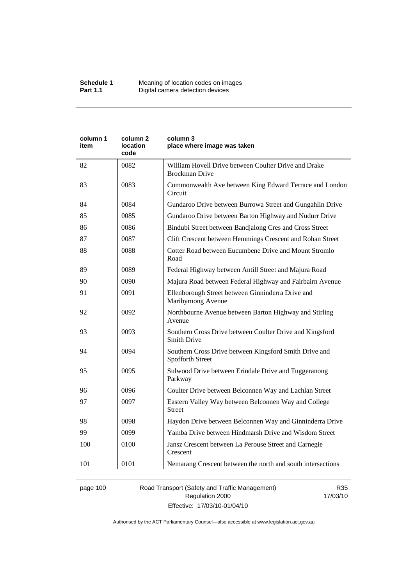| column 1<br>item | column 2<br>location<br>code | column 3<br>place where image was taken                                        |
|------------------|------------------------------|--------------------------------------------------------------------------------|
| 82               | 0082                         | William Hovell Drive between Coulter Drive and Drake<br><b>Brockman Drive</b>  |
| 83               | 0083                         | Commonwealth Ave between King Edward Terrace and London<br>Circuit             |
| 84               | 0084                         | Gundaroo Drive between Burrowa Street and Gungahlin Drive                      |
| 85               | 0085                         | Gundaroo Drive between Barton Highway and Nudurr Drive                         |
| 86               | 0086                         | Bindubi Street between Bandjalong Cres and Cross Street                        |
| 87               | 0087                         | Clift Crescent between Hemmings Crescent and Rohan Street                      |
| 88               | 0088                         | Cotter Road between Eucumbene Drive and Mount Stromlo<br>Road                  |
| 89               | 0089                         | Federal Highway between Antill Street and Majura Road                          |
| 90               | 0090                         | Majura Road between Federal Highway and Fairbairn Avenue                       |
| 91               | 0091                         | Ellenborough Street between Ginninderra Drive and<br>Maribyrnong Avenue        |
| 92               | 0092                         | Northbourne Avenue between Barton Highway and Stirling<br>Avenue               |
| 93               | 0093                         | Southern Cross Drive between Coulter Drive and Kingsford<br><b>Smith Drive</b> |
| 94               | 0094                         | Southern Cross Drive between Kingsford Smith Drive and<br>Spofforth Street     |
| 95               | 0095                         | Sulwood Drive between Erindale Drive and Tuggeranong<br>Parkway                |
| 96               | 0096                         | Coulter Drive between Belconnen Way and Lachlan Street                         |
| 97               | 0097                         | Eastern Valley Way between Belconnen Way and College<br><b>Street</b>          |
| 98               | 0098                         | Haydon Drive between Belconnen Way and Ginninderra Drive                       |
| 99               | 0099                         | Yamba Drive between Hindmarsh Drive and Wisdom Street                          |
| 100              | 0100                         | Jansz Crescent between La Perouse Street and Carnegie<br>Crescent              |
| 101              | 0101                         | Nemarang Crescent between the north and south intersections                    |

# page 100 Road Transport (Safety and Traffic Management) Regulation 2000 Effective: 17/03/10-01/04/10

R35 17/03/10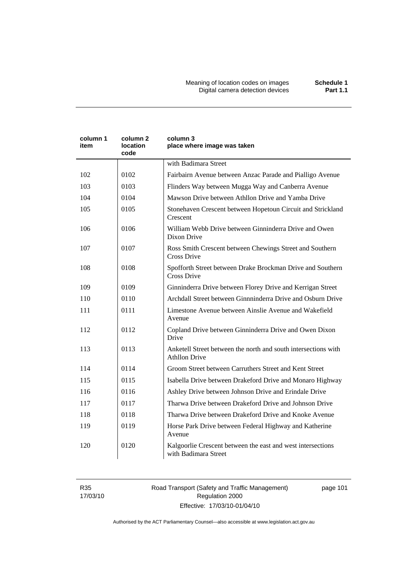Meaning of location codes on images **Schedule 1**  Digital camera detection devices **Part 1.1** 

| column 1<br>item | column 2<br>location<br>code | column 3<br>place where image was taken                                                |  |
|------------------|------------------------------|----------------------------------------------------------------------------------------|--|
|                  |                              | with Badimara Street                                                                   |  |
| 102              | 0102                         | Fairbairn Avenue between Anzac Parade and Pialligo Avenue                              |  |
| 103              | 0103                         | Flinders Way between Mugga Way and Canberra Avenue                                     |  |
| 104              | 0104                         | Mawson Drive between Athllon Drive and Yamba Drive                                     |  |
| 105              | 0105                         | Stonehaven Crescent between Hopetoun Circuit and Strickland<br>Crescent                |  |
| 106              | 0106                         | William Webb Drive between Ginninderra Drive and Owen<br>Dixon Drive                   |  |
| 107              | 0107                         | Ross Smith Crescent between Chewings Street and Southern<br>Cross Drive                |  |
| 108              | 0108                         | Spofforth Street between Drake Brockman Drive and Southern<br><b>Cross Drive</b>       |  |
| 109              | 0109                         | Ginninderra Drive between Florey Drive and Kerrigan Street                             |  |
| 110              | 0110                         | Archdall Street between Ginnninderra Drive and Osburn Drive                            |  |
| 111              | 0111                         | Limestone Avenue between Ainslie Avenue and Wakefield<br>Avenue                        |  |
| 112              | 0112                         | Copland Drive between Ginninderra Drive and Owen Dixon<br>Drive                        |  |
| 113              | 0113                         | Anketell Street between the north and south intersections with<br><b>Athllon Drive</b> |  |
| 114              | 0114                         | Groom Street between Carruthers Street and Kent Street                                 |  |
| 115              | 0115                         | Isabella Drive between Drakeford Drive and Monaro Highway                              |  |
| 116              | 0116                         | Ashley Drive between Johnson Drive and Erindale Drive                                  |  |
| 117              | 0117                         | Tharwa Drive between Drakeford Drive and Johnson Drive                                 |  |
| 118              | 0118                         | Tharwa Drive between Drakeford Drive and Knoke Avenue                                  |  |
| 119              | 0119                         | Horse Park Drive between Federal Highway and Katherine<br>Avenue                       |  |
| 120              | 0120                         | Kalgoorlie Crescent between the east and west intersections<br>with Badimara Street    |  |

R35 17/03/10 Road Transport (Safety and Traffic Management) Regulation 2000 Effective: 17/03/10-01/04/10

page 101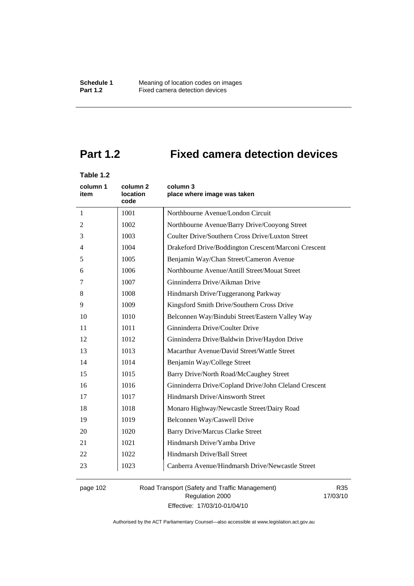# **Part 1.2 Fixed camera detection devices**

# **Table 1.2**

| column 1<br>item | column 2<br><b>location</b><br>code             | column 3<br>place where image was taken               |
|------------------|-------------------------------------------------|-------------------------------------------------------|
| 1                | 1001                                            | Northbourne Avenue/London Circuit                     |
| 2                | 1002                                            | Northbourne Avenue/Barry Drive/Cooyong Street         |
| 3                | 1003                                            | Coulter Drive/Southern Cross Drive/Luxton Street      |
| $\overline{4}$   | 1004                                            | Drakeford Drive/Boddington Crescent/Marconi Crescent  |
| 5                | 1005<br>Benjamin Way/Chan Street/Cameron Avenue |                                                       |
| 6                | 1006                                            | Northbourne Avenue/Antill Street/Mouat Street         |
| 7                | 1007                                            | Ginninderra Drive/Aikman Drive                        |
| 8                | 1008                                            | Hindmarsh Drive/Tuggeranong Parkway                   |
| 9                | 1009                                            | Kingsford Smith Drive/Southern Cross Drive            |
| 10               | 1010                                            | Belconnen Way/Bindubi Street/Eastern Valley Way       |
| 11               | 1011                                            | Ginninderra Drive/Coulter Drive                       |
| 12               | 1012                                            | Ginninderra Drive/Baldwin Drive/Haydon Drive          |
| 13               | 1013                                            | Macarthur Avenue/David Street/Wattle Street           |
| 14               | 1014                                            | Benjamin Way/College Street                           |
| 15               | 1015                                            | Barry Drive/North Road/McCaughey Street               |
| 16               | 1016                                            | Ginninderra Drive/Copland Drive/John Cleland Crescent |
| 17               | 1017                                            | Hindmarsh Drive/Ainsworth Street                      |
| 18               | 1018                                            | Monaro Highway/Newcastle Street/Dairy Road            |
| 19               | 1019                                            | Belconnen Way/Caswell Drive                           |
| 20               | 1020                                            | <b>Barry Drive/Marcus Clarke Street</b>               |
| 21               | 1021                                            | Hindmarsh Drive/Yamba Drive                           |
| 22               | 1022                                            | Hindmarsh Drive/Ball Street                           |
| 23               | 1023                                            | Canberra Avenue/Hindmarsh Drive/Newcastle Street      |

page 102 Road Transport (Safety and Traffic Management) Regulation 2000 Effective: 17/03/10-01/04/10

R35 17/03/10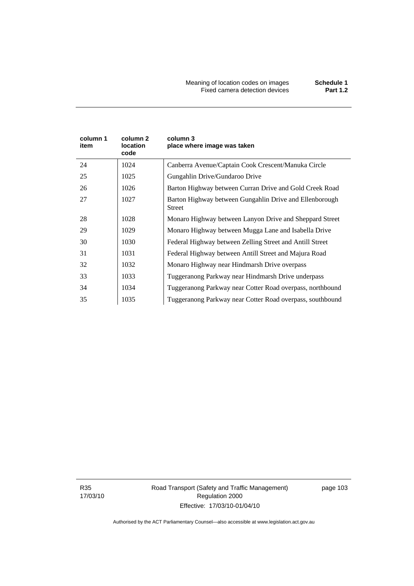| column 1<br>item | column 2<br>location<br>code | column 3<br>place where image was taken                           |
|------------------|------------------------------|-------------------------------------------------------------------|
| 24               | 1024                         | Canberra Avenue/Captain Cook Crescent/Manuka Circle               |
| 25               | 1025                         | Gungahlin Drive/Gundaroo Drive                                    |
| 26               | 1026                         | Barton Highway between Curran Drive and Gold Creek Road           |
| 27               | 1027                         | Barton Highway between Gungahlin Drive and Ellenborough<br>Street |
| 28               | 1028                         | Monaro Highway between Lanyon Drive and Sheppard Street           |
| 29               | 1029                         | Monaro Highway between Mugga Lane and Isabella Drive              |
| 30               | 1030                         | Federal Highway between Zelling Street and Antill Street          |
| 31               | 1031                         | Federal Highway between Antill Street and Majura Road             |
| 32               | 1032                         | Monaro Highway near Hindmarsh Drive overpass                      |
| 33               | 1033                         | Tuggeranong Parkway near Hindmarsh Drive underpass                |
| 34               | 1034                         | Tuggeranong Parkway near Cotter Road overpass, northbound         |
| 35               | 1035                         | Tuggeranong Parkway near Cotter Road overpass, southbound         |

R35 17/03/10 Road Transport (Safety and Traffic Management) Regulation 2000 Effective: 17/03/10-01/04/10

page 103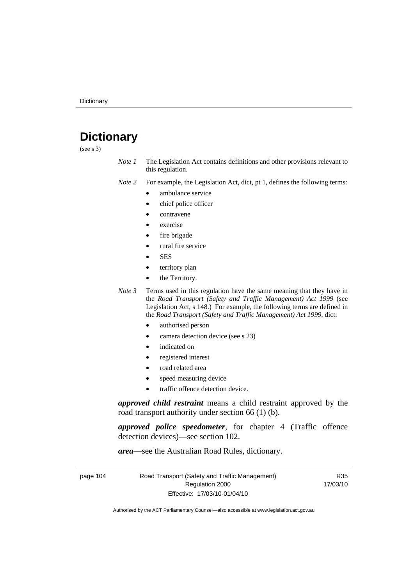# **Dictionary**

(see s 3)

*Note 1* The Legislation Act contains definitions and other provisions relevant to this regulation.

*Note 2* For example, the Legislation Act, dict, pt 1, defines the following terms:

- ambulance service
	- chief police officer
- contravene
- exercise
- fire brigade
- rural fire service
- SES
- territory plan
- the Territory.
- *Note 3* Terms used in this regulation have the same meaning that they have in the *Road Transport (Safety and Traffic Management) Act 1999* (see Legislation Act, s 148.) For example, the following terms are defined in the *Road Transport (Safety and Traffic Management) Act 1999*, dict:
	- authorised person
	- camera detection device (see s 23)
	- indicated on
	- registered interest
	- road related area
	- speed measuring device
	- traffic offence detection device.

*approved child restraint* means a child restraint approved by the road transport authority under section 66 (1) (b).

*approved police speedometer*, for chapter 4 (Traffic offence detection devices)—see section 102.

*area*—see the Australian Road Rules, dictionary.

| page 104 | Road Transport (Safety and Traffic Management) | R35      |
|----------|------------------------------------------------|----------|
|          | Regulation 2000                                | 17/03/10 |
|          | Effective: 17/03/10-01/04/10                   |          |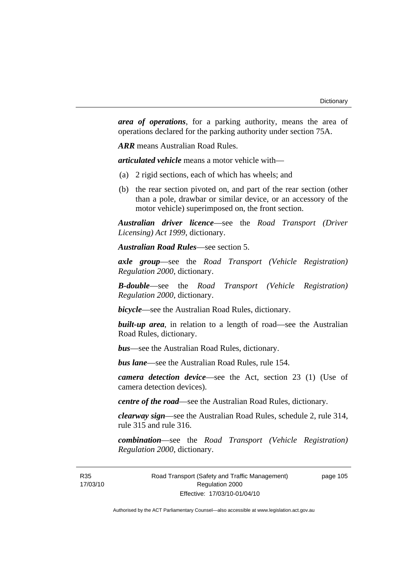*area of operations*, for a parking authority, means the area of operations declared for the parking authority under section 75A.

*ARR* means Australian Road Rules.

*articulated vehicle* means a motor vehicle with—

- (a) 2 rigid sections, each of which has wheels; and
- (b) the rear section pivoted on, and part of the rear section (other than a pole, drawbar or similar device, or an accessory of the motor vehicle) superimposed on, the front section.

*Australian driver licence*—see the *Road Transport (Driver Licensing) Act 1999*, dictionary.

*Australian Road Rules*—see section 5.

*axle group*—see the *Road Transport (Vehicle Registration) Regulation 2000*, dictionary.

*B-double*—see the *Road Transport (Vehicle Registration) Regulation 2000*, dictionary.

*bicycle*—see the Australian Road Rules, dictionary.

**built-up area**, in relation to a length of road—see the Australian Road Rules, dictionary.

*bus*—see the Australian Road Rules, dictionary.

*bus lane*—see the Australian Road Rules, rule 154.

*camera detection device*—see the Act, section 23 (1) (Use of camera detection devices).

*centre of the road*—see the Australian Road Rules, dictionary.

*clearway sign*—see the Australian Road Rules, schedule 2, rule 314, rule 315 and rule 316.

*combination*—see the *Road Transport (Vehicle Registration) Regulation 2000*, dictionary.

R35 17/03/10 Road Transport (Safety and Traffic Management) Regulation 2000 Effective: 17/03/10-01/04/10

page 105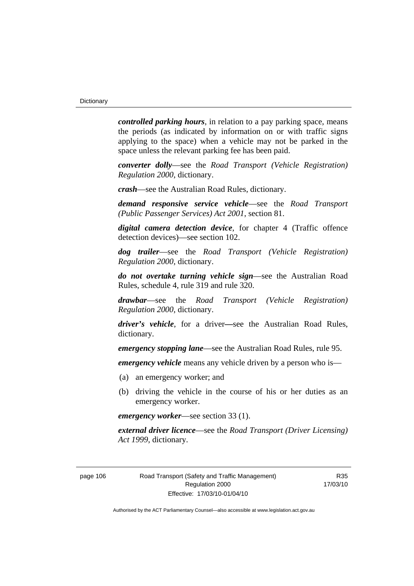*controlled parking hours*, in relation to a pay parking space, means the periods (as indicated by information on or with traffic signs applying to the space) when a vehicle may not be parked in the space unless the relevant parking fee has been paid.

*converter dolly*—see the *Road Transport (Vehicle Registration) Regulation 2000*, dictionary.

*crash*—see the Australian Road Rules, dictionary.

*demand responsive service vehicle*—see the *Road Transport (Public Passenger Services) Act 2001*, section 81.

*digital camera detection device*, for chapter 4 (Traffic offence detection devices)—see section 102.

*dog trailer*—see the *Road Transport (Vehicle Registration) Regulation 2000*, dictionary.

*do not overtake turning vehicle sign*—see the Australian Road Rules, schedule 4, rule 319 and rule 320.

*drawbar*—see the *Road Transport (Vehicle Registration) Regulation 2000*, dictionary.

*driver's vehicle*, for a driver*—*see the Australian Road Rules, dictionary.

*emergency stopping lane*—see the Australian Road Rules, rule 95.

*emergency vehicle* means any vehicle driven by a person who is—

- (a) an emergency worker; and
- (b) driving the vehicle in the course of his or her duties as an emergency worker.

*emergency worker*—see section 33 (1).

*external driver licence*—see the *Road Transport (Driver Licensing) Act 1999*, dictionary.

page 106 Road Transport (Safety and Traffic Management) Regulation 2000 Effective: 17/03/10-01/04/10

R35 17/03/10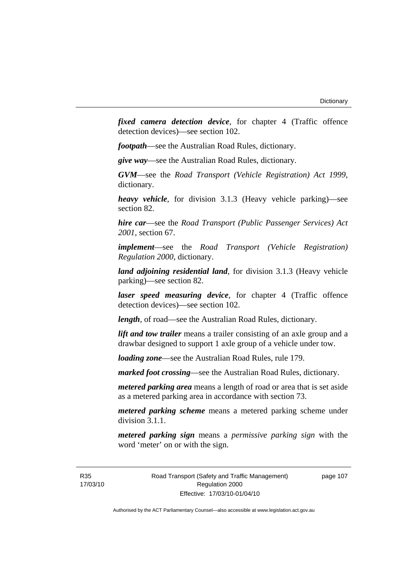*fixed camera detection device*, for chapter 4 (Traffic offence detection devices)—see section 102.

*footpath*—see the Australian Road Rules, dictionary.

*give way*—see the Australian Road Rules, dictionary.

*GVM*—see the *Road Transport (Vehicle Registration) Act 1999*, dictionary.

*heavy vehicle*, for division 3.1.3 (Heavy vehicle parking)—see section 82.

*hire car*—see the *Road Transport (Public Passenger Services) Act 2001*, section 67.

*implement*—see the *Road Transport (Vehicle Registration) Regulation 2000*, dictionary.

*land adjoining residential land*, for division 3.1.3 (Heavy vehicle parking)—see section 82.

*laser speed measuring device*, for chapter 4 (Traffic offence detection devices)—see section 102.

*length*, of road—see the Australian Road Rules, dictionary.

*lift and tow trailer* means a trailer consisting of an axle group and a drawbar designed to support 1 axle group of a vehicle under tow.

*loading zone*—see the Australian Road Rules, rule 179.

*marked foot crossing*—see the Australian Road Rules, dictionary.

*metered parking area* means a length of road or area that is set aside as a metered parking area in accordance with section 73.

*metered parking scheme* means a metered parking scheme under division 3.1.1.

*metered parking sign* means a *permissive parking sign* with the word 'meter' on or with the sign.

R35 17/03/10 Road Transport (Safety and Traffic Management) Regulation 2000 Effective: 17/03/10-01/04/10

page 107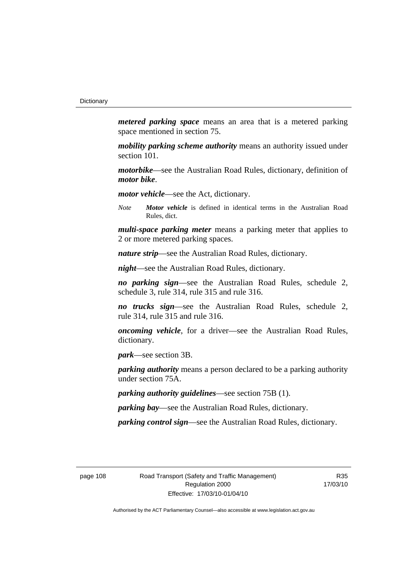*metered parking space* means an area that is a metered parking space mentioned in section 75.

*mobility parking scheme authority* means an authority issued under section 101.

*motorbike*—see the Australian Road Rules, dictionary, definition of *motor bike*.

*motor vehicle*—see the Act, dictionary.

*Note Motor vehicle* is defined in identical terms in the Australian Road Rules, dict.

*multi-space parking meter* means a parking meter that applies to 2 or more metered parking spaces.

*nature strip*—see the Australian Road Rules, dictionary.

*night*—see the Australian Road Rules, dictionary.

*no parking sign*—see the Australian Road Rules, schedule 2, schedule 3, rule 314, rule 315 and rule 316.

*no trucks sign*—see the Australian Road Rules, schedule 2, rule 314, rule 315 and rule 316.

*oncoming vehicle*, for a driver—see the Australian Road Rules, dictionary.

*park*—see section 3B.

*parking authority* means a person declared to be a parking authority under section 75A.

*parking authority guidelines*—see section 75B (1).

*parking bay*—see the Australian Road Rules, dictionary.

*parking control sign*—see the Australian Road Rules, dictionary.

page 108 Road Transport (Safety and Traffic Management) Regulation 2000 Effective: 17/03/10-01/04/10

R35 17/03/10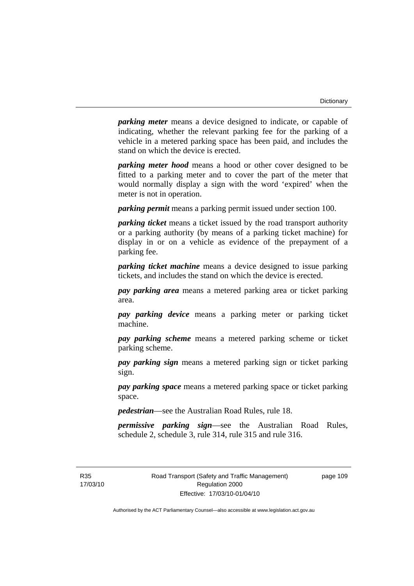*parking meter* means a device designed to indicate, or capable of indicating, whether the relevant parking fee for the parking of a vehicle in a metered parking space has been paid, and includes the stand on which the device is erected.

*parking meter hood* means a hood or other cover designed to be fitted to a parking meter and to cover the part of the meter that would normally display a sign with the word 'expired' when the meter is not in operation.

*parking permit* means a parking permit issued under section 100.

*parking ticket* means a ticket issued by the road transport authority or a parking authority (by means of a parking ticket machine) for display in or on a vehicle as evidence of the prepayment of a parking fee.

*parking ticket machine* means a device designed to issue parking tickets, and includes the stand on which the device is erected.

*pay parking area* means a metered parking area or ticket parking area.

*pay parking device* means a parking meter or parking ticket machine.

*pay parking scheme* means a metered parking scheme or ticket parking scheme.

*pay parking sign* means a metered parking sign or ticket parking sign.

*pay parking space* means a metered parking space or ticket parking space.

*pedestrian*—see the Australian Road Rules, rule 18.

*permissive parking sign*—see the Australian Road Rules, schedule 2, schedule 3, rule 314, rule 315 and rule 316.

R35 17/03/10 page 109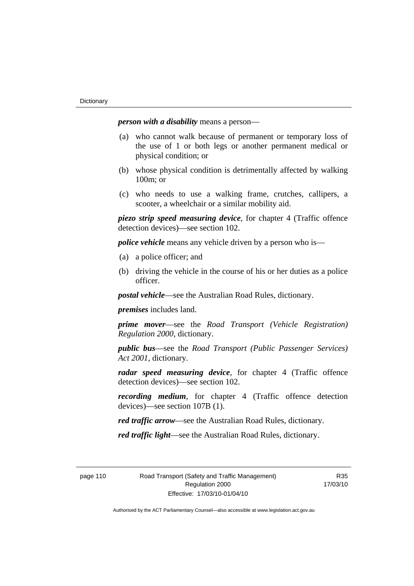*person with a disability* means a person—

- (a) who cannot walk because of permanent or temporary loss of the use of 1 or both legs or another permanent medical or physical condition; or
- (b) whose physical condition is detrimentally affected by walking 100m; or
- (c) who needs to use a walking frame, crutches, callipers, a scooter, a wheelchair or a similar mobility aid.

*piezo strip speed measuring device*, for chapter 4 (Traffic offence detection devices)—see section 102.

*police vehicle* means any vehicle driven by a person who is—

- (a) a police officer; and
- (b) driving the vehicle in the course of his or her duties as a police officer.

*postal vehicle*—see the Australian Road Rules, dictionary.

*premises* includes land.

*prime mover*—see the *Road Transport (Vehicle Registration) Regulation 2000*, dictionary.

*public bus*—see the *Road Transport (Public Passenger Services) Act 2001*, dictionary.

*radar speed measuring device*, for chapter 4 (Traffic offence detection devices)—see section 102.

*recording medium*, for chapter 4 (Traffic offence detection devices)—see section 107B (1).

*red traffic arrow*—see the Australian Road Rules, dictionary.

*red traffic light*—see the Australian Road Rules, dictionary.

R35 17/03/10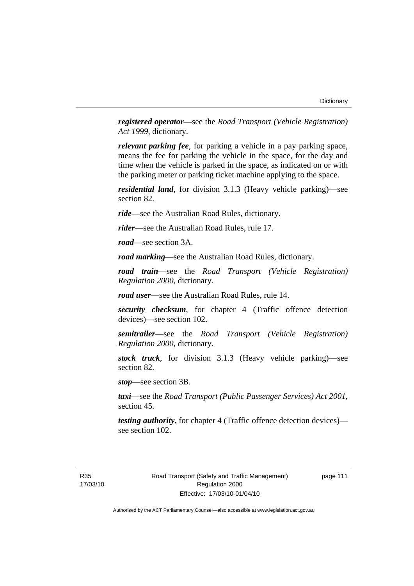*registered operator*—see the *Road Transport (Vehicle Registration) Act 1999*, dictionary.

*relevant parking fee*, for parking a vehicle in a pay parking space, means the fee for parking the vehicle in the space, for the day and time when the vehicle is parked in the space, as indicated on or with the parking meter or parking ticket machine applying to the space.

*residential land*, for division 3.1.3 (Heavy vehicle parking)—see section 82.

*ride*—see the Australian Road Rules, dictionary.

*rider*—see the Australian Road Rules, rule 17.

*road*—see section 3A.

*road marking*—see the Australian Road Rules, dictionary.

*road train*—see the *Road Transport (Vehicle Registration) Regulation 2000*, dictionary.

*road user*—see the Australian Road Rules, rule 14.

*security checksum*, for chapter 4 (Traffic offence detection devices)—see section 102.

*semitrailer*—see the *Road Transport (Vehicle Registration) Regulation 2000*, dictionary.

*stock truck*, for division 3.1.3 (Heavy vehicle parking)—see section 82.

*stop*—see section 3B.

*taxi*—see the *Road Transport (Public Passenger Services) Act 2001*, section 45.

*testing authority*, for chapter 4 (Traffic offence detection devices) see section 102.

R35 17/03/10 page 111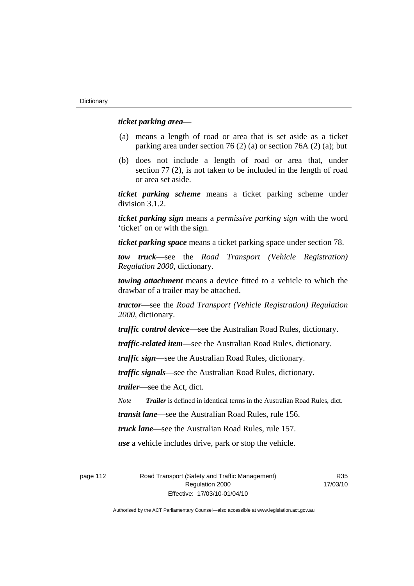#### *ticket parking area*—

- (a) means a length of road or area that is set aside as a ticket parking area under section 76 (2) (a) or section 76A (2) (a); but
- (b) does not include a length of road or area that, under section 77 (2), is not taken to be included in the length of road or area set aside.

*ticket parking scheme* means a ticket parking scheme under division 3.1.2.

*ticket parking sign* means a *permissive parking sign* with the word 'ticket' on or with the sign.

*ticket parking space* means a ticket parking space under section 78.

*tow truck*—see the *Road Transport (Vehicle Registration) Regulation 2000*, dictionary.

*towing attachment* means a device fitted to a vehicle to which the drawbar of a trailer may be attached.

*tractor*—see the *Road Transport (Vehicle Registration) Regulation 2000*, dictionary.

*traffic control device*—see the Australian Road Rules, dictionary.

*traffic-related item*—see the Australian Road Rules, dictionary.

*traffic sign*—see the Australian Road Rules, dictionary.

*traffic signals*—see the Australian Road Rules, dictionary.

*trailer*—see the Act, dict.

*Note Trailer* is defined in identical terms in the Australian Road Rules, dict.

*transit lane*—see the Australian Road Rules, rule 156.

*truck lane*—see the Australian Road Rules, rule 157.

*use* a vehicle includes drive, park or stop the vehicle.

page 112 Road Transport (Safety and Traffic Management) Regulation 2000 Effective: 17/03/10-01/04/10

R35 17/03/10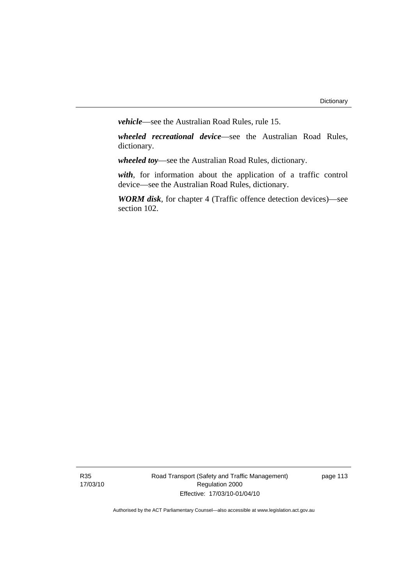*vehicle*—see the Australian Road Rules, rule 15.

*wheeled recreational device*—see the Australian Road Rules, dictionary.

*wheeled toy*—see the Australian Road Rules, dictionary.

*with*, for information about the application of a traffic control device—see the Australian Road Rules, dictionary.

*WORM disk*, for chapter 4 (Traffic offence detection devices)—see section 102.

R35 17/03/10 Road Transport (Safety and Traffic Management) Regulation 2000 Effective: 17/03/10-01/04/10

page 113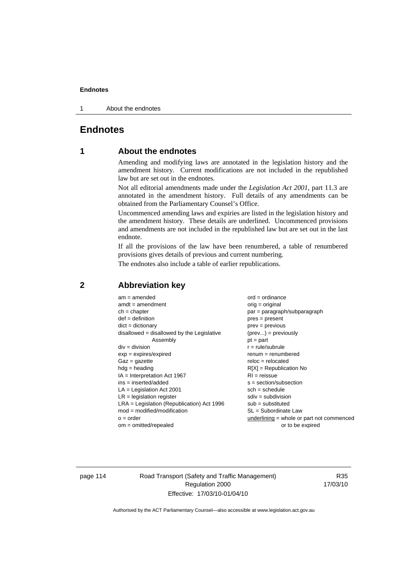1 About the endnotes

# **Endnotes**

# **1 About the endnotes**

Amending and modifying laws are annotated in the legislation history and the amendment history. Current modifications are not included in the republished law but are set out in the endnotes.

Not all editorial amendments made under the *Legislation Act 2001*, part 11.3 are annotated in the amendment history. Full details of any amendments can be obtained from the Parliamentary Counsel's Office.

Uncommenced amending laws and expiries are listed in the legislation history and the amendment history. These details are underlined. Uncommenced provisions and amendments are not included in the republished law but are set out in the last endnote.

If all the provisions of the law have been renumbered, a table of renumbered provisions gives details of previous and current numbering.

The endnotes also include a table of earlier republications.

| $am = amended$                               | $ord = ordinance$                         |
|----------------------------------------------|-------------------------------------------|
| $amdt = amendment$                           | $orig = original$                         |
| $ch = chapter$                               | par = paragraph/subparagraph              |
| $def = definition$                           | $pres = present$                          |
| $dict = dictionary$                          | $prev = previous$                         |
| $disallowed = disallowed by the Legislative$ | $(\text{prev}) = \text{previously}$       |
| Assembly                                     | $pt = part$                               |
| $div = division$                             | $r = rule/subrule$                        |
| $exp = expires/expired$                      | $renum = renumbered$                      |
| $Gaz = gazette$                              | $reloc = relocated$                       |
| $hdg =$ heading                              | $R[X]$ = Republication No                 |
| $IA = Interpretation Act 1967$               | $RI = reissue$                            |
| $ins = inserted/added$                       | $s = section/subsection$                  |
| $LA =$ Legislation Act 2001                  | $sch = schedule$                          |
| $LR =$ legislation register                  | $sdiv = subdivision$                      |
| $LRA =$ Legislation (Republication) Act 1996 | $sub = substituted$                       |
| $mod = modified/modification$                | $SL = Subordinate$ Law                    |
| $o = order$                                  | underlining = whole or part not commenced |
| $om = omitted/repealed$                      | or to be expired                          |
|                                              |                                           |

# **2 Abbreviation key**

page 114 Road Transport (Safety and Traffic Management) Regulation 2000 Effective: 17/03/10-01/04/10

R35 17/03/10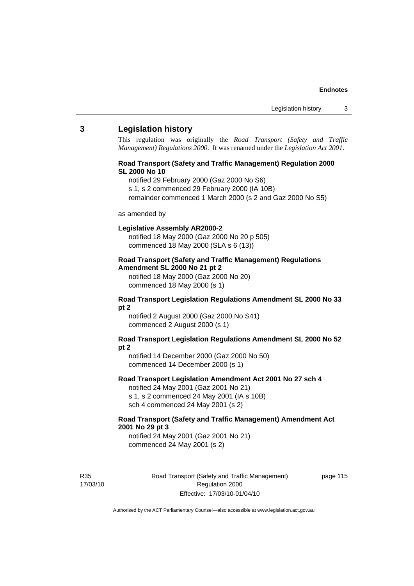#### **3 Legislation history**

This regulation was originally the *Road Transport (Safety and Traffic Management) Regulations 2000*. It was renamed under the *Legislation Act 2001*.

#### **Road Transport (Safety and Traffic Management) Regulation 2000 SL 2000 No 10**

- notified 29 February 2000 (Gaz 2000 No S6)
- s 1, s 2 commenced 29 February 2000 (IA 10B)
- remainder commenced 1 March 2000 (s 2 and Gaz 2000 No S5)

#### as amended by

#### **Legislative Assembly AR2000-2**

notified 18 May 2000 (Gaz 2000 No 20 p 505) commenced 18 May 2000 (SLA s 6 (13))

#### **Road Transport (Safety and Traffic Management) Regulations Amendment SL 2000 No 21 pt 2**

notified 18 May 2000 (Gaz 2000 No 20) commenced 18 May 2000 (s 1)

#### **Road Transport Legislation Regulations Amendment SL 2000 No 33 pt 2**

notified 2 August 2000 (Gaz 2000 No S41) commenced 2 August 2000 (s 1)

#### **Road Transport Legislation Regulations Amendment SL 2000 No 52 pt 2**

notified 14 December 2000 (Gaz 2000 No 50) commenced 14 December 2000 (s 1)

#### **Road Transport Legislation Amendment Act 2001 No 27 sch 4**

notified 24 May 2001 (Gaz 2001 No 21) s 1, s 2 commenced 24 May 2001 (IA s 10B) sch 4 commenced 24 May 2001 (s 2)

## **Road Transport (Safety and Traffic Management) Amendment Act 2001 No 29 pt 3**

notified 24 May 2001 (Gaz 2001 No 21) commenced 24 May 2001 (s 2)

R35 17/03/10 Road Transport (Safety and Traffic Management) Regulation 2000 Effective: 17/03/10-01/04/10

page 115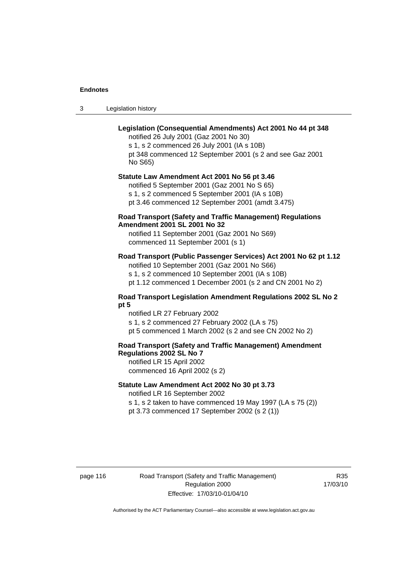3 Legislation history

# **Legislation (Consequential Amendments) Act 2001 No 44 pt 348**

notified 26 July 2001 (Gaz 2001 No 30) s 1, s 2 commenced 26 July 2001 (IA s 10B) pt 348 commenced 12 September 2001 (s 2 and see Gaz 2001 No S65)

# **Statute Law Amendment Act 2001 No 56 pt 3.46**

notified 5 September 2001 (Gaz 2001 No S 65) s 1, s 2 commenced 5 September 2001 (IA s 10B) pt 3.46 commenced 12 September 2001 (amdt 3.475)

### **Road Transport (Safety and Traffic Management) Regulations Amendment 2001 SL 2001 No 32**

notified 11 September 2001 (Gaz 2001 No S69) commenced 11 September 2001 (s 1)

# **Road Transport (Public Passenger Services) Act 2001 No 62 pt 1.12**

notified 10 September 2001 (Gaz 2001 No S66) s 1, s 2 commenced 10 September 2001 (IA s 10B)

pt 1.12 commenced 1 December 2001 (s 2 and CN 2001 No 2)

#### **Road Transport Legislation Amendment Regulations 2002 SL No 2 pt 5**

notified LR 27 February 2002 s 1, s 2 commenced 27 February 2002 (LA s 75) pt 5 commenced 1 March 2002 (s 2 and see CN 2002 No 2)

# **Road Transport (Safety and Traffic Management) Amendment Regulations 2002 SL No 7**

notified LR 15 April 2002 commenced 16 April 2002 (s 2)

#### **Statute Law Amendment Act 2002 No 30 pt 3.73**

notified LR 16 September 2002

s 1, s 2 taken to have commenced 19 May 1997 (LA s 75 (2)) pt 3.73 commenced 17 September 2002 (s 2 (1))

page 116 Road Transport (Safety and Traffic Management) Regulation 2000 Effective: 17/03/10-01/04/10

R35 17/03/10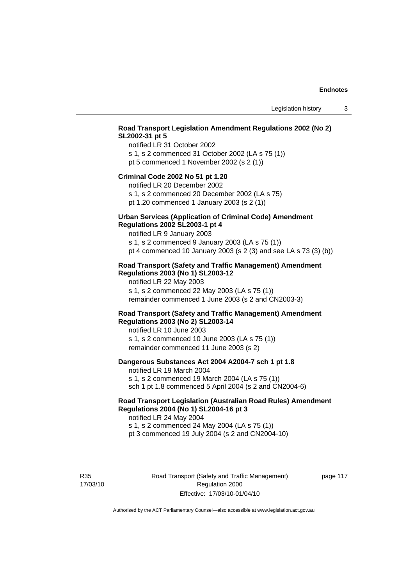# **Road Transport Legislation Amendment Regulations 2002 (No 2) SL2002-31 pt 5**

notified LR 31 October 2002 s 1, s 2 commenced 31 October 2002 (LA s 75 (1)) pt 5 commenced 1 November 2002 (s 2 (1))

#### **Criminal Code 2002 No 51 pt 1.20**

notified LR 20 December 2002

s 1, s 2 commenced 20 December 2002 (LA s 75) pt 1.20 commenced 1 January 2003 (s 2 (1))

# **Urban Services (Application of Criminal Code) Amendment**

**Regulations 2002 SL2003-1 pt 4** 

notified LR 9 January 2003 s 1, s 2 commenced 9 January 2003 (LA s 75 (1)) pt 4 commenced 10 January 2003 (s 2 (3) and see LA s 73 (3) (b))

### **Road Transport (Safety and Traffic Management) Amendment Regulations 2003 (No 1) SL2003-12**

notified LR 22 May 2003 s 1, s 2 commenced 22 May 2003 (LA s 75 (1)) remainder commenced 1 June 2003 (s 2 and CN2003-3)

### **Road Transport (Safety and Traffic Management) Amendment Regulations 2003 (No 2) SL2003-14**

notified LR 10 June 2003 s 1, s 2 commenced 10 June 2003 (LA s 75 (1)) remainder commenced 11 June 2003 (s 2)

#### **Dangerous Substances Act 2004 A2004-7 sch 1 pt 1.8**

notified LR 19 March 2004 s 1, s 2 commenced 19 March 2004 (LA s 75 (1)) sch 1 pt 1.8 commenced 5 April 2004 (s 2 and CN2004-6)

# **Road Transport Legislation (Australian Road Rules) Amendment Regulations 2004 (No 1) SL2004-16 pt 3**

notified LR 24 May 2004 s 1, s 2 commenced 24 May 2004 (LA s 75 (1)) pt 3 commenced 19 July 2004 (s 2 and CN2004-10)

R35 17/03/10 Road Transport (Safety and Traffic Management) Regulation 2000 Effective: 17/03/10-01/04/10

page 117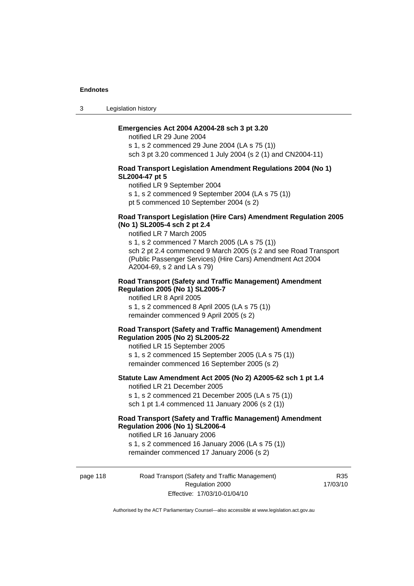3 Legislation history

#### **Emergencies Act 2004 A2004-28 sch 3 pt 3.20**

notified LR 29 June 2004 s 1, s 2 commenced 29 June 2004 (LA s 75 (1)) sch 3 pt 3.20 commenced 1 July 2004 (s 2 (1) and CN2004-11)

#### **Road Transport Legislation Amendment Regulations 2004 (No 1) SL2004-47 pt 5**

notified LR 9 September 2004

s 1, s 2 commenced 9 September 2004 (LA s 75 (1))

pt 5 commenced 10 September 2004 (s 2)

#### **Road Transport Legislation (Hire Cars) Amendment Regulation 2005 (No 1) SL2005-4 sch 2 pt 2.4**

notified LR 7 March 2005

s 1, s 2 commenced 7 March 2005 (LA s 75 (1)) sch 2 pt 2.4 commenced 9 March 2005 (s 2 and see Road Transport (Public Passenger Services) (Hire Cars) Amendment Act 2004 A2004-69, s 2 and LA s 79)

#### **Road Transport (Safety and Traffic Management) Amendment Regulation 2005 (No 1) SL2005-7**

notified LR 8 April 2005 s 1, s 2 commenced 8 April 2005 (LA s 75 (1)) remainder commenced 9 April 2005 (s 2)

#### **Road Transport (Safety and Traffic Management) Amendment Regulation 2005 (No 2) SL2005-22**

notified LR 15 September 2005 s 1, s 2 commenced 15 September 2005 (LA s 75 (1)) remainder commenced 16 September 2005 (s 2)

#### **Statute Law Amendment Act 2005 (No 2) A2005-62 sch 1 pt 1.4**  notified LR 21 December 2005

s 1, s 2 commenced 21 December 2005 (LA s 75 (1)) sch 1 pt 1.4 commenced 11 January 2006 (s 2 (1))

# **Road Transport (Safety and Traffic Management) Amendment Regulation 2006 (No 1) SL2006-4**

notified LR 16 January 2006 s 1, s 2 commenced 16 January 2006 (LA s 75 (1)) remainder commenced 17 January 2006 (s 2)

page 118 Road Transport (Safety and Traffic Management) Regulation 2000 Effective: 17/03/10-01/04/10

R35 17/03/10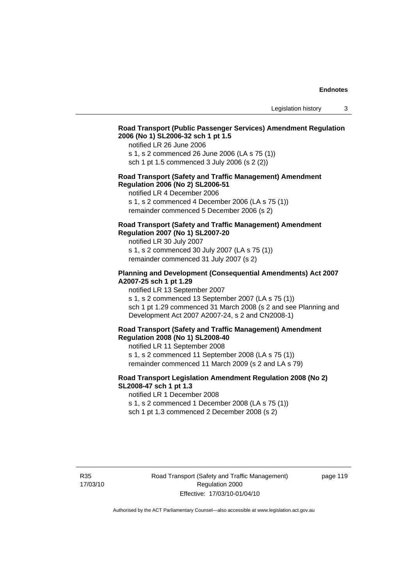# **Road Transport (Public Passenger Services) Amendment Regulation 2006 (No 1) SL2006-32 sch 1 pt 1.5**

notified LR 26 June 2006

s 1, s 2 commenced 26 June 2006 (LA s 75 (1)) sch 1 pt 1.5 commenced 3 July 2006 (s 2 (2))

#### **Road Transport (Safety and Traffic Management) Amendment Regulation 2006 (No 2) SL2006-51**

notified LR 4 December 2006

s 1, s 2 commenced 4 December 2006 (LA s 75 (1)) remainder commenced 5 December 2006 (s 2)

### **Road Transport (Safety and Traffic Management) Amendment Regulation 2007 (No 1) SL2007-20**

notified LR 30 July 2007 s 1, s 2 commenced 30 July 2007 (LA s 75 (1)) remainder commenced 31 July 2007 (s 2)

### **Planning and Development (Consequential Amendments) Act 2007 A2007-25 sch 1 pt 1.29**

notified LR 13 September 2007

s 1, s 2 commenced 13 September 2007 (LA s 75 (1)) sch 1 pt 1.29 commenced 31 March 2008 (s 2 and see Planning and Development Act 2007 A2007-24, s 2 and CN2008-1)

#### **Road Transport (Safety and Traffic Management) Amendment Regulation 2008 (No 1) SL2008-40**

notified LR 11 September 2008 s 1, s 2 commenced 11 September 2008 (LA s 75 (1)) remainder commenced 11 March 2009 (s 2 and LA s 79)

### **Road Transport Legislation Amendment Regulation 2008 (No 2) SL2008-47 sch 1 pt 1.3**

notified LR 1 December 2008 s 1, s 2 commenced 1 December 2008 (LA s 75 (1)) sch 1 pt 1.3 commenced 2 December 2008 (s 2)

R35 17/03/10 Road Transport (Safety and Traffic Management) Regulation 2000 Effective: 17/03/10-01/04/10

page 119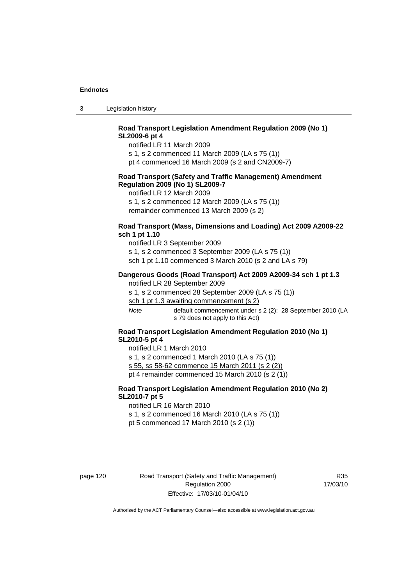3 Legislation history

# **Road Transport Legislation Amendment Regulation 2009 (No 1) SL2009-6 pt 4**

notified LR 11 March 2009

s 1, s 2 commenced 11 March 2009 (LA s 75 (1))

pt 4 commenced 16 March 2009 (s 2 and CN2009-7)

#### **Road Transport (Safety and Traffic Management) Amendment Regulation 2009 (No 1) SL2009-7**

notified LR 12 March 2009

s 1, s 2 commenced 12 March 2009 (LA s 75 (1)) remainder commenced 13 March 2009 (s 2)

#### **Road Transport (Mass, Dimensions and Loading) Act 2009 A2009-22 sch 1 pt 1.10**

notified LR 3 September 2009 s 1, s 2 commenced 3 September 2009 (LA s 75 (1)) sch 1 pt 1.10 commenced 3 March 2010 (s 2 and LA s 79)

#### **Dangerous Goods (Road Transport) Act 2009 A2009-34 sch 1 pt 1.3**

notified LR 28 September 2009

s 1, s 2 commenced 28 September 2009 (LA s 75 (1))

sch 1 pt 1.3 awaiting commencement (s 2)

*Note* default commencement under s 2 (2): 28 September 2010 (LA s 79 does not apply to this Act)

## **Road Transport Legislation Amendment Regulation 2010 (No 1) SL2010-5 pt 4**

notified LR 1 March 2010 s 1, s 2 commenced 1 March 2010 (LA s 75 (1))

s 55, ss 58-62 commence 15 March 2011 (s 2 (2))

pt 4 remainder commenced 15 March 2010 (s 2 (1))

# **Road Transport Legislation Amendment Regulation 2010 (No 2) SL2010-7 pt 5**

notified LR 16 March 2010 s 1, s 2 commenced 16 March 2010 (LA s 75 (1)) pt 5 commenced 17 March 2010 (s 2 (1))

page 120 Road Transport (Safety and Traffic Management) Regulation 2000 Effective: 17/03/10-01/04/10

R35 17/03/10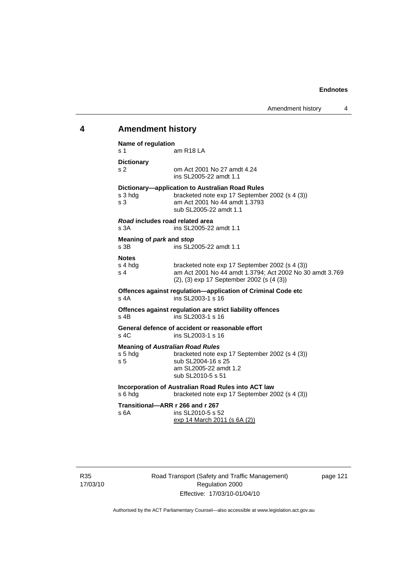# **4 Amendment history**

| Name of regulation                                        |                                                                                                                                                              |
|-----------------------------------------------------------|--------------------------------------------------------------------------------------------------------------------------------------------------------------|
| s 1                                                       | am R <sub>18</sub> LA                                                                                                                                        |
| <b>Dictionary</b>                                         |                                                                                                                                                              |
| s 2                                                       | om Act 2001 No 27 amdt 4.24<br>ins SL2005-22 amdt 1.1                                                                                                        |
| s 3 hdg<br>s <sub>3</sub>                                 | Dictionary-application to Australian Road Rules<br>bracketed note exp 17 September 2002 (s 4 (3))<br>am Act 2001 No 44 amdt 1.3793<br>sub SL2005-22 amdt 1.1 |
| Road includes road related area<br>s 3A                   | ins SL2005-22 amdt 1.1                                                                                                                                       |
| Meaning of park and stop                                  |                                                                                                                                                              |
| s 3B                                                      | ins SL2005-22 amdt 1.1                                                                                                                                       |
| <b>Notes</b><br>s 4 hdg<br>s 4                            | bracketed note exp 17 September 2002 (s 4 (3))<br>am Act 2001 No 44 amdt 1.3794: Act 2002 No 30 amdt 3.769<br>(2), (3) exp 17 September 2002 (s (4 (3))      |
| s 4A                                                      | Offences against regulation-application of Criminal Code etc<br>ins SL2003-1 s 16                                                                            |
| s 4B                                                      | Offences against regulation are strict liability offences<br>ins SL2003-1 s 16                                                                               |
| s 4C                                                      | General defence of accident or reasonable effort<br>ins SL2003-1 s 16                                                                                        |
| <b>Meaning of Australian Road Rules</b><br>s 5 hda<br>s 5 | bracketed note exp 17 September 2002 (s 4 (3))<br>sub SL2004-16 s 25<br>am SL2005-22 amdt 1.2<br>sub SL2010-5 s 51                                           |
| s 6 hdg                                                   | Incorporation of Australian Road Rules into ACT law<br>bracketed note exp 17 September 2002 (s 4 (3))                                                        |
| Transitional-ARR r 266 and r 267<br>s 6A                  | ins SL2010-5 s 52<br>exp 14 March 2011 (s 6A (2))                                                                                                            |

Road Transport (Safety and Traffic Management) Regulation 2000 Effective: 17/03/10-01/04/10

page 121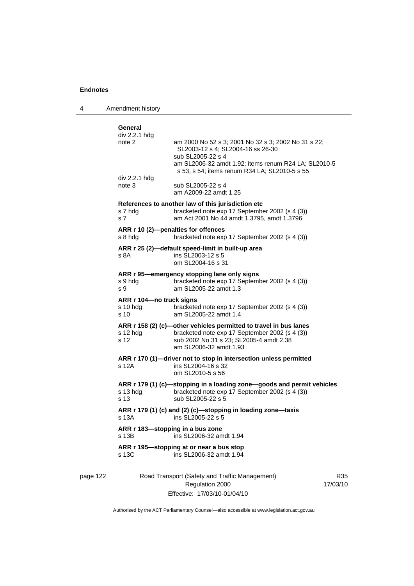4 Amendment history

| div 2.2.1 hdg<br>note 2     | am 2000 No 52 s 3; 2001 No 32 s 3; 2002 No 31 s 22;                                                                      |
|-----------------------------|--------------------------------------------------------------------------------------------------------------------------|
|                             | SL2003-12 s 4; SL2004-16 ss 26-30                                                                                        |
|                             | sub SL2005-22 s 4                                                                                                        |
|                             | am SL2006-32 amdt 1.92; items renum R24 LA; SL2010-5<br>s 53, s 54; items renum R34 LA; SL2010-5 s 55                    |
| div 2.2.1 hdg               |                                                                                                                          |
| note $3$                    | sub SL2005-22 s 4                                                                                                        |
|                             | am A2009-22 amdt 1.25                                                                                                    |
|                             | References to another law of this jurisdiction etc                                                                       |
| s 7 hdg<br>s <sub>7</sub>   | bracketed note exp 17 September 2002 (s 4 (3))<br>am Act 2001 No 44 amdt 1.3795, amdt 1.3796                             |
|                             |                                                                                                                          |
| s 8 hda                     | ARR r 10 (2)-penalties for offences<br>bracketed note exp 17 September 2002 (s 4 (3))                                    |
|                             |                                                                                                                          |
| s 8A                        | ARR r 25 (2)-default speed-limit in built-up area<br>ins SL2003-12 s 5                                                   |
|                             | om SL2004-16 s 31                                                                                                        |
|                             | ARR r 95—emergency stopping lane only signs                                                                              |
| s 9 hdg                     | bracketed note exp 17 September 2002 (s 4 (3))                                                                           |
| s 9                         | am SL2005-22 amdt 1.3                                                                                                    |
| ARR r 104—no truck signs    |                                                                                                                          |
| s 10 hda<br>s <sub>10</sub> | bracketed note exp 17 September 2002 (s 4 (3))<br>am SL2005-22 amdt 1.4                                                  |
|                             |                                                                                                                          |
| s 12 hdq                    | ARR r 158 (2) (c)-other vehicles permitted to travel in bus lanes<br>bracketed note exp 17 September 2002 (s 4 (3))      |
| s 12                        | sub 2002 No 31 s 23; SL2005-4 amdt 2.38                                                                                  |
|                             | am SL2006-32 amdt 1.93                                                                                                   |
|                             | ARR r 170 (1)—driver not to stop in intersection unless permitted                                                        |
| s 12A                       | ins SL2004-16 s 32                                                                                                       |
|                             | om SL2010-5 s 56                                                                                                         |
| s 13 hda                    | ARR r 179 (1) (c)-stopping in a loading zone-goods and permit vehicles<br>bracketed note exp 17 September 2002 (s 4 (3)) |
| s <sub>13</sub>             | sub SL2005-22 s 5                                                                                                        |
|                             | ARR r 179 (1) (c) and (2) (c)-stopping in loading zone-taxis                                                             |
| s 13A                       | ins SL2005-22 s 5                                                                                                        |
|                             | ARR r 183-stopping in a bus zone                                                                                         |
|                             |                                                                                                                          |
| s 13B                       | ins SL2006-32 amdt 1.94                                                                                                  |
|                             | ARR r 195-stopping at or near a bus stop                                                                                 |

| nage |  |
|------|--|
|------|--|

122 Road Transport (Safety and Traffic Management) Regulation 2000 Effective: 17/03/10-01/04/10

R35 17/03/10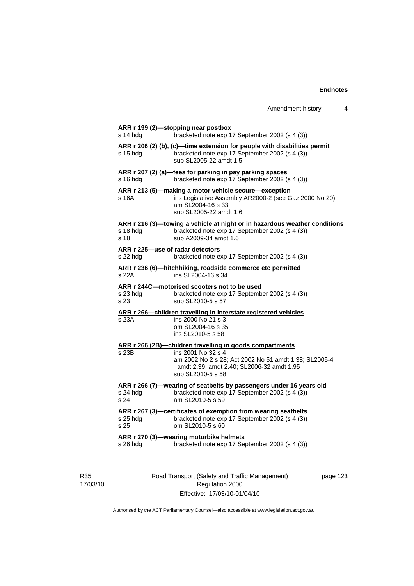| Amendment history |  |
|-------------------|--|
|-------------------|--|

| ARR r 206 (2) (b), (c)-time extension for people with disabilities permit<br>bracketed note exp 17 September 2002 (s 4 (3))<br>s 15 hdg<br>sub SL2005-22 amdt 1.5<br>ARR r 207 (2) (a)-fees for parking in pay parking spaces<br>s 16 hdg<br>bracketed note exp 17 September 2002 (s 4 (3))<br>ARR r 213 (5)-making a motor vehicle secure-exception<br>s 16A<br>am SL2004-16 s 33<br>sub SL2005-22 amdt 1.6<br>ARR r 216 (3)—towing a vehicle at night or in hazardous weather conditions<br>bracketed note exp 17 September 2002 (s 4 (3))<br>s 18 hdg<br>s 18<br>sub A2009-34 amdt 1.6<br>ARR r 225-use of radar detectors<br>s 22 hdg<br>bracketed note exp 17 September 2002 (s 4 (3))<br>ARR r 236 (6)-hitchhiking, roadside commerce etc permitted<br>s 22A<br>ins SL2004-16 s 34<br>ARR r 244C-motorised scooters not to be used<br>bracketed note exp 17 September 2002 (s 4 (3))<br>s 23 hda<br>sub SL2010-5 s 57<br>s 23<br>ARR r 266-children travelling in interstate registered vehicles<br>ins 2000 No 21 s 3<br>s 23A<br>om SL2004-16 s 35<br>ins SL2010-5 s 58<br>ARR r 266 (2B)-children travelling in goods compartments<br>ins 2001 No 32 s 4<br>s 23B<br>amdt 2.39, amdt 2.40; SL2006-32 amdt 1.95<br>sub SL2010-5 s 58<br>ARR r 266 (7)-wearing of seatbelts by passengers under 16 years old<br>bracketed note exp 17 September 2002 (s 4 (3))<br>s 24 hdg<br>s 24<br>am SL2010-5 s 59<br>ARR r 267 (3)—certificates of exemption from wearing seatbelts<br>bracketed note exp 17 September 2002 (s 4 (3))<br>s 25 hdg<br>s 25<br>om SL2010-5 s 60<br>ARR r 270 (3)-wearing motorbike helmets | $s$ 14 hdg | bracketed note exp 17 September 2002 (s 4 (3))         |
|----------------------------------------------------------------------------------------------------------------------------------------------------------------------------------------------------------------------------------------------------------------------------------------------------------------------------------------------------------------------------------------------------------------------------------------------------------------------------------------------------------------------------------------------------------------------------------------------------------------------------------------------------------------------------------------------------------------------------------------------------------------------------------------------------------------------------------------------------------------------------------------------------------------------------------------------------------------------------------------------------------------------------------------------------------------------------------------------------------------------------------------------------------------------------------------------------------------------------------------------------------------------------------------------------------------------------------------------------------------------------------------------------------------------------------------------------------------------------------------------------------------------------------------------------------------------------------------------------------------------|------------|--------------------------------------------------------|
|                                                                                                                                                                                                                                                                                                                                                                                                                                                                                                                                                                                                                                                                                                                                                                                                                                                                                                                                                                                                                                                                                                                                                                                                                                                                                                                                                                                                                                                                                                                                                                                                                      |            |                                                        |
|                                                                                                                                                                                                                                                                                                                                                                                                                                                                                                                                                                                                                                                                                                                                                                                                                                                                                                                                                                                                                                                                                                                                                                                                                                                                                                                                                                                                                                                                                                                                                                                                                      |            |                                                        |
|                                                                                                                                                                                                                                                                                                                                                                                                                                                                                                                                                                                                                                                                                                                                                                                                                                                                                                                                                                                                                                                                                                                                                                                                                                                                                                                                                                                                                                                                                                                                                                                                                      |            | ins Legislative Assembly AR2000-2 (see Gaz 2000 No 20) |
|                                                                                                                                                                                                                                                                                                                                                                                                                                                                                                                                                                                                                                                                                                                                                                                                                                                                                                                                                                                                                                                                                                                                                                                                                                                                                                                                                                                                                                                                                                                                                                                                                      |            |                                                        |
|                                                                                                                                                                                                                                                                                                                                                                                                                                                                                                                                                                                                                                                                                                                                                                                                                                                                                                                                                                                                                                                                                                                                                                                                                                                                                                                                                                                                                                                                                                                                                                                                                      |            |                                                        |
|                                                                                                                                                                                                                                                                                                                                                                                                                                                                                                                                                                                                                                                                                                                                                                                                                                                                                                                                                                                                                                                                                                                                                                                                                                                                                                                                                                                                                                                                                                                                                                                                                      |            |                                                        |
|                                                                                                                                                                                                                                                                                                                                                                                                                                                                                                                                                                                                                                                                                                                                                                                                                                                                                                                                                                                                                                                                                                                                                                                                                                                                                                                                                                                                                                                                                                                                                                                                                      |            |                                                        |
|                                                                                                                                                                                                                                                                                                                                                                                                                                                                                                                                                                                                                                                                                                                                                                                                                                                                                                                                                                                                                                                                                                                                                                                                                                                                                                                                                                                                                                                                                                                                                                                                                      |            |                                                        |
|                                                                                                                                                                                                                                                                                                                                                                                                                                                                                                                                                                                                                                                                                                                                                                                                                                                                                                                                                                                                                                                                                                                                                                                                                                                                                                                                                                                                                                                                                                                                                                                                                      |            |                                                        |
|                                                                                                                                                                                                                                                                                                                                                                                                                                                                                                                                                                                                                                                                                                                                                                                                                                                                                                                                                                                                                                                                                                                                                                                                                                                                                                                                                                                                                                                                                                                                                                                                                      |            |                                                        |
|                                                                                                                                                                                                                                                                                                                                                                                                                                                                                                                                                                                                                                                                                                                                                                                                                                                                                                                                                                                                                                                                                                                                                                                                                                                                                                                                                                                                                                                                                                                                                                                                                      |            |                                                        |
|                                                                                                                                                                                                                                                                                                                                                                                                                                                                                                                                                                                                                                                                                                                                                                                                                                                                                                                                                                                                                                                                                                                                                                                                                                                                                                                                                                                                                                                                                                                                                                                                                      |            |                                                        |
|                                                                                                                                                                                                                                                                                                                                                                                                                                                                                                                                                                                                                                                                                                                                                                                                                                                                                                                                                                                                                                                                                                                                                                                                                                                                                                                                                                                                                                                                                                                                                                                                                      |            |                                                        |
|                                                                                                                                                                                                                                                                                                                                                                                                                                                                                                                                                                                                                                                                                                                                                                                                                                                                                                                                                                                                                                                                                                                                                                                                                                                                                                                                                                                                                                                                                                                                                                                                                      |            | am 2002 No 2 s 28; Act 2002 No 51 amdt 1.38; SL2005-4  |
|                                                                                                                                                                                                                                                                                                                                                                                                                                                                                                                                                                                                                                                                                                                                                                                                                                                                                                                                                                                                                                                                                                                                                                                                                                                                                                                                                                                                                                                                                                                                                                                                                      |            |                                                        |
|                                                                                                                                                                                                                                                                                                                                                                                                                                                                                                                                                                                                                                                                                                                                                                                                                                                                                                                                                                                                                                                                                                                                                                                                                                                                                                                                                                                                                                                                                                                                                                                                                      |            |                                                        |
|                                                                                                                                                                                                                                                                                                                                                                                                                                                                                                                                                                                                                                                                                                                                                                                                                                                                                                                                                                                                                                                                                                                                                                                                                                                                                                                                                                                                                                                                                                                                                                                                                      |            |                                                        |
|                                                                                                                                                                                                                                                                                                                                                                                                                                                                                                                                                                                                                                                                                                                                                                                                                                                                                                                                                                                                                                                                                                                                                                                                                                                                                                                                                                                                                                                                                                                                                                                                                      |            |                                                        |
|                                                                                                                                                                                                                                                                                                                                                                                                                                                                                                                                                                                                                                                                                                                                                                                                                                                                                                                                                                                                                                                                                                                                                                                                                                                                                                                                                                                                                                                                                                                                                                                                                      |            |                                                        |
|                                                                                                                                                                                                                                                                                                                                                                                                                                                                                                                                                                                                                                                                                                                                                                                                                                                                                                                                                                                                                                                                                                                                                                                                                                                                                                                                                                                                                                                                                                                                                                                                                      |            |                                                        |
| bracketed note exp 17 September 2002 (s 4 (3))<br>s 26 hdg                                                                                                                                                                                                                                                                                                                                                                                                                                                                                                                                                                                                                                                                                                                                                                                                                                                                                                                                                                                                                                                                                                                                                                                                                                                                                                                                                                                                                                                                                                                                                           |            |                                                        |

R35 17/03/10 Road Transport (Safety and Traffic Management) Regulation 2000 Effective: 17/03/10-01/04/10

page 123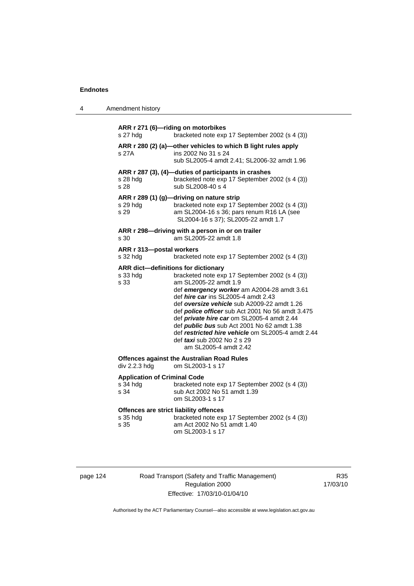|--|

| s 27 hdg                                                   | ARR r 271 (6)-riding on motorbikes<br>bracketed note exp 17 September 2002 (s 4 (3))                                                                                                                                                                                                                                                                                                                                                                                                                                                  |
|------------------------------------------------------------|---------------------------------------------------------------------------------------------------------------------------------------------------------------------------------------------------------------------------------------------------------------------------------------------------------------------------------------------------------------------------------------------------------------------------------------------------------------------------------------------------------------------------------------|
| s 27A                                                      | ARR r 280 (2) (a)-other vehicles to which B light rules apply<br>ins 2002 No 31 s 24<br>sub SL2005-4 amdt 2.41; SL2006-32 amdt 1.96                                                                                                                                                                                                                                                                                                                                                                                                   |
| s 28 hdg<br>s 28                                           | ARR r 287 (3), (4)-duties of participants in crashes<br>bracketed note exp 17 September 2002 (s 4 (3))<br>sub SL2008-40 s 4                                                                                                                                                                                                                                                                                                                                                                                                           |
| s 29 hdg<br>s 29                                           | ARR r 289 (1) (g)-driving on nature strip<br>bracketed note exp 17 September 2002 (s 4 (3))<br>am SL2004-16 s 36; pars renum R16 LA (see<br>SL2004-16 s 37); SL2005-22 amdt 1.7                                                                                                                                                                                                                                                                                                                                                       |
| s 30                                                       | ARR r 298-driving with a person in or on trailer<br>am SL2005-22 amdt 1.8                                                                                                                                                                                                                                                                                                                                                                                                                                                             |
| ARR r 313-postal workers<br>s 32 hdg                       | bracketed note exp 17 September 2002 (s 4 (3))                                                                                                                                                                                                                                                                                                                                                                                                                                                                                        |
| s 33 hdg<br>s 33                                           | ARR dict-definitions for dictionary<br>bracketed note exp 17 September 2002 (s 4 (3))<br>am SL2005-22 amdt 1.9<br>def emergency worker am A2004-28 amdt 3.61<br>def <i>hire car</i> ins SL2005-4 amdt 2.43<br>def oversize vehicle sub A2009-22 amdt 1.26<br>def <i>police officer</i> sub Act 2001 No 56 amdt 3.475<br>def private hire car om SL2005-4 amdt 2.44<br>def <i>public bus</i> sub Act 2001 No 62 amdt 1.38<br>def restricted hire vehicle om SL2005-4 amdt 2.44<br>def taxi sub 2002 No 2 s 29<br>am SL2005-4 amdt 2.42 |
| div 2.2.3 hdg                                              | <b>Offences against the Australian Road Rules</b><br>om SL2003-1 s 17                                                                                                                                                                                                                                                                                                                                                                                                                                                                 |
| <b>Application of Criminal Code</b><br>s 34 hdg<br>s 34    | bracketed note exp 17 September 2002 (s 4 (3))<br>sub Act 2002 No 51 amdt 1.39<br>om SL2003-1 s 17                                                                                                                                                                                                                                                                                                                                                                                                                                    |
| Offences are strict liability offences<br>s 35 hdg<br>s 35 | bracketed note exp 17 September 2002 (s 4 (3))<br>am Act 2002 No 51 amdt 1.40<br>om SL2003-1 s 17                                                                                                                                                                                                                                                                                                                                                                                                                                     |

| page 124 |  |  |
|----------|--|--|
|----------|--|--|

124 Road Transport (Safety and Traffic Management) Regulation 2000 Effective: 17/03/10-01/04/10

R35 17/03/10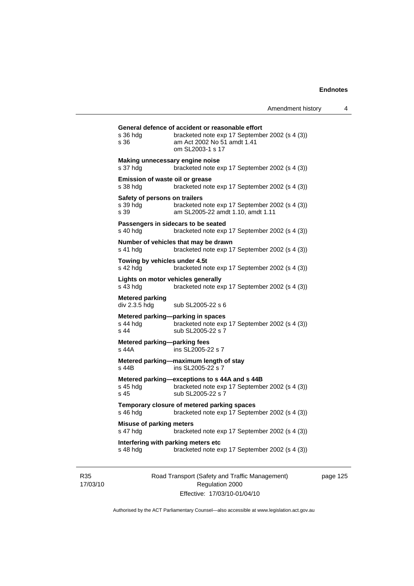| s 36 hdg<br>s 36                                  | General defence of accident or reasonable effort<br>bracketed note exp 17 September 2002 (s 4 (3))<br>am Act 2002 No 51 amdt 1.41<br>om SL2003-1 s 17 |
|---------------------------------------------------|-------------------------------------------------------------------------------------------------------------------------------------------------------|
| Making unnecessary engine noise<br>s 37 hdg       | bracketed note exp 17 September 2002 (s 4 (3))                                                                                                        |
| Emission of waste oil or grease<br>s 38 hda       | bracketed note exp 17 September 2002 (s 4 (3))                                                                                                        |
| Safety of persons on trailers<br>s 39 hda<br>s.39 | bracketed note exp 17 September 2002 (s 4 (3))<br>am SL2005-22 amdt 1.10, amdt 1.11                                                                   |
| s 40 hdg                                          | Passengers in sidecars to be seated<br>bracketed note exp 17 September 2002 (s 4 (3))                                                                 |
| s 41 hda                                          | Number of vehicles that may be drawn<br>bracketed note exp 17 September 2002 (s 4 (3))                                                                |
| Towing by vehicles under 4.5t<br>s 42 hdg         | bracketed note exp 17 September 2002 (s 4 (3))                                                                                                        |
| Lights on motor vehicles generally<br>$s$ 43 hdg  | bracketed note exp 17 September 2002 (s 4 (3))                                                                                                        |
| <b>Metered parking</b><br>div 2.3.5 hdg           | sub SL2005-22 s 6                                                                                                                                     |
| s 44 hda<br>s <sub>44</sub>                       | Metered parking—parking in spaces<br>bracketed note exp 17 September 2002 (s 4 (3))<br>sub SL2005-22 s 7                                              |
| Metered parking-parking fees<br>s 44A             | ins SL2005-22 s 7                                                                                                                                     |
| s 44B                                             | Metered parking-maximum length of stay<br>ins SL2005-22 s 7                                                                                           |
| s 45 hdg<br>s 45                                  | Metered parking-exceptions to s 44A and s 44B<br>bracketed note exp 17 September 2002 (s 4 (3))<br>sub SL2005-22 s 7                                  |
| s 46 hdg                                          | Temporary closure of metered parking spaces<br>bracketed note exp 17 September 2002 (s 4 (3))                                                         |
| <b>Misuse of parking meters</b>                   | bracketed note exp 17 September 2002 (s 4 (3))                                                                                                        |
| s 47 hdg                                          |                                                                                                                                                       |

R35 17/03/10 Road Transport (Safety and Traffic Management) Regulation 2000 Effective: 17/03/10-01/04/10

page 125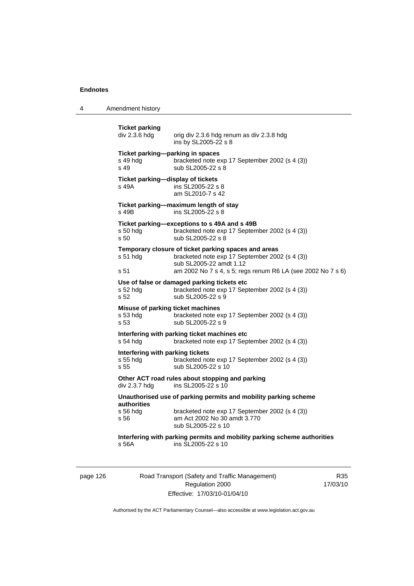4 Amendment history

| <b>Ticket parking</b><br>div 2.3.6 hdg               | orig div 2.3.6 hdg renum as div 2.3.8 hdg                                                                                         |
|------------------------------------------------------|-----------------------------------------------------------------------------------------------------------------------------------|
|                                                      | ins by SL2005-22 s 8                                                                                                              |
| s 49 hdg<br>s 49                                     | Ticket parking-parking in spaces<br>bracketed note exp 17 September 2002 (s 4 (3))<br>sub SL2005-22 s 8                           |
| s 49A                                                | Ticket parking-display of tickets<br>ins SL2005-22 s 8<br>am SL2010-7 s 42                                                        |
| s 49B                                                | Ticket parking-maximum length of stay<br>ins SL2005-22 s 8                                                                        |
| s 50 hdg<br>s 50                                     | Ticket parking-exceptions to s 49A and s 49B<br>bracketed note exp 17 September 2002 (s 4 (3))<br>sub SL2005-22 s 8               |
| s 51 hdg                                             | Temporary closure of ticket parking spaces and areas<br>bracketed note exp 17 September 2002 (s 4 (3))<br>sub SL2005-22 amdt 1.12 |
| s 51                                                 | am 2002 No 7 s 4, s 5; regs renum R6 LA (see 2002 No 7 s 6)                                                                       |
| s 52 hdg<br>s 52                                     | Use of false or damaged parking tickets etc<br>bracketed note exp 17 September 2002 (s 4 (3))<br>sub SL2005-22 s 9                |
| s 53 hdg<br>s 53                                     | Misuse of parking ticket machines<br>bracketed note exp 17 September 2002 (s 4 (3))<br>sub SL2005-22 s 9                          |
| s 54 hdg                                             | Interfering with parking ticket machines etc<br>bracketed note exp 17 September 2002 (s 4 (3))                                    |
| Interfering with parking tickets<br>s 55 hda<br>s 55 | bracketed note exp 17 September 2002 (s 4 (3))<br>sub SL2005-22 s 10                                                              |
| div 2.3.7 hdg                                        | Other ACT road rules about stopping and parking<br>ins SL2005-22 s 10                                                             |
| authorities                                          | Unauthorised use of parking permits and mobility parking scheme                                                                   |
| s 56 hdg<br>s 56                                     | bracketed note exp 17 September 2002 (s 4 (3))<br>am Act 2002 No 30 amdt 3.770<br>sub SL2005-22 s 10                              |
| s 56A                                                | Interfering with parking permits and mobility parking scheme authorities<br>ins SL2005-22 s 10                                    |
|                                                      |                                                                                                                                   |

page 126 Road Transport (Safety and Traffic Management) Regulation 2000 Effective: 17/03/10-01/04/10

R35 17/03/10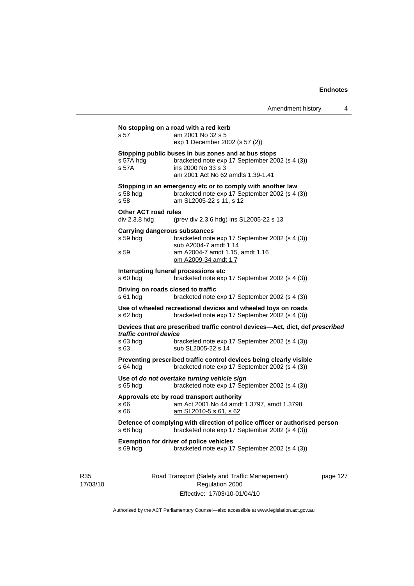|                 | s 57                                             | No stopping on a road with a red kerb<br>am 2001 No 32 s 5                                                                                                       |          |
|-----------------|--------------------------------------------------|------------------------------------------------------------------------------------------------------------------------------------------------------------------|----------|
|                 |                                                  | exp 1 December 2002 (s 57 (2))                                                                                                                                   |          |
|                 | s 57A hdg<br>s 57A                               | Stopping public buses in bus zones and at bus stops<br>bracketed note exp 17 September 2002 (s 4 (3))<br>ins 2000 No 33 s 3<br>am 2001 Act No 62 amdts 1.39-1.41 |          |
|                 | $s58$ hdg<br>s 58                                | Stopping in an emergency etc or to comply with another law<br>bracketed note exp 17 September 2002 (s 4 (3))<br>am SL2005-22 s 11, s 12                          |          |
|                 | Other ACT road rules                             |                                                                                                                                                                  |          |
|                 | div 2.3.8 hdg                                    | (prev div 2.3.6 hdg) ins SL2005-22 s 13                                                                                                                          |          |
|                 | <b>Carrying dangerous substances</b><br>s 59 hdg | bracketed note exp 17 September 2002 (s 4 (3))<br>sub A2004-7 amdt 1.14                                                                                          |          |
|                 | s 59                                             | am A2004-7 amdt 1.15, amdt 1.16<br>om A2009-34 amdt 1.7                                                                                                          |          |
|                 | s 60 hdg                                         | Interrupting funeral processions etc<br>bracketed note exp 17 September 2002 (s 4 (3))                                                                           |          |
|                 | Driving on roads closed to traffic<br>$s61$ hdg  | bracketed note exp 17 September 2002 (s 4 (3))                                                                                                                   |          |
|                 | $s$ 62 hdg                                       | Use of wheeled recreational devices and wheeled toys on roads<br>bracketed note exp 17 September 2002 (s 4 (3))                                                  |          |
|                 | traffic control device                           | Devices that are prescribed traffic control devices—Act, dict, def prescribed                                                                                    |          |
|                 | $s$ 63 hdg<br>s 63                               | bracketed note exp 17 September 2002 (s 4 (3))<br>sub SL2005-22 s 14                                                                                             |          |
|                 | $s$ 64 hdg                                       | Preventing prescribed traffic control devices being clearly visible<br>bracketed note exp 17 September 2002 (s 4 (3))                                            |          |
|                 | $s$ 65 hdg                                       | Use of do not overtake turning vehicle sign<br>bracketed note exp 17 September 2002 (s 4 (3))                                                                    |          |
|                 | s 66<br>s 66                                     | Approvals etc by road transport authority<br>am Act 2001 No 44 amdt 1.3797, amdt 1.3798<br>am SL2010-5 s 61, s 62                                                |          |
|                 | s 68 hdg                                         | Defence of complying with direction of police officer or authorised person<br>bracketed note exp 17 September 2002 (s 4 (3))                                     |          |
|                 | s 69 hdg                                         | <b>Exemption for driver of police vehicles</b><br>bracketed note exp 17 September 2002 (s 4 (3))                                                                 |          |
| R35<br>17/03/10 |                                                  | Road Transport (Safety and Traffic Management)<br>Regulation 2000                                                                                                | page 127 |

Authorised by the ACT Parliamentary Counsel—also accessible at www.legislation.act.gov.au

Effective: 17/03/10-01/04/10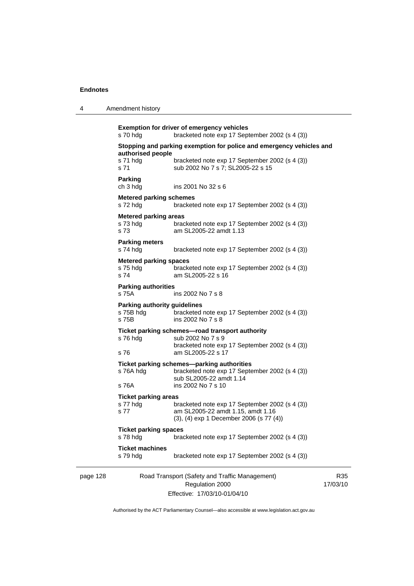4 Amendment history

```
page 128 Road Transport (Safety and Traffic Management) 
                               Regulation 2000 
                          Effective: 17/03/10-01/04/10 
                                                                         17/03/10 
           Exemption for driver of emergency vehicles 
           s 70 hdg bracketed note exp 17 September 2002 (s 4 (3)) 
           Stopping and parking exemption for police and emergency vehicles and 
           authorised people 
           s 71 hdg bracketed note exp 17 September 2002 (s 4 (3))
           s 71 sub 2002 No 7 s 7; SL2005-22 s 15 
           Parking 
           ch 3 hdg ins 2001 No 32 s 6 
           Metered parking schemes 
           s 72 hdg bracketed note exp 17 September 2002 (s 4 (3)) 
           Metered parking areas 
           s 73 hdg bracketed note exp 17 September 2002 (s 4 (3))
           s 73 am SL2005-22 amdt 1.13 
           Parking meters 
           s 74 hdg bracketed note exp 17 September 2002 (s 4 (3)) 
           Metered parking spaces 
           s 75 hdg bracketed note exp 17 September 2002 (s 4 (3)) 
           s 74 am SL2005-22 s 16 
           Parking authorities 
           s 75A ins 2002 No 7 s 8
           Parking authority guidelines 
           s 75B hdg bracketed note exp 17 September 2002 (s 4 (3)) 
           s 75B ins 2002 No 7 s 8 
           Ticket parking schemes—road transport authority 
           s 76 hdg sub 2002 No 7 s 9 
                             bracketed note exp 17 September 2002 (s 4 (3)) 
           s 76 am SL2005-22 s 17 
           Ticket parking schemes—parking authorities 
           s 76A hdg bracketed note exp 17 September 2002 (s 4 (3)) 
           sub SL2005-22 amdt 1.14<br>s 76A ins 2002 No 7 s 10
                            ins 2002 No 7 s 10
           Ticket parking areas 
           s 77 hdg bracketed note exp 17 September 2002 (s 4 (3)) 
           s 77 am SL2005-22 amdt 1.15, amdt 1.16 
                             (3), (4) exp 1 December 2006 (s 77 (4)) 
           Ticket parking spaces 
           s 78 hdg bracketed note exp 17 September 2002 (s 4 (3)) 
           Ticket machines 
                            bracketed note exp 17 September 2002 (s 4 (3))
```
Authorised by the ACT Parliamentary Counsel—also accessible at www.legislation.act.gov.au

R35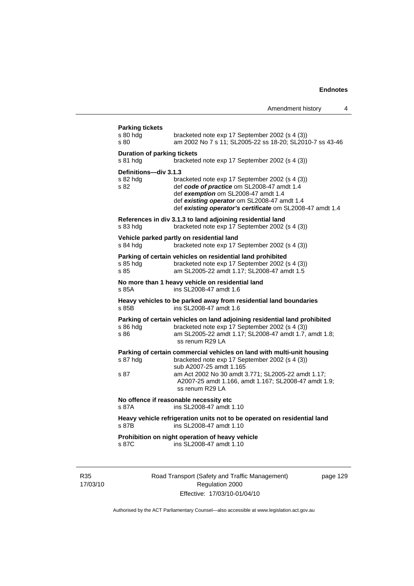| <b>Parking tickets</b><br>s 80 hdg<br>s 80     | bracketed note exp 17 September 2002 (s 4 (3))<br>am 2002 No 7 s 11; SL2005-22 ss 18-20; SL2010-7 ss 43-46                                                                                                                                                                           |
|------------------------------------------------|--------------------------------------------------------------------------------------------------------------------------------------------------------------------------------------------------------------------------------------------------------------------------------------|
| <b>Duration of parking tickets</b><br>s 81 hdg | bracketed note exp 17 September 2002 (s 4 (3))                                                                                                                                                                                                                                       |
| Definitions-div 3.1.3<br>s 82 hdg<br>s 82      | bracketed note exp 17 September 2002 (s 4 (3))<br>def code of practice om SL2008-47 amdt 1.4<br>def exemption om SL2008-47 amdt 1.4<br>def existing operator om SL2008-47 amdt 1.4<br>def existing operator's certificate om SL2008-47 amdt 1.4                                      |
| s 83 hdg                                       | References in div 3.1.3 to land adjoining residential land<br>bracketed note exp 17 September 2002 (s 4 (3))                                                                                                                                                                         |
| s 84 hdg                                       | Vehicle parked partly on residential land<br>bracketed note exp 17 September 2002 (s 4 (3))                                                                                                                                                                                          |
| s 85 hdg<br>s 85                               | Parking of certain vehicles on residential land prohibited<br>bracketed note exp 17 September 2002 (s 4 (3))<br>am SL2005-22 amdt 1.17; SL2008-47 amdt 1.5                                                                                                                           |
| s 85A                                          | No more than 1 heavy vehicle on residential land<br>ins SL2008-47 amdt 1.6                                                                                                                                                                                                           |
| s 85B                                          | Heavy vehicles to be parked away from residential land boundaries<br>ins SL2008-47 amdt 1.6                                                                                                                                                                                          |
| s 86 hda<br>s 86                               | Parking of certain vehicles on land adjoining residential land prohibited<br>bracketed note exp 17 September 2002 (s 4 (3))<br>am SL2005-22 amdt 1.17; SL2008-47 amdt 1.7, amdt 1.8;<br>ss renum R29 LA                                                                              |
| s 87 hdg<br>s 87                               | Parking of certain commercial vehicles on land with multi-unit housing<br>bracketed note exp 17 September 2002 (s 4 (3))<br>sub A2007-25 amdt 1.165<br>am Act 2002 No 30 amdt 3.771; SL2005-22 amdt 1.17;<br>A2007-25 amdt 1.166, amdt 1.167; SL2008-47 amdt 1.9;<br>ss renum R29 LA |
| s 87A                                          | No offence if reasonable necessity etc<br>ins SL2008-47 amdt 1.10                                                                                                                                                                                                                    |
| s 87B                                          | Heavy vehicle refrigeration units not to be operated on residential land<br>ins SL2008-47 amdt 1.10                                                                                                                                                                                  |
| s 87C                                          | Prohibition on night operation of heavy vehicle<br>ins SL2008-47 amdt 1.10                                                                                                                                                                                                           |

R35 17/03/10 Road Transport (Safety and Traffic Management) Regulation 2000 Effective: 17/03/10-01/04/10

page 129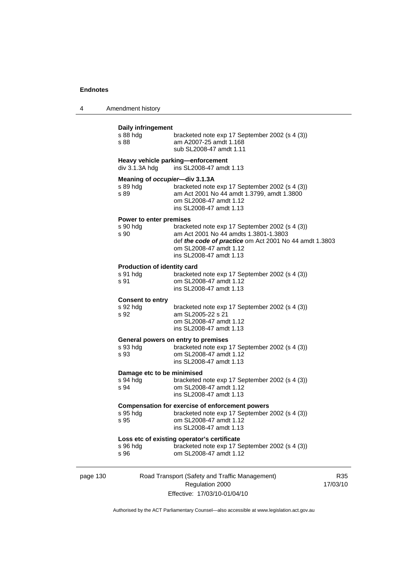| 4 | Amendment history |
|---|-------------------|
|---|-------------------|

# page 130 Road Transport (Safety and Traffic Management) Regulation 2000 **Daily infringement**  bracketed note exp 17 September 2002 (s 4 (3)) s 88 am A2007-25 amdt 1.168 sub SL2008-47 amdt 1.11 **Heavy vehicle parking—enforcement**  div 3.1.3A hdg ins SL2008-47 amdt 1.13 **Meaning of** *occupier***—div 3.1.3A**  s 89 hdg bracketed note exp 17 September 2002 (s 4 (3))<br>s 89 am Act 2001 No 44 amdt 1.3799. amdt 1.3800 am Act 2001 No 44 amdt 1.3799, amdt 1.3800 om SL2008-47 amdt 1.12 ins SL2008-47 amdt 1.13 **Power to enter premises**  bracketed note exp 17 September 2002 (s 4 (3)) s 90 am Act 2001 No 44 amdts 1.3801-1.3803 def *the code of practice* om Act 2001 No 44 amdt 1.3803 om SL2008-47 amdt 1.12 ins SL2008-47 amdt 1.13 **Production of identity card**  s 91 hdg bracketed note exp 17 September 2002 (s 4 (3)) s 91 om SL2008-47 amdt 1.12 ins SL2008-47 amdt 1.13 **Consent to entry**  bracketed note exp 17 September 2002 (s 4 (3)) s 92 am SL2005-22 s 21 om SL2008-47 amdt 1.12 ins SL2008-47 amdt 1.13 **General powers on entry to premises**  s 93 hdg<br>s 93 hdg bracketed note exp 17 September 2002 (s 4 (3))<br>s 93 hd SI 2008-47 amdt 1.12 om SL2008-47 amdt 1.12 ins SL2008-47 amdt 1.13 **Damage etc to be minimised**  s 94 hdg bracketed note exp 17 September 2002 (s 4 (3))<br>s 94 om SL2008-47 amdt 1.12 om SL2008-47 amdt 1.12 ins SL2008-47 amdt 1.13 **Compensation for exercise of enforcement powers**  s 95 hdg bracketed note exp 17 September 2002 (s 4 (3)) s 95 om SL2008-47 amdt 1.12 ins SL2008-47 amdt 1.13 **Loss etc of existing operator's certificate**  s 96 hdg bracketed note exp 17 September 2002 (s 4 (3))<br>s 96 om SL2008-47 amdt 1.12 om SL2008-47 amdt 1.12

Effective: 17/03/10-01/04/10

R35 17/03/10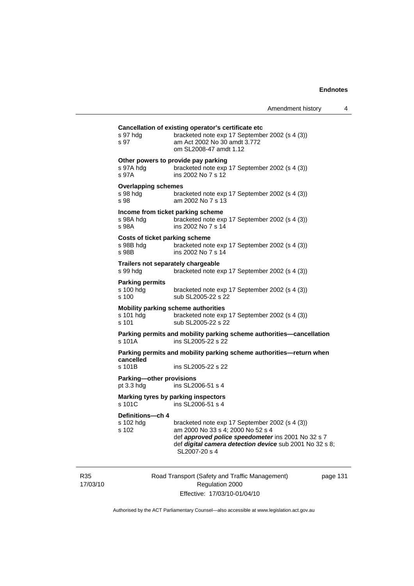| s 97 hdg<br>s 97                               | bracketed note exp 17 September 2002 (s 4 (3))<br>am Act 2002 No 30 amdt 3.772<br>om SL2008-47 amdt 1.12                                                                                                              |
|------------------------------------------------|-----------------------------------------------------------------------------------------------------------------------------------------------------------------------------------------------------------------------|
| s 97A hdg<br>s 97A                             | Other powers to provide pay parking<br>bracketed note exp 17 September 2002 (s 4 (3))<br>ins 2002 No 7 s 12                                                                                                           |
| <b>Overlapping schemes</b><br>s 98 hdg<br>s 98 | bracketed note exp 17 September 2002 (s 4 (3))<br>am 2002 No 7 s 13                                                                                                                                                   |
| s 98A hdg<br>s 98A                             | Income from ticket parking scheme<br>bracketed note exp 17 September 2002 (s 4 (3))<br>ins 2002 No 7 s 14                                                                                                             |
| s 98B hdg<br>s 98B                             | <b>Costs of ticket parking scheme</b><br>bracketed note exp 17 September 2002 (s 4 (3))<br>ins 2002 No 7 s 14                                                                                                         |
| s 99 hdg                                       | Trailers not separately chargeable<br>bracketed note exp 17 September 2002 (s 4 (3))                                                                                                                                  |
| <b>Parking permits</b><br>s 100 hdg<br>s 100   | bracketed note exp 17 September 2002 (s 4 (3))<br>sub SL2005-22 s 22                                                                                                                                                  |
| s 101 hda<br>$s$ 101                           | <b>Mobility parking scheme authorities</b><br>bracketed note exp 17 September 2002 (s 4 (3))<br>sub SL2005-22 s 22                                                                                                    |
| s 101A                                         | Parking permits and mobility parking scheme authorities-cancellation<br>ins SL2005-22 s 22                                                                                                                            |
| cancelled                                      | Parking permits and mobility parking scheme authorities-return when                                                                                                                                                   |
| s 101B                                         | ins SL2005-22 s 22                                                                                                                                                                                                    |
| Parking-other provisions<br>pt 3.3 hdg         | ins SL2006-51 s 4                                                                                                                                                                                                     |
| s 101C                                         | Marking tyres by parking inspectors<br>ins SL2006-51 s 4                                                                                                                                                              |
| Definitions-ch 4<br>s 102 hdg<br>s 102         | bracketed note exp 17 September 2002 (s 4 (3))<br>am 2000 No 33 s 4; 2000 No 52 s 4<br>def approved police speedometer ins 2001 No 32 s 7<br>def digital camera detection device sub 2001 No 32 s 8;<br>SL2007-20 s 4 |

R35 17/03/10 Road Transport (Safety and Traffic Management) Regulation 2000 Effective: 17/03/10-01/04/10

page 131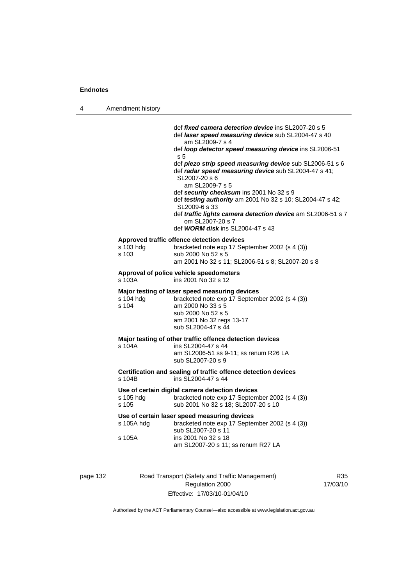| 4 | Amendment history    |                                                                                                                                                                                                                                                                                                                                                                                                                                                                                                                                                                                                                |
|---|----------------------|----------------------------------------------------------------------------------------------------------------------------------------------------------------------------------------------------------------------------------------------------------------------------------------------------------------------------------------------------------------------------------------------------------------------------------------------------------------------------------------------------------------------------------------------------------------------------------------------------------------|
|   |                      | def <i>fixed camera detection device</i> ins SL2007-20 s 5<br>def laser speed measuring device sub SL2004-47 s 40<br>am SL2009-7 s 4<br>def loop detector speed measuring device ins SL2006-51<br>s 5<br>def piezo strip speed measuring device sub SL2006-51 s 6<br>def radar speed measuring device sub SL2004-47 s 41;<br>SL2007-20 s 6<br>am SL2009-7 s 5<br>def security checksum ins 2001 No 32 s 9<br>def testing authority am 2001 No 32 s 10; SL2004-47 s 42;<br>SL2009-6 s 33<br>def traffic lights camera detection device am SL2006-51 s 7<br>om SL2007-20 s 7<br>def WORM disk ins SL2004-47 s 43 |
|   | s 103 hdg<br>s 103   | Approved traffic offence detection devices<br>bracketed note exp 17 September 2002 (s 4 (3))<br>sub 2000 No 52 s 5<br>am 2001 No 32 s 11; SL2006-51 s 8; SL2007-20 s 8                                                                                                                                                                                                                                                                                                                                                                                                                                         |
|   | s 103A               | Approval of police vehicle speedometers<br>ins 2001 No 32 s 12                                                                                                                                                                                                                                                                                                                                                                                                                                                                                                                                                 |
|   | s 104 hdg<br>s 104   | Major testing of laser speed measuring devices<br>bracketed note exp 17 September 2002 (s 4 (3))<br>am 2000 No 33 s 5<br>sub 2000 No 52 s 5<br>am 2001 No 32 regs 13-17<br>sub SL2004-47 s 44                                                                                                                                                                                                                                                                                                                                                                                                                  |
|   | s 104A               | Major testing of other traffic offence detection devices<br>ins SL2004-47 s 44<br>am SL2006-51 ss 9-11; ss renum R26 LA<br>sub SL2007-20 s 9                                                                                                                                                                                                                                                                                                                                                                                                                                                                   |
|   | s 104B               | Certification and sealing of traffic offence detection devices<br>ins SL2004-47 s 44                                                                                                                                                                                                                                                                                                                                                                                                                                                                                                                           |
|   | s 105 hdg<br>s 105   | Use of certain digital camera detection devices<br>bracketed note exp 17 September 2002 (s 4 (3))<br>sub 2001 No 32 s 18; SL2007-20 s 10                                                                                                                                                                                                                                                                                                                                                                                                                                                                       |
|   | s 105A hdg<br>s 105A | Use of certain laser speed measuring devices<br>bracketed note exp 17 September 2002 (s 4 (3))<br>sub SL2007-20 s 11<br>ins 2001 No 32 s 18<br>am SL2007-20 s 11; ss renum R27 LA                                                                                                                                                                                                                                                                                                                                                                                                                              |

page 132 Road Transport (Safety and Traffic Management) Regulation 2000 Effective: 17/03/10-01/04/10

R35 17/03/10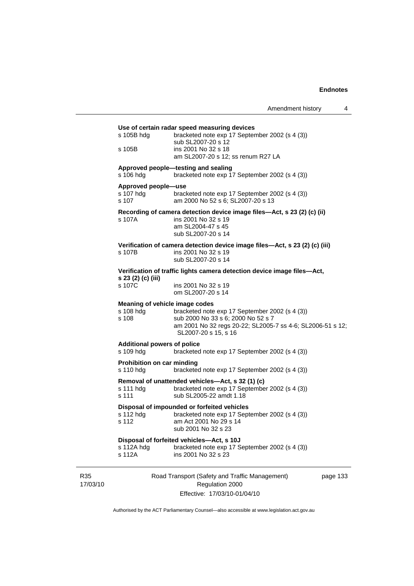|                 | s 105B hdg                                                              | Use of certain radar speed measuring devices<br>bracketed note exp 17 September 2002 (s 4 (3))                                                                                                               |          |  |  |
|-----------------|-------------------------------------------------------------------------|--------------------------------------------------------------------------------------------------------------------------------------------------------------------------------------------------------------|----------|--|--|
|                 | s 105B                                                                  | sub SL2007-20 s 12<br>ins 2001 No 32 s 18<br>am SL2007-20 s 12; ss renum R27 LA                                                                                                                              |          |  |  |
|                 | s 106 hdg                                                               | Approved people-testing and sealing<br>bracketed note exp 17 September 2002 (s 4 (3))                                                                                                                        |          |  |  |
|                 | Approved people-use<br>s 107 hdg<br>s 107                               | bracketed note exp 17 September 2002 (s 4 (3))<br>am 2000 No 52 s 6; SL2007-20 s 13                                                                                                                          |          |  |  |
|                 | s 107A                                                                  | Recording of camera detection device image files-Act, s 23 (2) (c) (ii)<br>ins 2001 No 32 s 19<br>am SL2004-47 s 45<br>sub SL2007-20 s 14                                                                    |          |  |  |
|                 | s 107B l                                                                | Verification of camera detection device image files-Act, s 23 (2) (c) (iii)<br>ins 2001 No 32 s 19<br>sub SL2007-20 s 14                                                                                     |          |  |  |
|                 | Verification of traffic lights camera detection device image files-Act, |                                                                                                                                                                                                              |          |  |  |
|                 | s 23 (2) (c) (iii)<br>s 107C                                            | ins 2001 No 32 s 19<br>om SL2007-20 s 14                                                                                                                                                                     |          |  |  |
|                 | s 108 hdg<br>s 108                                                      | Meaning of vehicle image codes<br>bracketed note exp 17 September 2002 (s 4 (3))<br>sub 2000 No 33 s 6; 2000 No 52 s 7<br>am 2001 No 32 regs 20-22; SL2005-7 ss 4-6; SL2006-51 s 12;<br>SL2007-20 s 15, s 16 |          |  |  |
|                 | <b>Additional powers of police</b><br>s 109 hdg                         | bracketed note exp 17 September 2002 (s 4 (3))                                                                                                                                                               |          |  |  |
|                 | Prohibition on car minding<br>s 110 hdg                                 | bracketed note exp 17 September 2002 (s 4 (3))                                                                                                                                                               |          |  |  |
|                 | s 111 hdg<br>s 111                                                      | Removal of unattended vehicles-Act, s 32 (1) (c)<br>bracketed note exp 17 September 2002 (s 4 (3))<br>sub SL2005-22 amdt 1.18                                                                                |          |  |  |
|                 | s 112 hdg<br>s 112                                                      | Disposal of impounded or forfeited vehicles<br>bracketed note exp 17 September 2002 (s 4 (3))<br>am Act 2001 No 29 s 14<br>sub 2001 No 32 s 23                                                               |          |  |  |
|                 | s 112A hdg<br>s 112A                                                    | Disposal of forfeited vehicles-Act, s 10J<br>bracketed note exp 17 September 2002 (s 4 (3))<br>ins 2001 No 32 s 23                                                                                           |          |  |  |
| R35<br>17/03/10 |                                                                         | Road Transport (Safety and Traffic Management)<br>Regulation 2000                                                                                                                                            | page 133 |  |  |

Effective: 17/03/10-01/04/10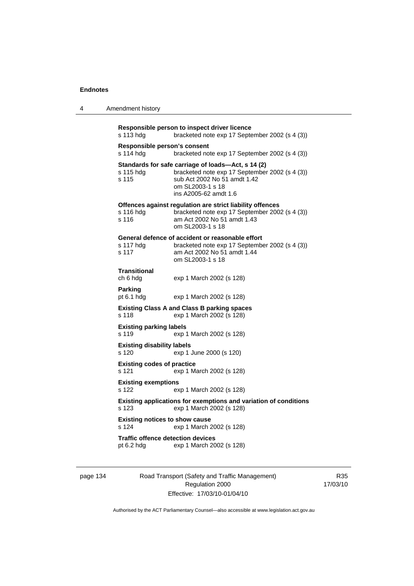| 4 | Amendment history |  |
|---|-------------------|--|
|---|-------------------|--|

```
Responsible person to inspect driver licence 
s 113 hdg bracketed note exp 17 September 2002 (s 4 (3)) 
Responsible person's consent 
s 114 hdg bracketed note exp 17 September 2002 (s 4 (3)) 
Standards for safe carriage of loads—Act, s 14 (2) 
s 115 hdg bracketed note exp 17 September 2002 (s 4 (3)) 
s 115 sub Act 2002 No 51 amdt 1.42 
                  om SL2003-1 s 18 
                  ins A2005-62 amdt 1.6 
Offences against regulation are strict liability offences 
s 116 hdg bracketed note exp 17 September 2002 (s 4 (3)) 
s 116 am Act 2002 No 51 amdt 1.43 
                  om SL2003-1 s 18 
General defence of accident or reasonable effort 
                 bracketed note exp 17 September 2002 (s 4 (3))
s 117 am Act 2002 No 51 amdt 1.44 
                  om SL2003-1 s 18 
Transitional 
                 exp 1 March 2002 (s 128)
Parking 
pt 6.1 hdg exp 1 March 2002 (s 128) 
Existing Class A and Class B parking spaces 
s 118 exp 1 March 2002 (s 128) 
Existing parking labels 
s 119 exp 1 March 2002 (s 128) 
Existing disability labels 
s 120 exp 1 June 2000 (s 120) 
Existing codes of practice 
s 121 exp 1 March 2002 (s 128) 
Existing exemptions 
s 122 exp 1 March 2002 (s 128) 
Existing applications for exemptions and variation of conditions 
s 123 exp 1 March 2002 (s 128) 
Existing notices to show cause 
s 124 exp 1 March 2002 (s 128) 
Traffic offence detection devices<br>pt 6.2 hdg exp 1 March 20
                 exp 1 March 2002 (s 128)
```
page 134 Road Transport (Safety and Traffic Management) Regulation 2000 Effective: 17/03/10-01/04/10

R35 17/03/10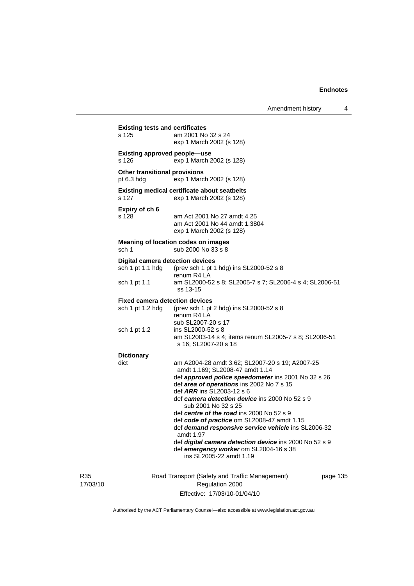| R35<br>17/03/10 |                                                             | Road Transport (Safety and Traffic Management)<br>Regulation 2000                                                                        | page 1 |  |  |
|-----------------|-------------------------------------------------------------|------------------------------------------------------------------------------------------------------------------------------------------|--------|--|--|
|                 |                                                             | amdt 1.97<br>def digital camera detection device ins 2000 No 52 s 9<br>def emergency worker om SL2004-16 s 38<br>ins SL2005-22 amdt 1.19 |        |  |  |
|                 |                                                             | def code of practice om SL2008-47 amdt 1.15<br>def demand responsive service vehicle ins SL2006-32                                       |        |  |  |
|                 |                                                             | sub 2001 No 32 s 25<br>def centre of the road ins 2000 No 52 s 9                                                                         |        |  |  |
|                 |                                                             | def camera detection device ins 2000 No 52 s 9                                                                                           |        |  |  |
|                 |                                                             | def area of operations ins 2002 No 7 s 15<br>def <i>ARR</i> ins SL2003-12 s 6                                                            |        |  |  |
|                 |                                                             | def approved police speedometer ins 2001 No 32 s 26                                                                                      |        |  |  |
|                 | <b>Dictionary</b><br>dict                                   | am A2004-28 amdt 3.62; SL2007-20 s 19; A2007-25<br>amdt 1.169; SL2008-47 amdt 1.14                                                       |        |  |  |
|                 |                                                             | am SL2003-14 s 4; items renum SL2005-7 s 8; SL2006-51<br>s 16; SL2007-20 s 18                                                            |        |  |  |
|                 | sch 1 pt 1.2                                                | sub SL2007-20 s 17<br>ins SL2000-52 s 8                                                                                                  |        |  |  |
|                 | <b>Fixed camera detection devices</b><br>sch 1 pt 1.2 hdg   | (prev sch 1 pt 2 hdg) ins SL2000-52 s 8<br>renum R4 LA                                                                                   |        |  |  |
|                 | sch 1 pt 1.1                                                | am SL2000-52 s 8; SL2005-7 s 7; SL2006-4 s 4; SL2006-51<br>ss 13-15                                                                      |        |  |  |
|                 | <b>Digital camera detection devices</b><br>sch 1 pt 1.1 hdg | (prev sch 1 pt 1 hdg) ins SL2000-52 s 8<br>renum R4 LA                                                                                   |        |  |  |
|                 | sch 1                                                       | sub 2000 No 33 s 8                                                                                                                       |        |  |  |
|                 | <b>Meaning of location codes on images</b>                  |                                                                                                                                          |        |  |  |
|                 | Expiry of ch 6<br>s 128                                     | am Act 2001 No 27 amdt 4.25<br>am Act 2001 No 44 amdt 1.3804<br>exp 1 March 2002 (s 128)                                                 |        |  |  |
|                 | s 127                                                       | <b>Existing medical certificate about seatbelts</b><br>exp 1 March 2002 (s 128)                                                          |        |  |  |
|                 | <b>Other transitional provisions</b><br>pt $6.3$ hdg        | exp 1 March 2002 (s 128)                                                                                                                 |        |  |  |
|                 | <b>Existing approved people-use</b><br>s 126                | exp 1 March 2002 (s 128)                                                                                                                 |        |  |  |
|                 | <b>Existing tests and certificates</b><br>s 125             | am 2001 No 32 s 24<br>exp 1 March 2002 (s 128)                                                                                           |        |  |  |
|                 |                                                             |                                                                                                                                          |        |  |  |

Effective: 17/03/10-01/04/10

page 135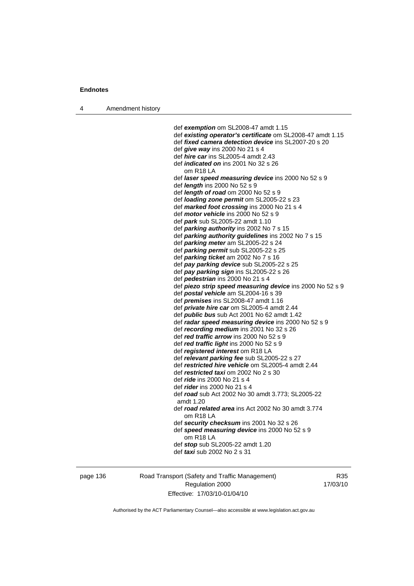4 Amendment history

 def *exemption* om SL2008-47 amdt 1.15 def *existing operator's certificate* om SL2008-47 amdt 1.15 def *fixed camera detection device* ins SL2007-20 s 20 def *give way* ins 2000 No 21 s 4 def *hire car* ins SL2005-4 amdt 2.43 def *indicated on* ins 2001 No 32 s 26 om R18 LA def *laser speed measuring device* ins 2000 No 52 s 9 def *length* ins 2000 No 52 s 9 def *length of road* om 2000 No 52 s 9 def *loading zone permit* om SL2005-22 s 23 def *marked foot crossing* ins 2000 No 21 s 4 def *motor vehicle* ins 2000 No 52 s 9 def *park* sub SL2005-22 amdt 1.10 def *parking authority* ins 2002 No 7 s 15 def *parking authority guidelines* ins 2002 No 7 s 15 def *parking meter* am SL2005-22 s 24 def *parking permit* sub SL2005-22 s 25 def *parking ticket* am 2002 No 7 s 16 def *pay parking device* sub SL2005-22 s 25 def *pay parking sign* ins SL2005-22 s 26 def *pedestrian* ins 2000 No 21 s 4 def *piezo strip speed measuring device* ins 2000 No 52 s 9 def *postal vehicle* am SL2004-16 s 39 def *premises* ins SL2008-47 amdt 1.16 def *private hire car* om SL2005-4 amdt 2.44 def *public bus* sub Act 2001 No 62 amdt 1.42 def *radar speed measuring device* ins 2000 No 52 s 9 def *recording medium* ins 2001 No 32 s 26 def *red traffic arrow* ins 2000 No 52 s 9 def *red traffic light* ins 2000 No 52 s 9 def *registered interest* om R18 LA def *relevant parking fee* sub SL2005-22 s 27 def *restricted hire vehicle* om SL2005-4 amdt 2.44 def *restricted taxi* om 2002 No 2 s 30 def *ride* ins 2000 No 21 s 4 def *rider* ins 2000 No 21 s 4 def *road* sub Act 2002 No 30 amdt 3.773; SL2005-22 amdt 1.20 def *road related area* ins Act 2002 No 30 amdt 3.774 om R18 LA def *security checksum* ins 2001 No 32 s 26 def *speed measuring device* ins 2000 No 52 s 9 om R18 LA def *stop* sub SL2005-22 amdt 1.20 def *taxi* sub 2002 No 2 s 31

page 136 Road Transport (Safety and Traffic Management) Regulation 2000 Effective: 17/03/10-01/04/10

R35 17/03/10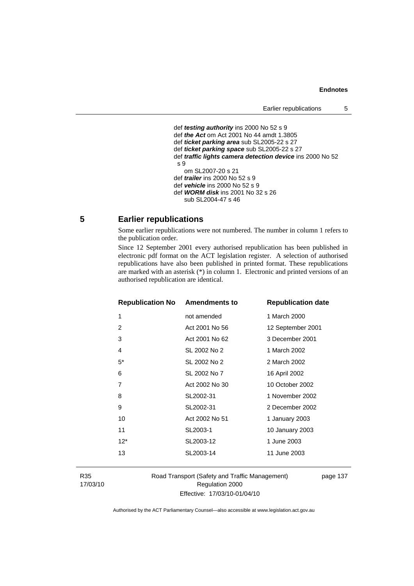```
 def testing authority ins 2000 No 52 s 9 
def the Act om Act 2001 No 44 amdt 1.3805 
def ticket parking area sub SL2005-22 s 27 
def ticket parking space sub SL2005-22 s 27 
def traffic lights camera detection device ins 2000 No 52 
s 9 
   om SL2007-20 s 21 
def trailer ins 2000 No 52 s 9 
def vehicle ins 2000 No 52 s 9 
def WORM disk ins 2001 No 32 s 26 
   sub SL2004-47 s 46
```
## **5 Earlier republications**

Some earlier republications were not numbered. The number in column 1 refers to the publication order.

Since 12 September 2001 every authorised republication has been published in electronic pdf format on the ACT legislation register. A selection of authorised republications have also been published in printed format. These republications are marked with an asterisk (\*) in column 1. Electronic and printed versions of an authorised republication are identical.

| <b>Republication No Amendments to</b> |                | <b>Republication date</b> |
|---------------------------------------|----------------|---------------------------|
| 1                                     | not amended    | 1 March 2000              |
| 2                                     | Act 2001 No 56 | 12 September 2001         |
| 3                                     | Act 2001 No 62 | 3 December 2001           |
| 4                                     | SL 2002 No 2   | 1 March 2002              |
| $5^*$                                 | SL 2002 No 2   | 2 March 2002              |
| 6                                     | SL 2002 No 7   | 16 April 2002             |
| 7                                     | Act 2002 No 30 | 10 October 2002           |
| 8                                     | SL2002-31      | 1 November 2002           |
| 9                                     | SL2002-31      | 2 December 2002           |
| 10                                    | Act 2002 No 51 | 1 January 2003            |
| 11                                    | SL2003-1       | 10 January 2003           |
| $12*$                                 | SL2003-12      | 1 June 2003               |
| 13                                    | SL2003-14      | 11 June 2003              |
|                                       |                |                           |

R35 17/03/10 Road Transport (Safety and Traffic Management) Regulation 2000 Effective: 17/03/10-01/04/10

page 137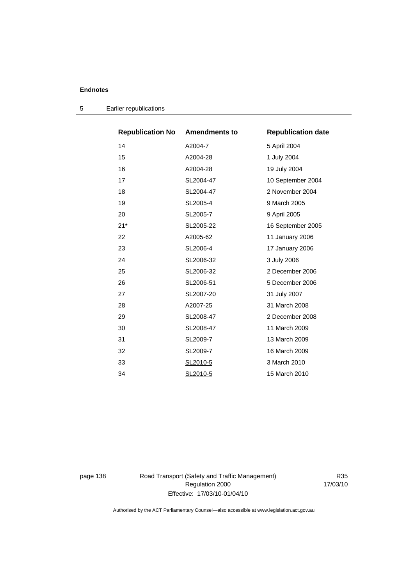| <b>Republication No</b> | <b>Amendments to</b> | <b>Republication date</b> |
|-------------------------|----------------------|---------------------------|
| 14                      | A2004-7              | 5 April 2004              |
| 15                      | A2004-28             | 1 July 2004               |
| 16                      | A2004-28             | 19 July 2004              |
| 17                      | SL2004-47            | 10 September 2004         |
| 18                      | SL2004-47            | 2 November 2004           |
| 19                      | SL2005-4             | 9 March 2005              |
| 20                      | SL2005-7             | 9 April 2005              |
| $21*$                   | SL2005-22            | 16 September 2005         |
| 22                      | A2005-62             | 11 January 2006           |
| 23                      | SL2006-4             | 17 January 2006           |
| 24                      | SL2006-32            | 3 July 2006               |
| 25                      | SL2006-32            | 2 December 2006           |
| 26                      | SL2006-51            | 5 December 2006           |
| 27                      | SL2007-20            | 31 July 2007              |
| 28                      | A2007-25             | 31 March 2008             |
| 29                      | SL2008-47            | 2 December 2008           |
| 30                      | SL2008-47            | 11 March 2009             |
| 31                      | SL2009-7             | 13 March 2009             |
| 32                      | SL2009-7             | 16 March 2009             |
| 33                      | SL2010-5             | 3 March 2010              |
| 34                      | SL2010-5             | 15 March 2010             |

5 Earlier republications

page 138 Road Transport (Safety and Traffic Management) Regulation 2000 Effective: 17/03/10-01/04/10

R35 17/03/10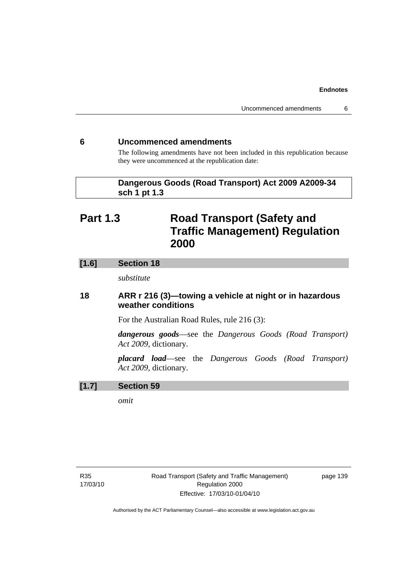## **6 Uncommenced amendments**

The following amendments have not been included in this republication because they were uncommenced at the republication date:

## **Dangerous Goods (Road Transport) Act 2009 A2009-34 sch 1 pt 1.3**

# **Part 1.3 Road Transport (Safety and Traffic Management) Regulation 2000**

# **[1.6] Section 18**

*substitute* 

# **18 ARR r 216 (3)—towing a vehicle at night or in hazardous weather conditions**

For the Australian Road Rules, rule 216 (3):

*dangerous goods*—see the *Dangerous Goods (Road Transport) Act 2009*, dictionary.

*placard load*—see the *Dangerous Goods (Road Transport) Act 2009*, dictionary.

## **[1.7] Section 59**

*omit*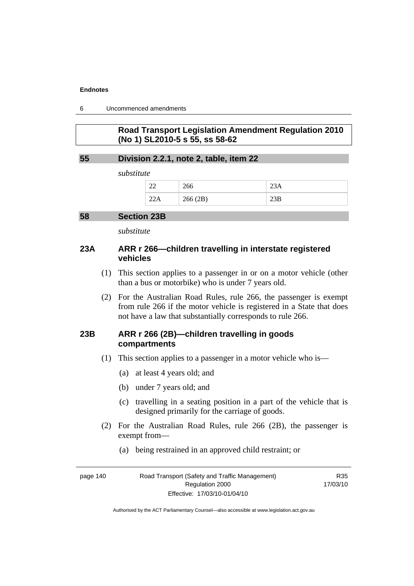6 Uncommenced amendments

# **Road Transport Legislation Amendment Regulation 2010 (No 1) SL2010-5 s 55, ss 58-62**

## **55 Division 2.2.1, note 2, table, item 22**

*substitute* 

| $\sim$<br>$\overline{\phantom{a}}$ | 266     | <i>L</i> SA |
|------------------------------------|---------|-------------|
| 22A                                | 266(2B) | zob         |

### **58 Section 23B**

*substitute* 

## **23A ARR r 266—children travelling in interstate registered vehicles**

- (1) This section applies to a passenger in or on a motor vehicle (other than a bus or motorbike) who is under 7 years old.
- (2) For the Australian Road Rules, rule 266, the passenger is exempt from rule 266 if the motor vehicle is registered in a State that does not have a law that substantially corresponds to rule 266.

## **23B ARR r 266 (2B)—children travelling in goods compartments**

- (1) This section applies to a passenger in a motor vehicle who is—
	- (a) at least 4 years old; and
	- (b) under 7 years old; and
	- (c) travelling in a seating position in a part of the vehicle that is designed primarily for the carriage of goods.

R35 17/03/10

- (2) For the Australian Road Rules, rule 266 (2B), the passenger is exempt from—
	- (a) being restrained in an approved child restraint; or

| page 140 | Road Transport (Safety and Traffic Management) |  |
|----------|------------------------------------------------|--|
|          | Regulation 2000                                |  |
|          | Effective: 17/03/10-01/04/10                   |  |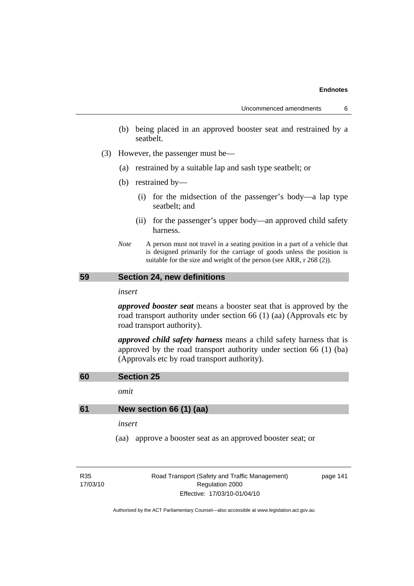- (b) being placed in an approved booster seat and restrained by a seatbelt.
- (3) However, the passenger must be—
	- (a) restrained by a suitable lap and sash type seatbelt; or
	- (b) restrained by—
		- (i) for the midsection of the passenger's body—a lap type seatbelt; and
		- (ii) for the passenger's upper body—an approved child safety harness.
	- *Note* A person must not travel in a seating position in a part of a vehicle that is designed primarily for the carriage of goods unless the position is suitable for the size and weight of the person (see ARR, r 268 (2)).

## **59 Section 24, new definitions**

#### *insert*

*approved booster seat* means a booster seat that is approved by the road transport authority under section 66 (1) (aa) (Approvals etc by road transport authority).

*approved child safety harness* means a child safety harness that is approved by the road transport authority under section 66 (1) (ba) (Approvals etc by road transport authority).

## **60 Section 25**

*omit* 

## **61 New section 66 (1) (aa)**

#### *insert*

(aa) approve a booster seat as an approved booster seat; or

R35 17/03/10 Road Transport (Safety and Traffic Management) Regulation 2000 Effective: 17/03/10-01/04/10

page 141